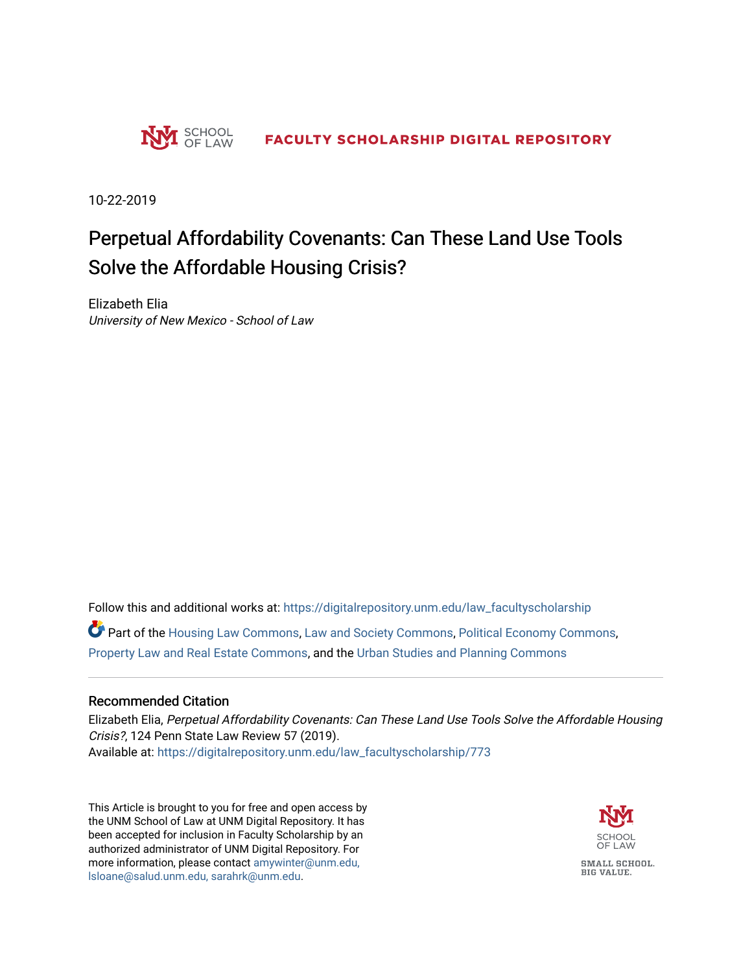

10-22-2019

# Perpetual Affordability Covenants: Can These Land Use Tools Solve the Affordable Housing Crisis?

Elizabeth Elia University of New Mexico - School of Law

Follow this and additional works at: [https://digitalrepository.unm.edu/law\\_facultyscholarship](https://digitalrepository.unm.edu/law_facultyscholarship?utm_source=digitalrepository.unm.edu%2Flaw_facultyscholarship%2F773&utm_medium=PDF&utm_campaign=PDFCoverPages) 

Part of the [Housing Law Commons,](http://network.bepress.com/hgg/discipline/846?utm_source=digitalrepository.unm.edu%2Flaw_facultyscholarship%2F773&utm_medium=PDF&utm_campaign=PDFCoverPages) [Law and Society Commons](http://network.bepress.com/hgg/discipline/853?utm_source=digitalrepository.unm.edu%2Flaw_facultyscholarship%2F773&utm_medium=PDF&utm_campaign=PDFCoverPages), [Political Economy Commons,](http://network.bepress.com/hgg/discipline/352?utm_source=digitalrepository.unm.edu%2Flaw_facultyscholarship%2F773&utm_medium=PDF&utm_campaign=PDFCoverPages) [Property Law and Real Estate Commons,](http://network.bepress.com/hgg/discipline/897?utm_source=digitalrepository.unm.edu%2Flaw_facultyscholarship%2F773&utm_medium=PDF&utm_campaign=PDFCoverPages) and the [Urban Studies and Planning Commons](http://network.bepress.com/hgg/discipline/436?utm_source=digitalrepository.unm.edu%2Flaw_facultyscholarship%2F773&utm_medium=PDF&utm_campaign=PDFCoverPages) 

## Recommended Citation

Elizabeth Elia, Perpetual Affordability Covenants: Can These Land Use Tools Solve the Affordable Housing Crisis?, 124 Penn State Law Review 57 (2019). Available at: [https://digitalrepository.unm.edu/law\\_facultyscholarship/773](https://digitalrepository.unm.edu/law_facultyscholarship/773?utm_source=digitalrepository.unm.edu%2Flaw_facultyscholarship%2F773&utm_medium=PDF&utm_campaign=PDFCoverPages) 

This Article is brought to you for free and open access by the UNM School of Law at UNM Digital Repository. It has been accepted for inclusion in Faculty Scholarship by an authorized administrator of UNM Digital Repository. For more information, please contact [amywinter@unm.edu,](mailto:amywinter@unm.edu,%20lsloane@salud.unm.edu,%20sarahrk@unm.edu)  [lsloane@salud.unm.edu, sarahrk@unm.edu.](mailto:amywinter@unm.edu,%20lsloane@salud.unm.edu,%20sarahrk@unm.edu)

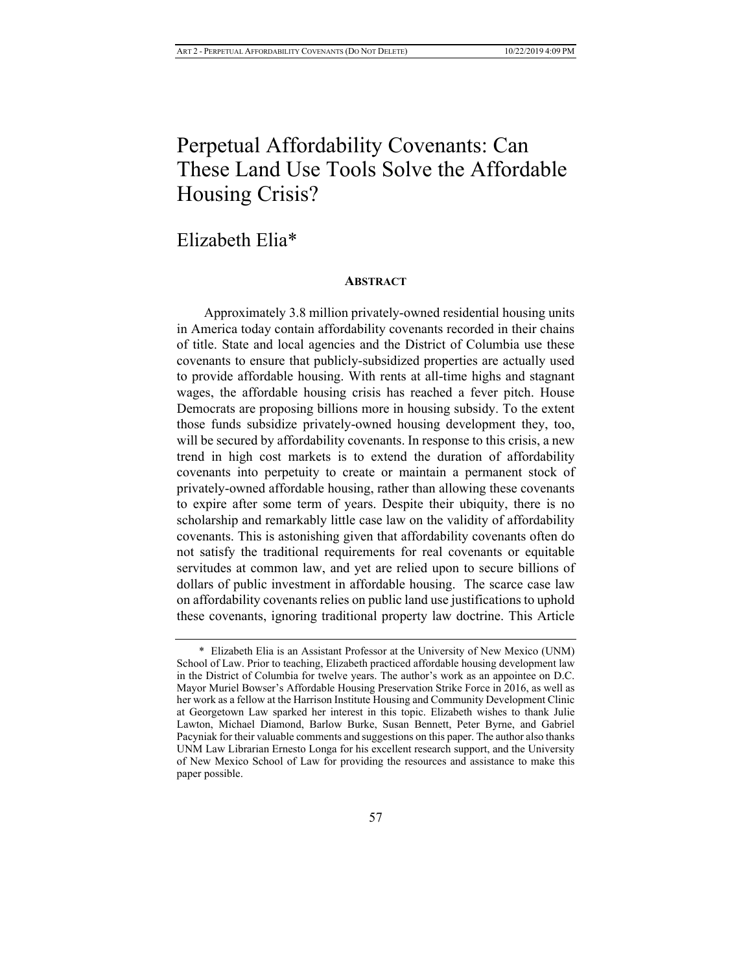# Perpetual Affordability Covenants: Can These Land Use Tools Solve the Affordable Housing Crisis?

## Elizabeth Elia\*

#### **ABSTRACT**

Approximately 3.8 million privately-owned residential housing units in America today contain affordability covenants recorded in their chains of title. State and local agencies and the District of Columbia use these covenants to ensure that publicly-subsidized properties are actually used to provide affordable housing. With rents at all-time highs and stagnant wages, the affordable housing crisis has reached a fever pitch. House Democrats are proposing billions more in housing subsidy. To the extent those funds subsidize privately-owned housing development they, too, will be secured by affordability covenants. In response to this crisis, a new trend in high cost markets is to extend the duration of affordability covenants into perpetuity to create or maintain a permanent stock of privately-owned affordable housing, rather than allowing these covenants to expire after some term of years. Despite their ubiquity, there is no scholarship and remarkably little case law on the validity of affordability covenants. This is astonishing given that affordability covenants often do not satisfy the traditional requirements for real covenants or equitable servitudes at common law, and yet are relied upon to secure billions of dollars of public investment in affordable housing. The scarce case law on affordability covenants relies on public land use justifications to uphold these covenants, ignoring traditional property law doctrine. This Article

<sup>\*</sup> Elizabeth Elia is an Assistant Professor at the University of New Mexico (UNM) School of Law. Prior to teaching, Elizabeth practiced affordable housing development law in the District of Columbia for twelve years. The author's work as an appointee on D.C. Mayor Muriel Bowser's Affordable Housing Preservation Strike Force in 2016, as well as her work as a fellow at the Harrison Institute Housing and Community Development Clinic at Georgetown Law sparked her interest in this topic. Elizabeth wishes to thank Julie Lawton, Michael Diamond, Barlow Burke, Susan Bennett, Peter Byrne, and Gabriel Pacyniak for their valuable comments and suggestions on this paper. The author also thanks UNM Law Librarian Ernesto Longa for his excellent research support, and the University of New Mexico School of Law for providing the resources and assistance to make this paper possible.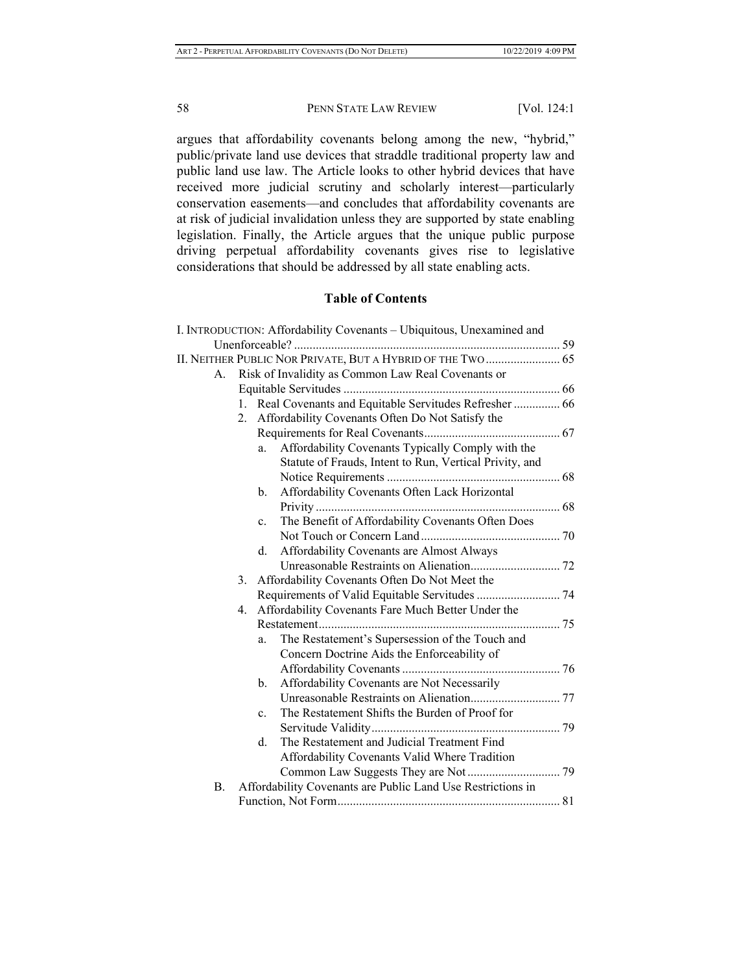argues that affordability covenants belong among the new, "hybrid," public/private land use devices that straddle traditional property law and public land use law. The Article looks to other hybrid devices that have received more judicial scrutiny and scholarly interest—particularly conservation easements—and concludes that affordability covenants are at risk of judicial invalidation unless they are supported by state enabling legislation. Finally, the Article argues that the unique public purpose driving perpetual affordability covenants gives rise to legislative considerations that should be addressed by all state enabling acts.

## **Table of Contents**

|           | I. INTRODUCTION: Affordability Covenants - Ubiquitous, Unexamined and |  |
|-----------|-----------------------------------------------------------------------|--|
|           |                                                                       |  |
|           | II. NEITHER PUBLIC NOR PRIVATE, BUT A HYBRID OF THE TWO  65           |  |
| A.        | Risk of Invalidity as Common Law Real Covenants or                    |  |
|           |                                                                       |  |
|           | Real Covenants and Equitable Servitudes Refresher  66<br>1.           |  |
|           | 2. Affordability Covenants Often Do Not Satisfy the                   |  |
|           |                                                                       |  |
|           | Affordability Covenants Typically Comply with the<br>a.               |  |
|           | Statute of Frauds, Intent to Run, Vertical Privity, and               |  |
|           |                                                                       |  |
|           | Affordability Covenants Often Lack Horizontal<br>$\mathbf{b}$ .       |  |
|           |                                                                       |  |
|           | The Benefit of Affordability Covenants Often Does<br>$\mathbf{c}$ .   |  |
|           |                                                                       |  |
|           | Affordability Covenants are Almost Always<br>d.                       |  |
|           |                                                                       |  |
|           | Affordability Covenants Often Do Not Meet the<br>3.                   |  |
|           |                                                                       |  |
|           | Affordability Covenants Fare Much Better Under the<br>4.              |  |
|           |                                                                       |  |
|           | The Restatement's Supersession of the Touch and<br>a.                 |  |
|           | Concern Doctrine Aids the Enforceability of                           |  |
|           |                                                                       |  |
|           | Affordability Covenants are Not Necessarily<br>b.                     |  |
|           |                                                                       |  |
|           | The Restatement Shifts the Burden of Proof for<br>$\mathbf{c}$ .      |  |
|           |                                                                       |  |
|           | The Restatement and Judicial Treatment Find<br>d.                     |  |
|           | Affordability Covenants Valid Where Tradition                         |  |
|           |                                                                       |  |
| <b>B.</b> | Affordability Covenants are Public Land Use Restrictions in           |  |
|           |                                                                       |  |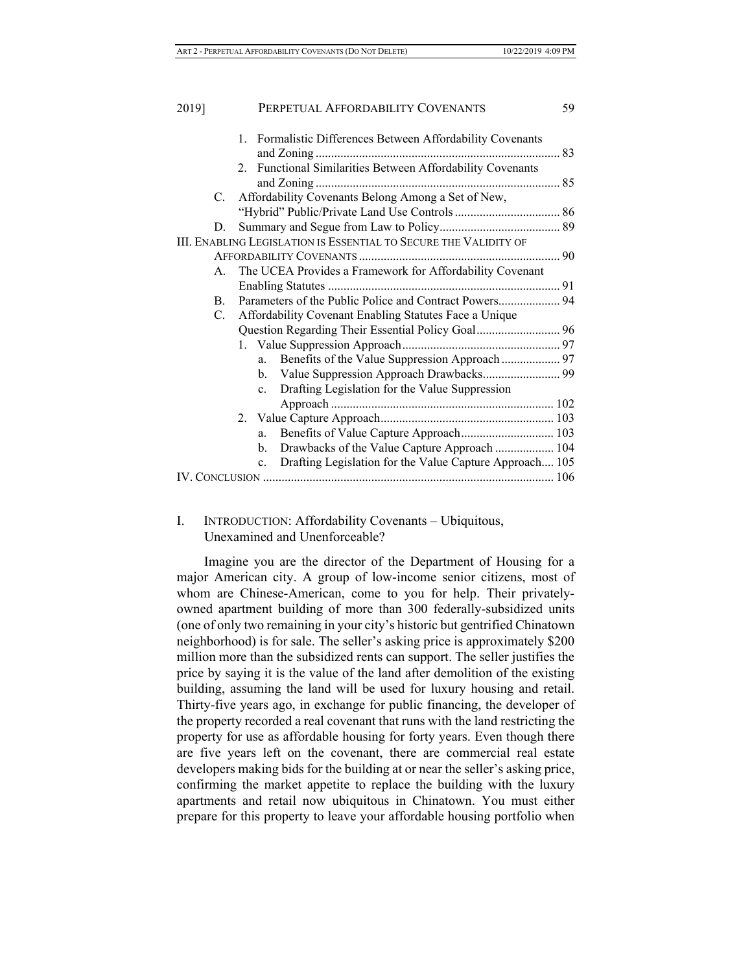| 2019] |                | PERPETUAL AFFORDABILITY COVENANTS                                         | 59 |
|-------|----------------|---------------------------------------------------------------------------|----|
|       |                | Formalistic Differences Between Affordability Covenants<br>1.             |    |
|       |                | Functional Similarities Between Affordability Covenants<br>$2^{+}$        |    |
|       | C.             | Affordability Covenants Belong Among a Set of New,                        |    |
|       |                |                                                                           |    |
|       | D.             |                                                                           |    |
|       |                | III. ENABLING LEGISLATION IS ESSENTIAL TO SECURE THE VALIDITY OF          |    |
|       |                |                                                                           |    |
|       | А.             | The UCEA Provides a Framework for Affordability Covenant                  |    |
|       |                |                                                                           |    |
|       | $\mathbf{B}$ . |                                                                           |    |
|       | C.             | Affordability Covenant Enabling Statutes Face a Unique                    |    |
|       |                | Question Regarding Their Essential Policy Goal 96                         |    |
|       |                |                                                                           |    |
|       |                | Benefits of the Value Suppression Approach  97<br>a.                      |    |
|       |                | b.                                                                        |    |
|       |                | Drafting Legislation for the Value Suppression<br>$c_{\cdot}$             |    |
|       |                |                                                                           |    |
|       |                |                                                                           |    |
|       |                | Benefits of Value Capture Approach 103<br>a.                              |    |
|       |                | Drawbacks of the Value Capture Approach  104<br>b.                        |    |
|       |                | Drafting Legislation for the Value Capture Approach 105<br>$\mathbf{c}$ . |    |
|       |                |                                                                           |    |

## I. INTRODUCTION: Affordability Covenants – Ubiquitous, Unexamined and Unenforceable?

Imagine you are the director of the Department of Housing for a major American city. A group of low-income senior citizens, most of whom are Chinese-American, come to you for help. Their privatelyowned apartment building of more than 300 federally-subsidized units (one of only two remaining in your city's historic but gentrified Chinatown neighborhood) is for sale. The seller's asking price is approximately \$200 million more than the subsidized rents can support. The seller justifies the price by saying it is the value of the land after demolition of the existing building, assuming the land will be used for luxury housing and retail. Thirty-five years ago, in exchange for public financing, the developer of the property recorded a real covenant that runs with the land restricting the property for use as affordable housing for forty years. Even though there are five years left on the covenant, there are commercial real estate developers making bids for the building at or near the seller's asking price, confirming the market appetite to replace the building with the luxury apartments and retail now ubiquitous in Chinatown. You must either prepare for this property to leave your affordable housing portfolio when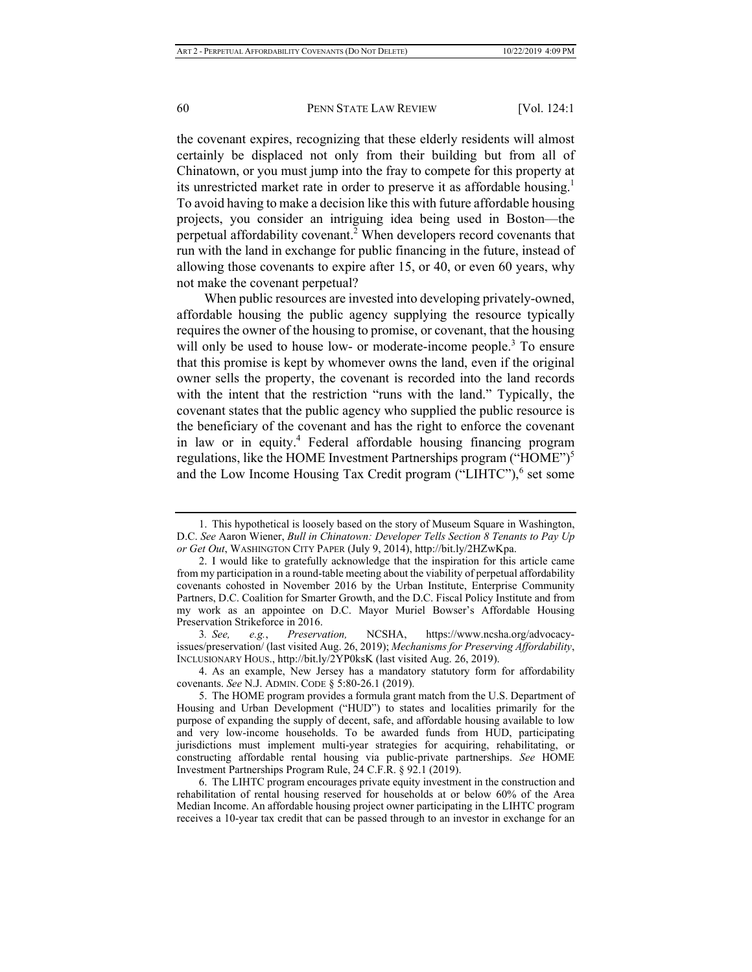the covenant expires, recognizing that these elderly residents will almost certainly be displaced not only from their building but from all of Chinatown, or you must jump into the fray to compete for this property at its unrestricted market rate in order to preserve it as affordable housing.<sup>1</sup> To avoid having to make a decision like this with future affordable housing projects, you consider an intriguing idea being used in Boston—the perpetual affordability covenant.<sup>2</sup> When developers record covenants that run with the land in exchange for public financing in the future, instead of allowing those covenants to expire after 15, or 40, or even 60 years, why not make the covenant perpetual?

When public resources are invested into developing privately-owned, affordable housing the public agency supplying the resource typically requires the owner of the housing to promise, or covenant, that the housing will only be used to house low- or moderate-income people.<sup>3</sup> To ensure that this promise is kept by whomever owns the land, even if the original owner sells the property, the covenant is recorded into the land records with the intent that the restriction "runs with the land." Typically, the covenant states that the public agency who supplied the public resource is the beneficiary of the covenant and has the right to enforce the covenant in law or in equity.<sup>4</sup> Federal affordable housing financing program regulations, like the HOME Investment Partnerships program ("HOME")<sup>5</sup> and the Low Income Housing Tax Credit program ("LIHTC"), $6$  set some

<sup>1.</sup> This hypothetical is loosely based on the story of Museum Square in Washington, D.C. *See* Aaron Wiener, *Bull in Chinatown: Developer Tells Section 8 Tenants to Pay Up or Get Out*, WASHINGTON CITY PAPER (July 9, 2014), http://bit.ly/2HZwKpa.

<sup>2.</sup> I would like to gratefully acknowledge that the inspiration for this article came from my participation in a round-table meeting about the viability of perpetual affordability covenants cohosted in November 2016 by the Urban Institute, Enterprise Community Partners, D.C. Coalition for Smarter Growth, and the D.C. Fiscal Policy Institute and from my work as an appointee on D.C. Mayor Muriel Bowser's Affordable Housing Preservation Strikeforce in 2016.

<sup>3</sup>*. See, e.g.*, *Preservation,* NCSHA, https://www.ncsha.org/advocacyissues/preservation/ (last visited Aug. 26, 2019); *Mechanisms for Preserving Affordability*, INCLUSIONARY HOUS., http://bit.ly/2YP0ksK (last visited Aug. 26, 2019).

<sup>4.</sup> As an example, New Jersey has a mandatory statutory form for affordability covenants. *See* N.J. ADMIN. CODE § 5:80-26.1 (2019).

<sup>5.</sup> The HOME program provides a formula grant match from the U.S. Department of Housing and Urban Development ("HUD") to states and localities primarily for the purpose of expanding the supply of decent, safe, and affordable housing available to low and very low-income households. To be awarded funds from HUD, participating jurisdictions must implement multi-year strategies for acquiring, rehabilitating, or constructing affordable rental housing via public-private partnerships. *See* HOME Investment Partnerships Program Rule, 24 C.F.R. § 92.1 (2019).

<sup>6.</sup> The LIHTC program encourages private equity investment in the construction and rehabilitation of rental housing reserved for households at or below 60% of the Area Median Income. An affordable housing project owner participating in the LIHTC program receives a 10-year tax credit that can be passed through to an investor in exchange for an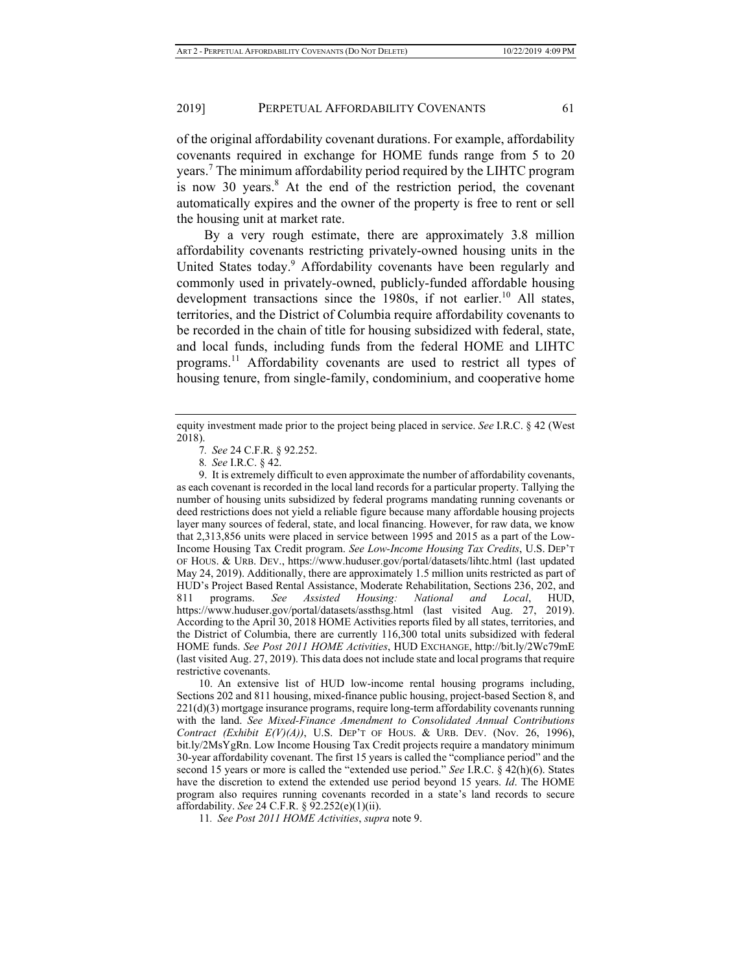of the original affordability covenant durations. For example, affordability covenants required in exchange for HOME funds range from 5 to 20 years.<sup>7</sup> The minimum affordability period required by the LIHTC program is now 30 years. $8$  At the end of the restriction period, the covenant automatically expires and the owner of the property is free to rent or sell the housing unit at market rate.

By a very rough estimate, there are approximately 3.8 million affordability covenants restricting privately-owned housing units in the United States today.<sup>9</sup> Affordability covenants have been regularly and commonly used in privately-owned, publicly-funded affordable housing development transactions since the 1980s, if not earlier.<sup>10</sup> All states, territories, and the District of Columbia require affordability covenants to be recorded in the chain of title for housing subsidized with federal, state, and local funds, including funds from the federal HOME and LIHTC programs.11 Affordability covenants are used to restrict all types of housing tenure, from single-family, condominium, and cooperative home

equity investment made prior to the project being placed in service. *See* I.R.C. § 42 (West 2018).

<sup>7</sup>*. See* 24 C.F.R. § 92.252.

<sup>8</sup>*. See* I.R.C. § 42.

<sup>9.</sup> It is extremely difficult to even approximate the number of affordability covenants, as each covenant is recorded in the local land records for a particular property. Tallying the number of housing units subsidized by federal programs mandating running covenants or deed restrictions does not yield a reliable figure because many affordable housing projects layer many sources of federal, state, and local financing. However, for raw data, we know that 2,313,856 units were placed in service between 1995 and 2015 as a part of the Low-Income Housing Tax Credit program. *See Low-Income Housing Tax Credits*, U.S. DEP'T OF HOUS. & URB. DEV., https://www.huduser.gov/portal/datasets/lihtc.html (last updated May 24, 2019). Additionally, there are approximately 1.5 million units restricted as part of HUD's Project Based Rental Assistance, Moderate Rehabilitation, Sections 236, 202, and 811 programs. *See Assisted Housing: National and Local*, HUD, https://www.huduser.gov/portal/datasets/assthsg.html (last visited Aug. 27, 2019). According to the April 30, 2018 HOME Activities reports filed by all states, territories, and the District of Columbia, there are currently 116,300 total units subsidized with federal HOME funds. *See Post 2011 HOME Activities*, HUD EXCHANGE, http://bit.ly/2Wc79mE (last visited Aug. 27, 2019). This data does not include state and local programs that require restrictive covenants.

<sup>10.</sup> An extensive list of HUD low-income rental housing programs including, Sections 202 and 811 housing, mixed-finance public housing, project-based Section 8, and 221(d)(3) mortgage insurance programs, require long-term affordability covenants running with the land. *See Mixed-Finance Amendment to Consolidated Annual Contributions Contract (Exhibit E(V)(A))*, U.S. DEP'T OF HOUS. & URB. DEV. (Nov. 26, 1996), bit.ly/2MsYgRn. Low Income Housing Tax Credit projects require a mandatory minimum 30-year affordability covenant. The first 15 years is called the "compliance period" and the second 15 years or more is called the "extended use period." *See* I.R.C. § 42(h)(6). States have the discretion to extend the extended use period beyond 15 years. *Id*. The HOME program also requires running covenants recorded in a state's land records to secure affordability. *See* 24 C.F.R. § 92.252(e)(1)(ii).

<sup>11</sup>*. See Post 2011 HOME Activities*, *supra* note 9.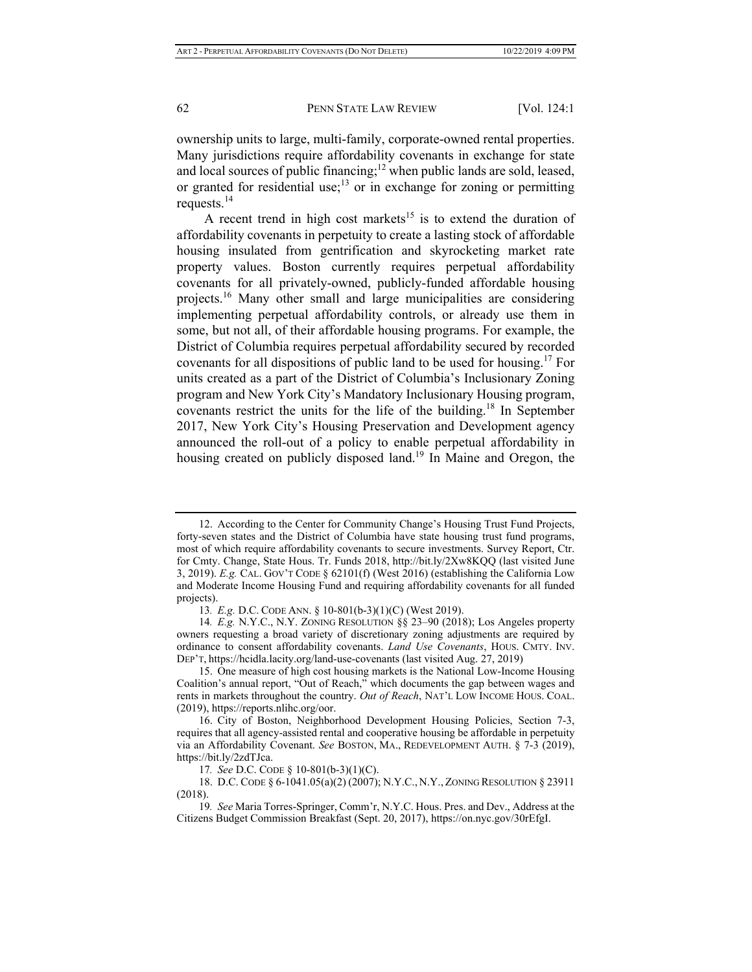ownership units to large, multi-family, corporate-owned rental properties. Many jurisdictions require affordability covenants in exchange for state and local sources of public financing;<sup>12</sup> when public lands are sold, leased, or granted for residential use;<sup>13</sup> or in exchange for zoning or permitting requests.14

A recent trend in high cost markets<sup>15</sup> is to extend the duration of affordability covenants in perpetuity to create a lasting stock of affordable housing insulated from gentrification and skyrocketing market rate property values. Boston currently requires perpetual affordability covenants for all privately-owned, publicly-funded affordable housing projects.16 Many other small and large municipalities are considering implementing perpetual affordability controls, or already use them in some, but not all, of their affordable housing programs. For example, the District of Columbia requires perpetual affordability secured by recorded covenants for all dispositions of public land to be used for housing.<sup>17</sup> For units created as a part of the District of Columbia's Inclusionary Zoning program and New York City's Mandatory Inclusionary Housing program, covenants restrict the units for the life of the building.<sup>18</sup> In September 2017, New York City's Housing Preservation and Development agency announced the roll-out of a policy to enable perpetual affordability in housing created on publicly disposed land.<sup>19</sup> In Maine and Oregon, the

<sup>12.</sup> According to the Center for Community Change's Housing Trust Fund Projects, forty-seven states and the District of Columbia have state housing trust fund programs, most of which require affordability covenants to secure investments. Survey Report, Ctr. for Cmty. Change, State Hous. Tr. Funds 2018, http://bit.ly/2Xw8KQQ (last visited June 3, 2019). *E.g.* CAL. GOV'T CODE § 62101(f) (West 2016) (establishing the California Low and Moderate Income Housing Fund and requiring affordability covenants for all funded projects).

<sup>13</sup>*. E.g.* D.C. CODE ANN. § 10-801(b-3)(1)(C) (West 2019).

<sup>14</sup>*. E.g.* N.Y.C., N.Y. ZONING RESOLUTION §§ 23–90 (2018); Los Angeles property owners requesting a broad variety of discretionary zoning adjustments are required by ordinance to consent affordability covenants. *Land Use Covenants*, HOUS. CMTY. INV. DEP'T, https://hcidla.lacity.org/land-use-covenants (last visited Aug. 27, 2019)

<sup>15.</sup> One measure of high cost housing markets is the National Low-Income Housing Coalition's annual report, "Out of Reach," which documents the gap between wages and rents in markets throughout the country. *Out of Reach*, NAT'L LOW INCOME HOUS. COAL. (2019), https://reports.nlihc.org/oor.

<sup>16.</sup> City of Boston, Neighborhood Development Housing Policies, Section 7-3, requires that all agency-assisted rental and cooperative housing be affordable in perpetuity via an Affordability Covenant. *See* BOSTON, MA., REDEVELOPMENT AUTH. § 7-3 (2019), https://bit.ly/2zdTJca.

<sup>17</sup>*. See* D.C. CODE § 10-801(b-3)(1)(C).

<sup>18.</sup> D.C. CODE § 6-1041.05(a)(2) (2007); N.Y.C., N.Y., ZONING RESOLUTION § 23911 (2018).

<sup>19</sup>*. See* Maria Torres-Springer, Comm'r, N.Y.C. Hous. Pres. and Dev., Address at the Citizens Budget Commission Breakfast (Sept. 20, 2017), https://on.nyc.gov/30rEfgI.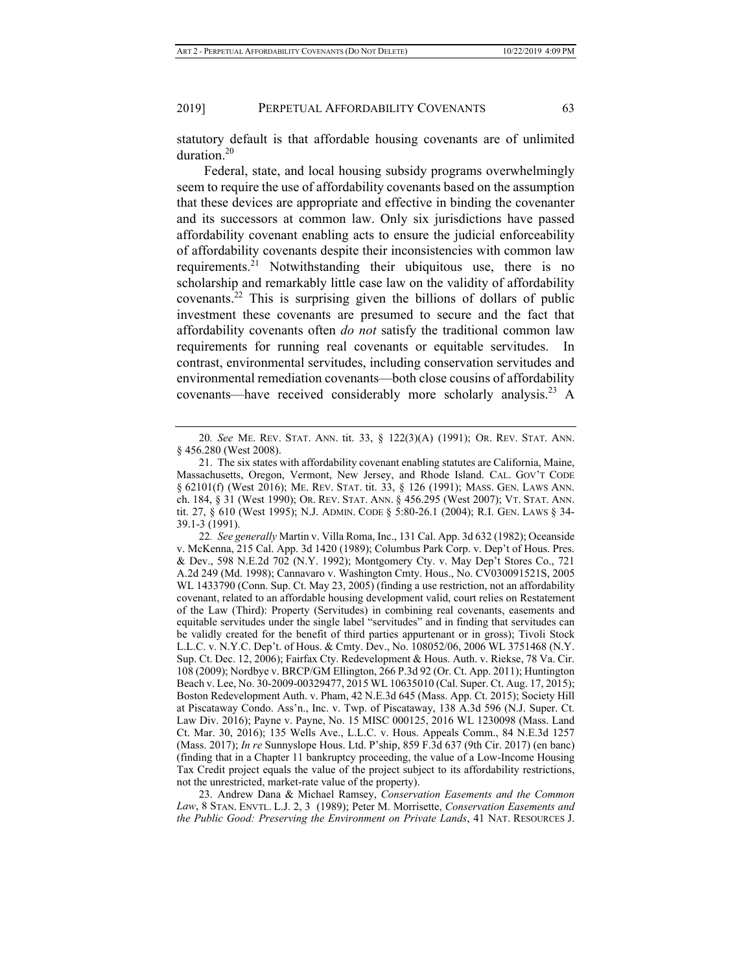statutory default is that affordable housing covenants are of unlimited duration.<sup>20</sup>

Federal, state, and local housing subsidy programs overwhelmingly seem to require the use of affordability covenants based on the assumption that these devices are appropriate and effective in binding the covenanter and its successors at common law. Only six jurisdictions have passed affordability covenant enabling acts to ensure the judicial enforceability of affordability covenants despite their inconsistencies with common law requirements.<sup>21</sup> Notwithstanding their ubiquitous use, there is no scholarship and remarkably little case law on the validity of affordability covenants.22 This is surprising given the billions of dollars of public investment these covenants are presumed to secure and the fact that affordability covenants often *do not* satisfy the traditional common law requirements for running real covenants or equitable servitudes. In contrast, environmental servitudes, including conservation servitudes and environmental remediation covenants—both close cousins of affordability covenants—have received considerably more scholarly analysis.<sup>23</sup> A

23. Andrew Dana & Michael Ramsey, *Conservation Easements and the Common Law*, 8 STAN. ENVTL. L.J. 2, 3 (1989); Peter M. Morrisette, *Conservation Easements and the Public Good: Preserving the Environment on Private Lands*, 41 NAT. RESOURCES J.

<sup>20</sup>*. See* ME. REV. STAT. ANN. tit. 33, § 122(3)(A) (1991); OR. REV. STAT. ANN. § 456.280 (West 2008).

<sup>21.</sup> The six states with affordability covenant enabling statutes are California, Maine, Massachusetts, Oregon, Vermont, New Jersey, and Rhode Island. CAL. GOV'T CODE § 62101(f) (West 2016); ME. REV. STAT. tit. 33, § 126 (1991); MASS. GEN. LAWS ANN. ch. 184, § 31 (West 1990); OR. REV. STAT. ANN. § 456.295 (West 2007); VT. STAT. ANN. tit. 27, § 610 (West 1995); N.J. ADMIN. CODE § 5:80-26.1 (2004); R.I. GEN. LAWS § 34- 39.1-3 (1991).

<sup>22</sup>*. See generally* Martin v. Villa Roma, Inc., 131 Cal. App. 3d 632 (1982); Oceanside v. McKenna, 215 Cal. App. 3d 1420 (1989); Columbus Park Corp. v. Dep't of Hous. Pres. & Dev., 598 N.E.2d 702 (N.Y. 1992); Montgomery Cty. v. May Dep't Stores Co., 721 A.2d 249 (Md. 1998); Cannavaro v. Washington Cmty. Hous., No. CV030091521S, 2005 WL 1433790 (Conn. Sup. Ct. May 23, 2005) (finding a use restriction, not an affordability covenant, related to an affordable housing development valid, court relies on Restatement of the Law (Third): Property (Servitudes) in combining real covenants, easements and equitable servitudes under the single label "servitudes" and in finding that servitudes can be validly created for the benefit of third parties appurtenant or in gross); Tivoli Stock L.L.C. v. N.Y.C. Dep't. of Hous. & Cmty. Dev., No. 108052/06, 2006 WL 3751468 (N.Y. Sup. Ct. Dec. 12, 2006); Fairfax Cty. Redevelopment & Hous. Auth. v. Riekse, 78 Va. Cir. 108 (2009); Nordbye v. BRCP/GM Ellington, 266 P.3d 92 (Or. Ct. App. 2011); Huntington Beach v. Lee, No. 30-2009-00329477, 2015 WL 10635010 (Cal. Super. Ct. Aug. 17, 2015); Boston Redevelopment Auth. v. Pham, 42 N.E.3d 645 (Mass. App. Ct. 2015); Society Hill at Piscataway Condo. Ass'n., Inc. v. Twp. of Piscataway, 138 A.3d 596 (N.J. Super. Ct. Law Div. 2016); Payne v. Payne, No. 15 MISC 000125, 2016 WL 1230098 (Mass. Land Ct. Mar. 30, 2016); 135 Wells Ave., L.L.C. v. Hous. Appeals Comm., 84 N.E.3d 1257 (Mass. 2017); *In re* Sunnyslope Hous. Ltd. P'ship, 859 F.3d 637 (9th Cir. 2017) (en banc) (finding that in a Chapter 11 bankruptcy proceeding, the value of a Low-Income Housing Tax Credit project equals the value of the project subject to its affordability restrictions, not the unrestricted, market-rate value of the property).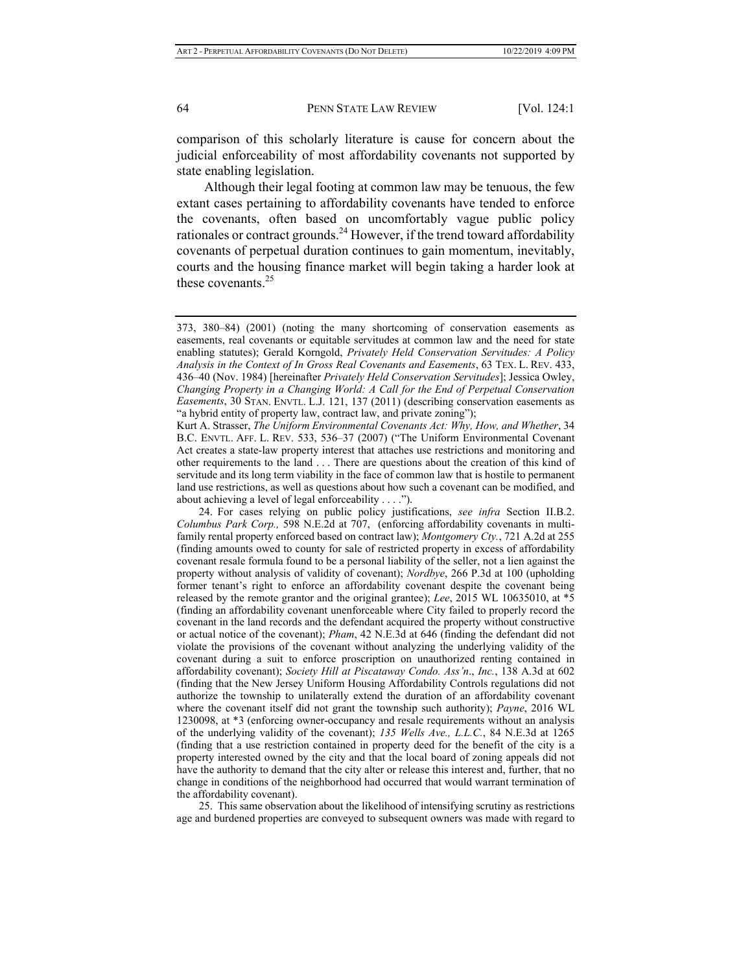comparison of this scholarly literature is cause for concern about the judicial enforceability of most affordability covenants not supported by state enabling legislation.

Although their legal footing at common law may be tenuous, the few extant cases pertaining to affordability covenants have tended to enforce the covenants, often based on uncomfortably vague public policy rationales or contract grounds.<sup>24</sup> However, if the trend toward affordability covenants of perpetual duration continues to gain momentum, inevitably, courts and the housing finance market will begin taking a harder look at these covenants.<sup>25</sup>

Kurt A. Strasser, *The Uniform Environmental Covenants Act: Why, How, and Whether*, 34 B.C. ENVTL. AFF. L. REV. 533, 536–37 (2007) ("The Uniform Environmental Covenant Act creates a state-law property interest that attaches use restrictions and monitoring and other requirements to the land . . . There are questions about the creation of this kind of servitude and its long term viability in the face of common law that is hostile to permanent land use restrictions, as well as questions about how such a covenant can be modified, and about achieving a level of legal enforceability . . . .").

24. For cases relying on public policy justifications, *see infra* Section II.B.2. *Columbus Park Corp.,* 598 N.E.2d at 707, (enforcing affordability covenants in multifamily rental property enforced based on contract law); *Montgomery Cty.*, 721 A.2d at 255 (finding amounts owed to county for sale of restricted property in excess of affordability covenant resale formula found to be a personal liability of the seller, not a lien against the property without analysis of validity of covenant); *Nordbye*, 266 P.3d at 100 (upholding former tenant's right to enforce an affordability covenant despite the covenant being released by the remote grantor and the original grantee); *Lee*, 2015 WL 10635010, at \*5 (finding an affordability covenant unenforceable where City failed to properly record the covenant in the land records and the defendant acquired the property without constructive or actual notice of the covenant); *Pham*, 42 N.E.3d at 646 (finding the defendant did not violate the provisions of the covenant without analyzing the underlying validity of the covenant during a suit to enforce proscription on unauthorized renting contained in affordability covenant); *Society Hill at Piscataway Condo. Ass'n*., *Inc.*, 138 A.3d at 602 (finding that the New Jersey Uniform Housing Affordability Controls regulations did not authorize the township to unilaterally extend the duration of an affordability covenant where the covenant itself did not grant the township such authority); *Payne*, 2016 WL 1230098, at \*3 (enforcing owner-occupancy and resale requirements without an analysis of the underlying validity of the covenant); *135 Wells Ave., L.L.C.*, 84 N.E.3d at 1265 (finding that a use restriction contained in property deed for the benefit of the city is a property interested owned by the city and that the local board of zoning appeals did not have the authority to demand that the city alter or release this interest and, further, that no change in conditions of the neighborhood had occurred that would warrant termination of the affordability covenant).

25. This same observation about the likelihood of intensifying scrutiny as restrictions age and burdened properties are conveyed to subsequent owners was made with regard to

<sup>373, 380–84) (2001) (</sup>noting the many shortcoming of conservation easements as easements, real covenants or equitable servitudes at common law and the need for state enabling statutes); Gerald Korngold, *Privately Held Conservation Servitudes: A Policy Analysis in the Context of In Gross Real Covenants and Easements*, 63 TEX. L. REV. 433, 436–40 (Nov. 1984) [hereinafter *Privately Held Conservation Servitudes*]; Jessica Owley, *Changing Property in a Changing World: A Call for the End of Perpetual Conservation Easements*, 30 STAN. ENVTL. L.J. 121, 137 (2011) (describing conservation easements as "a hybrid entity of property law, contract law, and private zoning");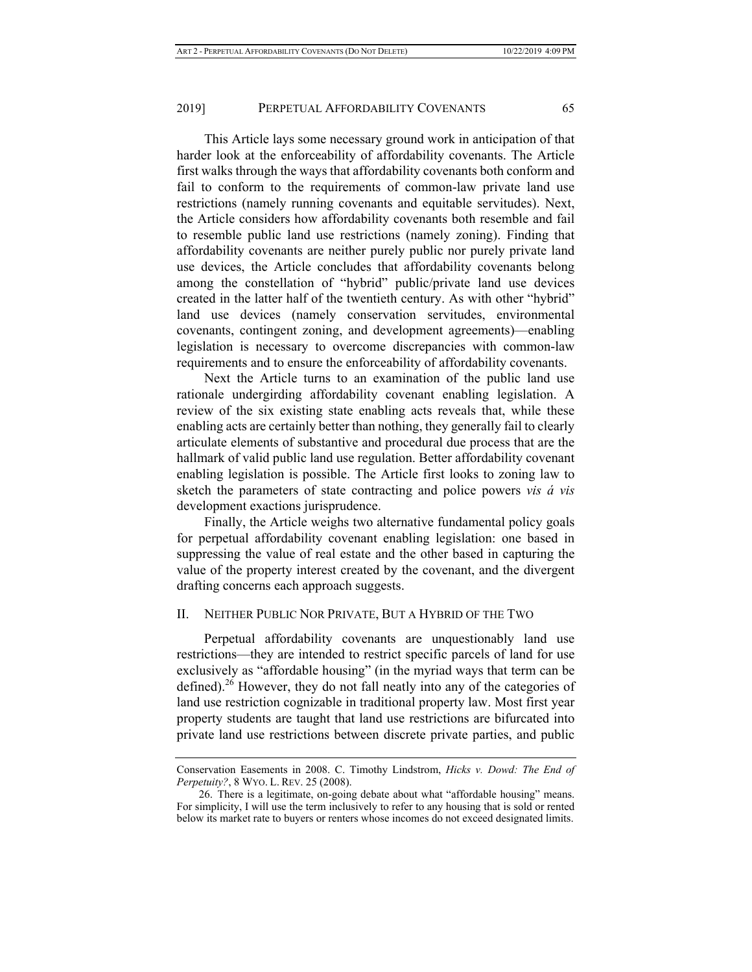This Article lays some necessary ground work in anticipation of that harder look at the enforceability of affordability covenants. The Article first walks through the ways that affordability covenants both conform and fail to conform to the requirements of common-law private land use restrictions (namely running covenants and equitable servitudes). Next, the Article considers how affordability covenants both resemble and fail to resemble public land use restrictions (namely zoning). Finding that affordability covenants are neither purely public nor purely private land use devices, the Article concludes that affordability covenants belong among the constellation of "hybrid" public/private land use devices created in the latter half of the twentieth century. As with other "hybrid" land use devices (namely conservation servitudes, environmental covenants, contingent zoning, and development agreements)—enabling legislation is necessary to overcome discrepancies with common-law requirements and to ensure the enforceability of affordability covenants.

Next the Article turns to an examination of the public land use rationale undergirding affordability covenant enabling legislation. A review of the six existing state enabling acts reveals that, while these enabling acts are certainly better than nothing, they generally fail to clearly articulate elements of substantive and procedural due process that are the hallmark of valid public land use regulation. Better affordability covenant enabling legislation is possible. The Article first looks to zoning law to sketch the parameters of state contracting and police powers *vis á vis* development exactions jurisprudence.

Finally, the Article weighs two alternative fundamental policy goals for perpetual affordability covenant enabling legislation: one based in suppressing the value of real estate and the other based in capturing the value of the property interest created by the covenant, and the divergent drafting concerns each approach suggests.

## II. NEITHER PUBLIC NOR PRIVATE, BUT A HYBRID OF THE TWO

Perpetual affordability covenants are unquestionably land use restrictions—they are intended to restrict specific parcels of land for use exclusively as "affordable housing" (in the myriad ways that term can be defined).<sup>26</sup> However, they do not fall neatly into any of the categories of land use restriction cognizable in traditional property law. Most first year property students are taught that land use restrictions are bifurcated into private land use restrictions between discrete private parties, and public

Conservation Easements in 2008. C. Timothy Lindstrom, *Hicks v. Dowd: The End of Perpetuity?*, 8 WYO. L. REV. 25 (2008).

<sup>26.</sup> There is a legitimate, on-going debate about what "affordable housing" means. For simplicity, I will use the term inclusively to refer to any housing that is sold or rented below its market rate to buyers or renters whose incomes do not exceed designated limits.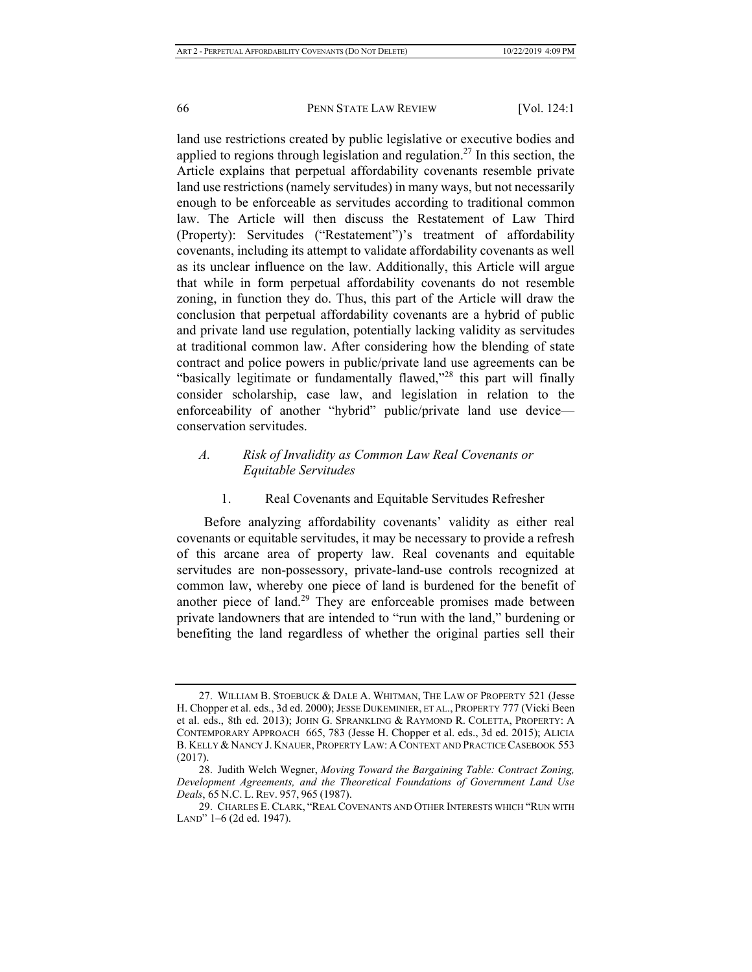land use restrictions created by public legislative or executive bodies and applied to regions through legislation and regulation.<sup>27</sup> In this section, the Article explains that perpetual affordability covenants resemble private land use restrictions (namely servitudes) in many ways, but not necessarily enough to be enforceable as servitudes according to traditional common law. The Article will then discuss the Restatement of Law Third (Property): Servitudes ("Restatement")'s treatment of affordability covenants, including its attempt to validate affordability covenants as well as its unclear influence on the law. Additionally, this Article will argue that while in form perpetual affordability covenants do not resemble zoning, in function they do. Thus, this part of the Article will draw the conclusion that perpetual affordability covenants are a hybrid of public and private land use regulation, potentially lacking validity as servitudes at traditional common law. After considering how the blending of state contract and police powers in public/private land use agreements can be "basically legitimate or fundamentally flawed,"<sup>28</sup> this part will finally consider scholarship, case law, and legislation in relation to the enforceability of another "hybrid" public/private land use device conservation servitudes.

## *A. Risk of Invalidity as Common Law Real Covenants or Equitable Servitudes*

#### 1. Real Covenants and Equitable Servitudes Refresher

Before analyzing affordability covenants' validity as either real covenants or equitable servitudes, it may be necessary to provide a refresh of this arcane area of property law. Real covenants and equitable servitudes are non-possessory, private-land-use controls recognized at common law, whereby one piece of land is burdened for the benefit of another piece of land.<sup>29</sup> They are enforceable promises made between private landowners that are intended to "run with the land," burdening or benefiting the land regardless of whether the original parties sell their

<sup>27.</sup> WILLIAM B. STOEBUCK & DALE A. WHITMAN, THE LAW OF PROPERTY 521 (Jesse H. Chopper et al. eds., 3d ed. 2000); JESSE DUKEMINIER, ET AL., PROPERTY 777 (Vicki Been et al. eds., 8th ed. 2013); JOHN G. SPRANKLING & RAYMOND R. COLETTA, PROPERTY: A CONTEMPORARY APPROACH 665, 783 (Jesse H. Chopper et al. eds., 3d ed. 2015); ALICIA B. KELLY & NANCY J. KNAUER, PROPERTY LAW: A CONTEXT AND PRACTICE CASEBOOK 553 (2017).

<sup>28.</sup> Judith Welch Wegner, *Moving Toward the Bargaining Table: Contract Zoning, Development Agreements, and the Theoretical Foundations of Government Land Use Deals*, 65 N.C. L. REV. 957, 965 (1987).

<sup>29.</sup> CHARLES E. CLARK, "REAL COVENANTS AND OTHER INTERESTS WHICH "RUN WITH LAND" 1–6 (2d ed. 1947).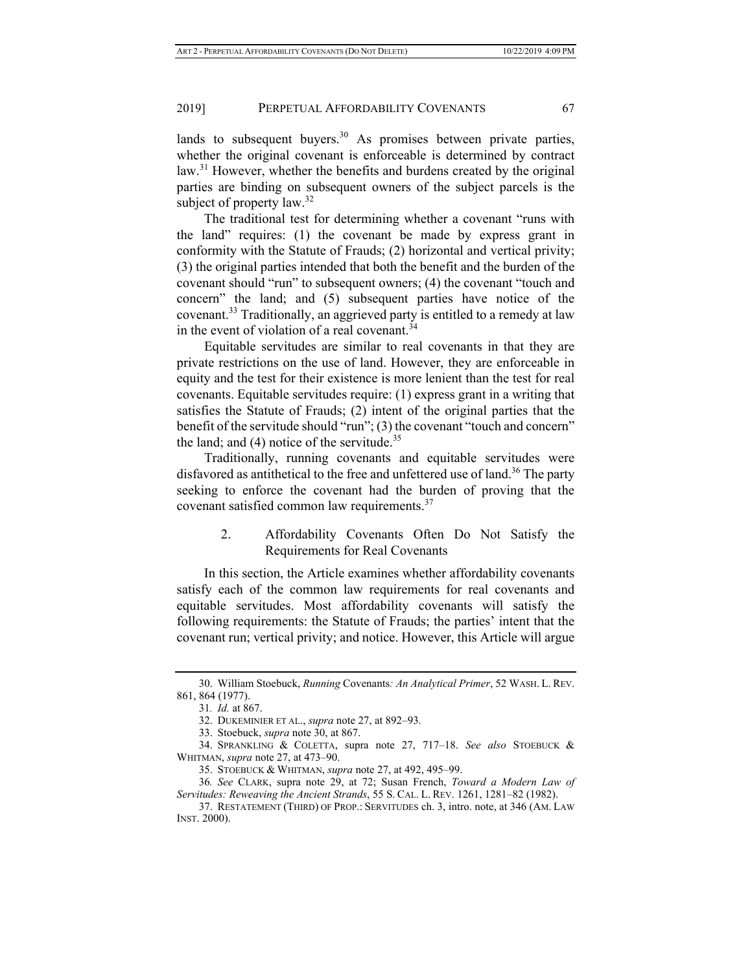lands to subsequent buyers.<sup>30</sup> As promises between private parties, whether the original covenant is enforceable is determined by contract law.<sup>31</sup> However, whether the benefits and burdens created by the original parties are binding on subsequent owners of the subject parcels is the subject of property law.<sup>32</sup>

The traditional test for determining whether a covenant "runs with the land" requires: (1) the covenant be made by express grant in conformity with the Statute of Frauds; (2) horizontal and vertical privity; (3) the original parties intended that both the benefit and the burden of the covenant should "run" to subsequent owners; (4) the covenant "touch and concern" the land; and (5) subsequent parties have notice of the covenant.<sup>33</sup> Traditionally, an aggrieved party is entitled to a remedy at law in the event of violation of a real covenant.<sup>34</sup>

Equitable servitudes are similar to real covenants in that they are private restrictions on the use of land. However, they are enforceable in equity and the test for their existence is more lenient than the test for real covenants. Equitable servitudes require: (1) express grant in a writing that satisfies the Statute of Frauds; (2) intent of the original parties that the benefit of the servitude should "run"; (3) the covenant "touch and concern" the land; and  $(4)$  notice of the servitude.<sup>35</sup>

Traditionally, running covenants and equitable servitudes were disfavored as antithetical to the free and unfettered use of land.<sup>36</sup> The party seeking to enforce the covenant had the burden of proving that the covenant satisfied common law requirements.<sup>37</sup>

> 2. Affordability Covenants Often Do Not Satisfy the Requirements for Real Covenants

In this section, the Article examines whether affordability covenants satisfy each of the common law requirements for real covenants and equitable servitudes. Most affordability covenants will satisfy the following requirements: the Statute of Frauds; the parties' intent that the covenant run; vertical privity; and notice. However, this Article will argue

<sup>30.</sup> William Stoebuck, *Running* Covenants*: An Analytical Primer*, 52 WASH. L. REV. 861, 864 (1977).

<sup>31</sup>*. Id.* at 867.

<sup>32.</sup> DUKEMINIER ET AL., *supra* note 27, at 892–93.

<sup>33.</sup> Stoebuck, *supra* note 30, at 867.

<sup>34.</sup> SPRANKLING & COLETTA, supra note 27, 717–18. *See also* STOEBUCK & WHITMAN, *supra* note 27, at 473–90.

<sup>35.</sup> STOEBUCK & WHITMAN, *supra* note 27, at 492, 495–99.

<sup>36</sup>*. See* CLARK, supra note 29, at 72; Susan French, *Toward a Modern Law of Servitudes: Reweaving the Ancient Strands*, 55 S. CAL. L. REV. 1261, 1281–82 (1982).

<sup>37.</sup> RESTATEMENT (THIRD) OF PROP.: SERVITUDES ch. 3, intro. note, at 346 (AM. LAW INST. 2000).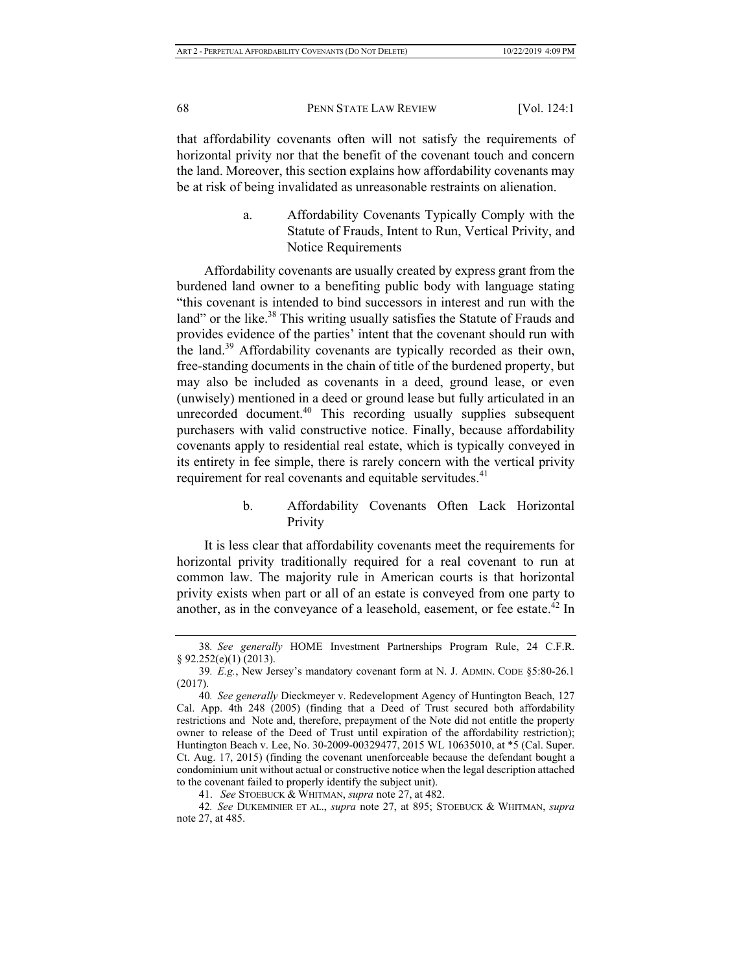that affordability covenants often will not satisfy the requirements of horizontal privity nor that the benefit of the covenant touch and concern the land. Moreover, this section explains how affordability covenants may be at risk of being invalidated as unreasonable restraints on alienation.

> a. Affordability Covenants Typically Comply with the Statute of Frauds, Intent to Run, Vertical Privity, and Notice Requirements

Affordability covenants are usually created by express grant from the burdened land owner to a benefiting public body with language stating "this covenant is intended to bind successors in interest and run with the land" or the like.<sup>38</sup> This writing usually satisfies the Statute of Frauds and provides evidence of the parties' intent that the covenant should run with the land.<sup>39</sup> Affordability covenants are typically recorded as their own, free-standing documents in the chain of title of the burdened property, but may also be included as covenants in a deed, ground lease, or even (unwisely) mentioned in a deed or ground lease but fully articulated in an unrecorded document.<sup>40</sup> This recording usually supplies subsequent purchasers with valid constructive notice. Finally, because affordability covenants apply to residential real estate, which is typically conveyed in its entirety in fee simple, there is rarely concern with the vertical privity requirement for real covenants and equitable servitudes.<sup>41</sup>

## b. Affordability Covenants Often Lack Horizontal Privity

It is less clear that affordability covenants meet the requirements for horizontal privity traditionally required for a real covenant to run at common law. The majority rule in American courts is that horizontal privity exists when part or all of an estate is conveyed from one party to another, as in the conveyance of a leasehold, easement, or fee estate.<sup>42</sup> In

<sup>38</sup>*. See generally* HOME Investment Partnerships Program Rule, 24 C.F.R. § 92.252(e)(1) (2013).

<sup>39</sup>*. E.g.*, New Jersey's mandatory covenant form at N. J. ADMIN. CODE §5:80-26.1 (2017).

<sup>40</sup>*. See generally* Dieckmeyer v. Redevelopment Agency of Huntington Beach, 127 Cal. App. 4th 248 (2005) (finding that a Deed of Trust secured both affordability restrictions and Note and, therefore, prepayment of the Note did not entitle the property owner to release of the Deed of Trust until expiration of the affordability restriction); Huntington Beach v. Lee, No. 30-2009-00329477, 2015 WL 10635010, at \*5 (Cal. Super. Ct. Aug. 17, 2015) (finding the covenant unenforceable because the defendant bought a condominium unit without actual or constructive notice when the legal description attached to the covenant failed to properly identify the subject unit).

<sup>41.</sup> *See* STOEBUCK & WHITMAN, *supra* note 27, at 482.

<sup>42</sup>*. See* DUKEMINIER ET AL., *supra* note 27, at 895; STOEBUCK & WHITMAN, *supra* note 27, at 485.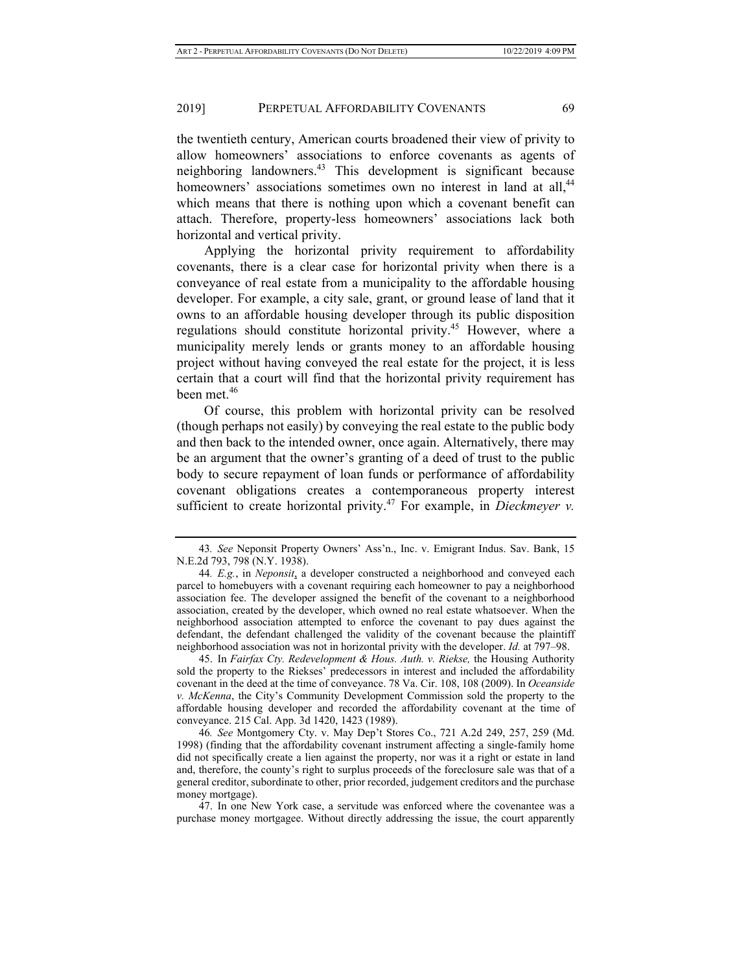the twentieth century, American courts broadened their view of privity to allow homeowners' associations to enforce covenants as agents of neighboring landowners.43 This development is significant because homeowners' associations sometimes own no interest in land at all,<sup>44</sup> which means that there is nothing upon which a covenant benefit can attach. Therefore, property-less homeowners' associations lack both horizontal and vertical privity.

Applying the horizontal privity requirement to affordability covenants, there is a clear case for horizontal privity when there is a conveyance of real estate from a municipality to the affordable housing developer. For example, a city sale, grant, or ground lease of land that it owns to an affordable housing developer through its public disposition regulations should constitute horizontal privity.<sup>45</sup> However, where a municipality merely lends or grants money to an affordable housing project without having conveyed the real estate for the project, it is less certain that a court will find that the horizontal privity requirement has been met.<sup>46</sup>

Of course, this problem with horizontal privity can be resolved (though perhaps not easily) by conveying the real estate to the public body and then back to the intended owner, once again. Alternatively, there may be an argument that the owner's granting of a deed of trust to the public body to secure repayment of loan funds or performance of affordability covenant obligations creates a contemporaneous property interest sufficient to create horizontal privity.<sup>47</sup> For example, in *Dieckmeyer v*.

45. In *Fairfax Cty. Redevelopment & Hous. Auth. v. Riekse,* the Housing Authority sold the property to the Riekses' predecessors in interest and included the affordability covenant in the deed at the time of conveyance. 78 Va. Cir. 108, 108 (2009). In *Oceanside v. McKenna*, the City's Community Development Commission sold the property to the affordable housing developer and recorded the affordability covenant at the time of conveyance. 215 Cal. App. 3d 1420, 1423 (1989).

46*. See* Montgomery Cty. v. May Dep't Stores Co., 721 A.2d 249, 257, 259 (Md. 1998) (finding that the affordability covenant instrument affecting a single-family home did not specifically create a lien against the property, nor was it a right or estate in land and, therefore, the county's right to surplus proceeds of the foreclosure sale was that of a general creditor, subordinate to other, prior recorded, judgement creditors and the purchase money mortgage).

47. In one New York case, a servitude was enforced where the covenantee was a purchase money mortgagee. Without directly addressing the issue, the court apparently

<sup>43</sup>*. See* Neponsit Property Owners' Ass'n., Inc. v. Emigrant Indus. Sav. Bank, 15 N.E.2d 793, 798 (N.Y. 1938).

<sup>44</sup>*. E.g.*, in *Neponsit*, a developer constructed a neighborhood and conveyed each parcel to homebuyers with a covenant requiring each homeowner to pay a neighborhood association fee. The developer assigned the benefit of the covenant to a neighborhood association, created by the developer, which owned no real estate whatsoever. When the neighborhood association attempted to enforce the covenant to pay dues against the defendant, the defendant challenged the validity of the covenant because the plaintiff neighborhood association was not in horizontal privity with the developer. *Id.* at 797–98.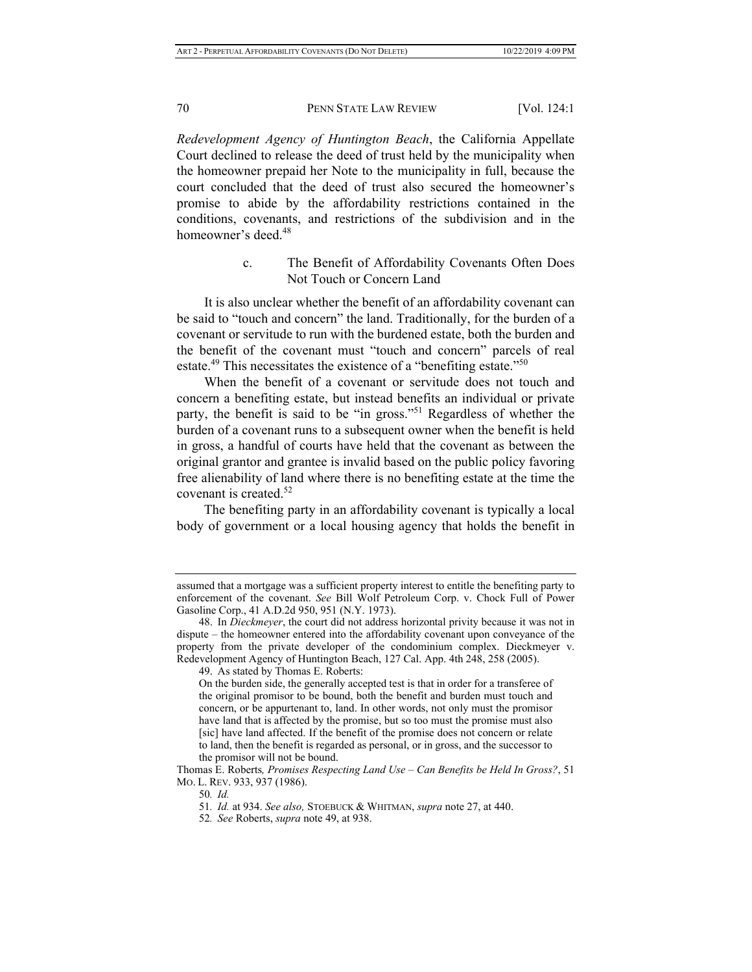*Redevelopment Agency of Huntington Beach*, the California Appellate Court declined to release the deed of trust held by the municipality when the homeowner prepaid her Note to the municipality in full, because the court concluded that the deed of trust also secured the homeowner's promise to abide by the affordability restrictions contained in the conditions, covenants, and restrictions of the subdivision and in the homeowner's deed.<sup>48</sup>

> c. The Benefit of Affordability Covenants Often Does Not Touch or Concern Land

It is also unclear whether the benefit of an affordability covenant can be said to "touch and concern" the land. Traditionally, for the burden of a covenant or servitude to run with the burdened estate, both the burden and the benefit of the covenant must "touch and concern" parcels of real estate.<sup>49</sup> This necessitates the existence of a "benefiting estate."<sup>50</sup>

When the benefit of a covenant or servitude does not touch and concern a benefiting estate, but instead benefits an individual or private party, the benefit is said to be "in gross."<sup>51</sup> Regardless of whether the burden of a covenant runs to a subsequent owner when the benefit is held in gross, a handful of courts have held that the covenant as between the original grantor and grantee is invalid based on the public policy favoring free alienability of land where there is no benefiting estate at the time the covenant is created.52

The benefiting party in an affordability covenant is typically a local body of government or a local housing agency that holds the benefit in

assumed that a mortgage was a sufficient property interest to entitle the benefiting party to enforcement of the covenant. *See* Bill Wolf Petroleum Corp. v. Chock Full of Power Gasoline Corp., 41 A.D.2d 950, 951 (N.Y. 1973).

<sup>48.</sup> In *Dieckmeyer*, the court did not address horizontal privity because it was not in dispute – the homeowner entered into the affordability covenant upon conveyance of the property from the private developer of the condominium complex. Dieckmeyer v. Redevelopment Agency of Huntington Beach, 127 Cal. App. 4th 248, 258 (2005).

<sup>49.</sup> As stated by Thomas E. Roberts:

On the burden side, the generally accepted test is that in order for a transferee of the original promisor to be bound, both the benefit and burden must touch and concern, or be appurtenant to, land. In other words, not only must the promisor have land that is affected by the promise, but so too must the promise must also [sic] have land affected. If the benefit of the promise does not concern or relate to land, then the benefit is regarded as personal, or in gross, and the successor to the promisor will not be bound.

Thomas E. Roberts*, Promises Respecting Land Use – Can Benefits be Held In Gross?*, 51 MO. L. REV. 933, 937 (1986).

<sup>50</sup>*. Id.*

<sup>51</sup>*. Id.* at 934. *See also,* STOEBUCK & WHITMAN, *supra* note 27, at 440.

<sup>52</sup>*. See* Roberts, *supra* note 49, at 938.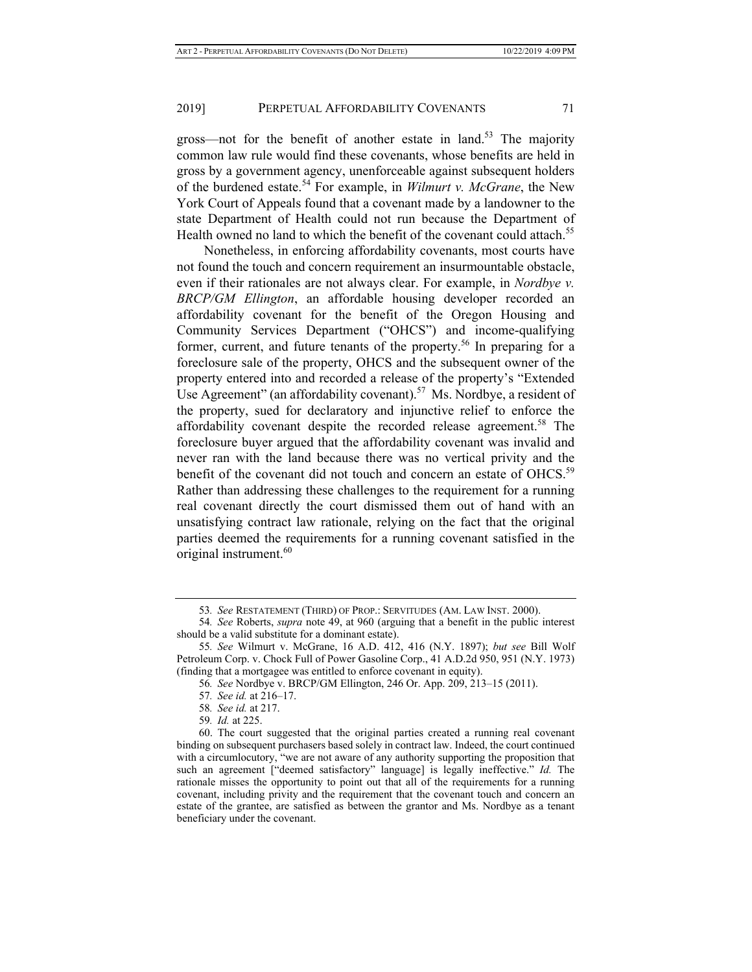gross—not for the benefit of another estate in land.<sup>53</sup> The majority common law rule would find these covenants, whose benefits are held in gross by a government agency, unenforceable against subsequent holders of the burdened estate.54 For example, in *Wilmurt v. McGrane*, the New York Court of Appeals found that a covenant made by a landowner to the state Department of Health could not run because the Department of Health owned no land to which the benefit of the covenant could attach.<sup>55</sup>

Nonetheless, in enforcing affordability covenants, most courts have not found the touch and concern requirement an insurmountable obstacle, even if their rationales are not always clear. For example, in *Nordbye v. BRCP/GM Ellington*, an affordable housing developer recorded an affordability covenant for the benefit of the Oregon Housing and Community Services Department ("OHCS") and income-qualifying former, current, and future tenants of the property.<sup>56</sup> In preparing for a foreclosure sale of the property, OHCS and the subsequent owner of the property entered into and recorded a release of the property's "Extended Use Agreement" (an affordability covenant).<sup>57</sup> Ms. Nordbye, a resident of the property, sued for declaratory and injunctive relief to enforce the affordability covenant despite the recorded release agreement.<sup>58</sup> The foreclosure buyer argued that the affordability covenant was invalid and never ran with the land because there was no vertical privity and the benefit of the covenant did not touch and concern an estate of OHCS.<sup>59</sup> Rather than addressing these challenges to the requirement for a running real covenant directly the court dismissed them out of hand with an unsatisfying contract law rationale, relying on the fact that the original parties deemed the requirements for a running covenant satisfied in the original instrument.<sup>60</sup>

<sup>53</sup>*. See* RESTATEMENT (THIRD) OF PROP.: SERVITUDES (AM. LAW INST. 2000).

<sup>54</sup>*. See* Roberts, *supra* note 49, at 960 (arguing that a benefit in the public interest should be a valid substitute for a dominant estate).

<sup>55</sup>*. See* Wilmurt v. McGrane, 16 A.D. 412, 416 (N.Y. 1897); *but see* Bill Wolf Petroleum Corp. v. Chock Full of Power Gasoline Corp., 41 A.D.2d 950, 951 (N.Y. 1973) (finding that a mortgagee was entitled to enforce covenant in equity).

<sup>56</sup>*. See* Nordbye v. BRCP/GM Ellington, 246 Or. App. 209, 213–15 (2011).

<sup>57</sup>*. See id.* at 216–17.

<sup>58</sup>*. See id.* at 217.

<sup>59</sup>*. Id.* at 225.

<sup>60.</sup> The court suggested that the original parties created a running real covenant binding on subsequent purchasers based solely in contract law. Indeed, the court continued with a circumlocutory, "we are not aware of any authority supporting the proposition that such an agreement ["deemed satisfactory" language] is legally ineffective." *Id.* The rationale misses the opportunity to point out that all of the requirements for a running covenant, including privity and the requirement that the covenant touch and concern an estate of the grantee, are satisfied as between the grantor and Ms. Nordbye as a tenant beneficiary under the covenant.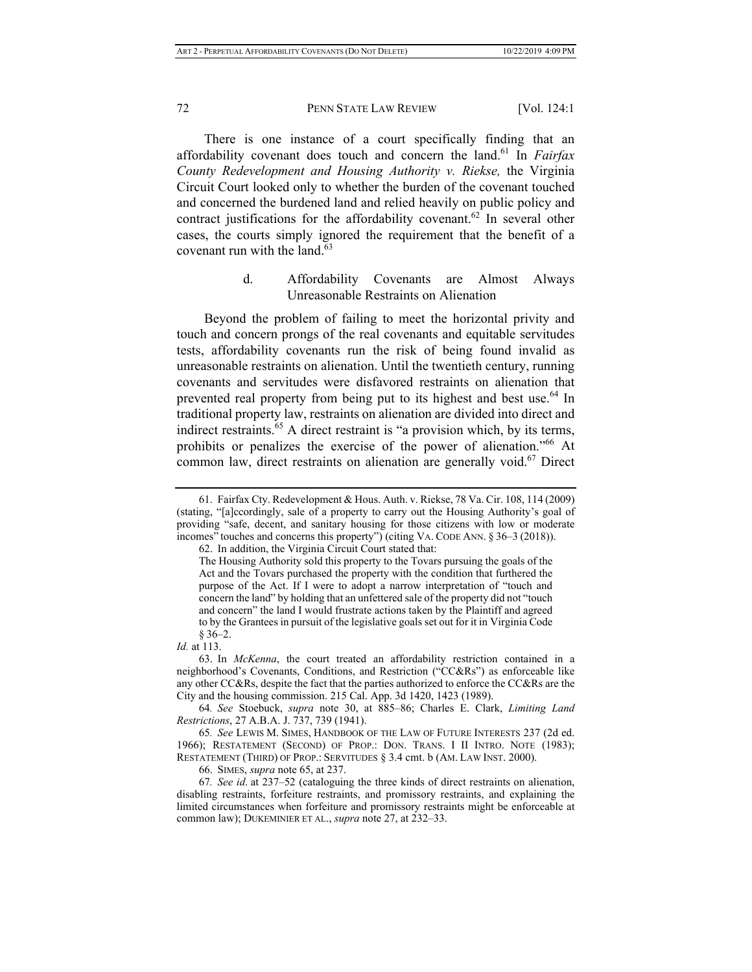There is one instance of a court specifically finding that an affordability covenant does touch and concern the land.61 In *Fairfax County Redevelopment and Housing Authority v. Riekse,* the Virginia Circuit Court looked only to whether the burden of the covenant touched and concerned the burdened land and relied heavily on public policy and contract justifications for the affordability covenant.<sup>62</sup> In several other cases, the courts simply ignored the requirement that the benefit of a covenant run with the land. $63$ 

## d. Affordability Covenants are Almost Always Unreasonable Restraints on Alienation

Beyond the problem of failing to meet the horizontal privity and touch and concern prongs of the real covenants and equitable servitudes tests, affordability covenants run the risk of being found invalid as unreasonable restraints on alienation. Until the twentieth century, running covenants and servitudes were disfavored restraints on alienation that prevented real property from being put to its highest and best use.<sup>64</sup> In traditional property law, restraints on alienation are divided into direct and indirect restraints.<sup>65</sup> A direct restraint is "a provision which, by its terms, prohibits or penalizes the exercise of the power of alienation."66 At common law, direct restraints on alienation are generally void.<sup>67</sup> Direct

<sup>61.</sup> Fairfax Cty. Redevelopment & Hous. Auth. v. Riekse, 78 Va. Cir. 108, 114 (2009) (stating, "[a]ccordingly, sale of a property to carry out the Housing Authority's goal of providing "safe, decent, and sanitary housing for those citizens with low or moderate incomes" touches and concerns this property") (citing VA. CODE ANN. § 36–3 (2018)).

<sup>62.</sup> In addition, the Virginia Circuit Court stated that:

The Housing Authority sold this property to the Tovars pursuing the goals of the Act and the Tovars purchased the property with the condition that furthered the purpose of the Act. If I were to adopt a narrow interpretation of "touch and concern the land" by holding that an unfettered sale of the property did not "touch and concern" the land I would frustrate actions taken by the Plaintiff and agreed to by the Grantees in pursuit of the legislative goals set out for it in Virginia Code § 36–2.

*Id.* at 113.

<sup>63.</sup> In *McKenna*, the court treated an affordability restriction contained in a neighborhood's Covenants, Conditions, and Restriction ("CC&Rs") as enforceable like any other CC&Rs, despite the fact that the parties authorized to enforce the CC&Rs are the City and the housing commission. 215 Cal. App. 3d 1420, 1423 (1989).

<sup>64</sup>*. See* Stoebuck, *supra* note 30, at 885–86; Charles E. Clark, *Limiting Land Restrictions*, 27 A.B.A. J. 737, 739 (1941).

<sup>65</sup>*. See* LEWIS M. SIMES, HANDBOOK OF THE LAW OF FUTURE INTERESTS 237 (2d ed. 1966); RESTATEMENT (SECOND) OF PROP.: DON. TRANS. I II INTRO. NOTE (1983); RESTATEMENT (THIRD) OF PROP.: SERVITUDES § 3.4 cmt. b (AM. LAW INST. 2000).

<sup>66.</sup> SIMES, *supra* note 65, at 237.

<sup>67</sup>*. See id*. at 237–52 (cataloguing the three kinds of direct restraints on alienation, disabling restraints, forfeiture restraints, and promissory restraints, and explaining the limited circumstances when forfeiture and promissory restraints might be enforceable at common law); DUKEMINIER ET AL., *supra* note 27, at 232–33.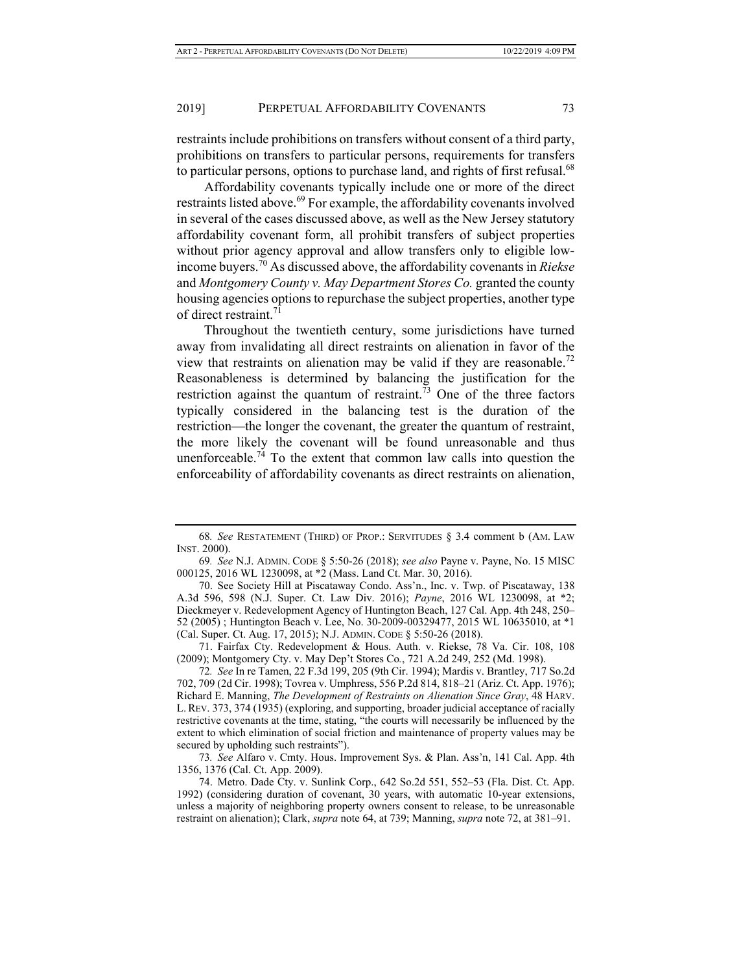restraints include prohibitions on transfers without consent of a third party, prohibitions on transfers to particular persons, requirements for transfers to particular persons, options to purchase land, and rights of first refusal.<sup>68</sup>

Affordability covenants typically include one or more of the direct restraints listed above.<sup>69</sup> For example, the affordability covenants involved in several of the cases discussed above, as well as the New Jersey statutory affordability covenant form, all prohibit transfers of subject properties without prior agency approval and allow transfers only to eligible lowincome buyers.70 As discussed above, the affordability covenants in *Riekse* and *Montgomery County v. May Department Stores Co.* granted the county housing agencies options to repurchase the subject properties, another type of direct restraint.<sup>71</sup>

Throughout the twentieth century, some jurisdictions have turned away from invalidating all direct restraints on alienation in favor of the view that restraints on alienation may be valid if they are reasonable.<sup>72</sup> Reasonableness is determined by balancing the justification for the restriction against the quantum of restraint.<sup>73</sup> One of the three factors typically considered in the balancing test is the duration of the restriction—the longer the covenant, the greater the quantum of restraint, the more likely the covenant will be found unreasonable and thus unenforceable.<sup>74</sup> To the extent that common law calls into question the enforceability of affordability covenants as direct restraints on alienation,

71. Fairfax Cty. Redevelopment & Hous. Auth. v. Riekse, 78 Va. Cir. 108, 108 (2009); Montgomery Cty. v. May Dep't Stores Co*.*, 721 A.2d 249, 252 (Md. 1998).

73*. See* Alfaro v. Cmty. Hous. Improvement Sys. & Plan. Ass'n, 141 Cal. App. 4th 1356, 1376 (Cal. Ct. App. 2009).

<sup>68</sup>*. See* RESTATEMENT (THIRD) OF PROP.: SERVITUDES § 3.4 comment b (AM. LAW INST. 2000).

<sup>69</sup>*. See* N.J. ADMIN. CODE § 5:50-26 (2018); *see also* Payne v. Payne, No. 15 MISC 000125, 2016 WL 1230098, at \*2 (Mass. Land Ct. Mar. 30, 2016).

<sup>70.</sup> See Society Hill at Piscataway Condo. Ass'n., Inc. v. Twp. of Piscataway, 138 A.3d 596, 598 (N.J. Super. Ct. Law Div. 2016); *Payne*, 2016 WL 1230098, at \*2; Dieckmeyer v. Redevelopment Agency of Huntington Beach, 127 Cal. App. 4th 248, 250– 52 (2005) ; Huntington Beach v. Lee, No. 30-2009-00329477, 2015 WL 10635010, at \*1 (Cal. Super. Ct. Aug. 17, 2015); N.J. ADMIN. CODE § 5:50-26 (2018).

<sup>72</sup>*. See* In re Tamen, 22 F.3d 199, 205 (9th Cir. 1994); Mardis v. Brantley, 717 So.2d 702, 709 (2d Cir. 1998); Tovrea v. Umphress, 556 P.2d 814, 818–21 (Ariz. Ct. App. 1976); Richard E. Manning, *The Development of Restraints on Alienation Since Gray*, 48 HARV. L. REV. 373, 374 (1935) (exploring, and supporting, broader judicial acceptance of racially restrictive covenants at the time, stating, "the courts will necessarily be influenced by the extent to which elimination of social friction and maintenance of property values may be secured by upholding such restraints").

<sup>74.</sup> Metro. Dade Cty. v. Sunlink Corp., 642 So.2d 551, 552–53 (Fla. Dist. Ct. App. 1992) (considering duration of covenant, 30 years, with automatic 10-year extensions, unless a majority of neighboring property owners consent to release, to be unreasonable restraint on alienation); Clark, *supra* note 64, at 739; Manning, *supra* note 72, at 381–91.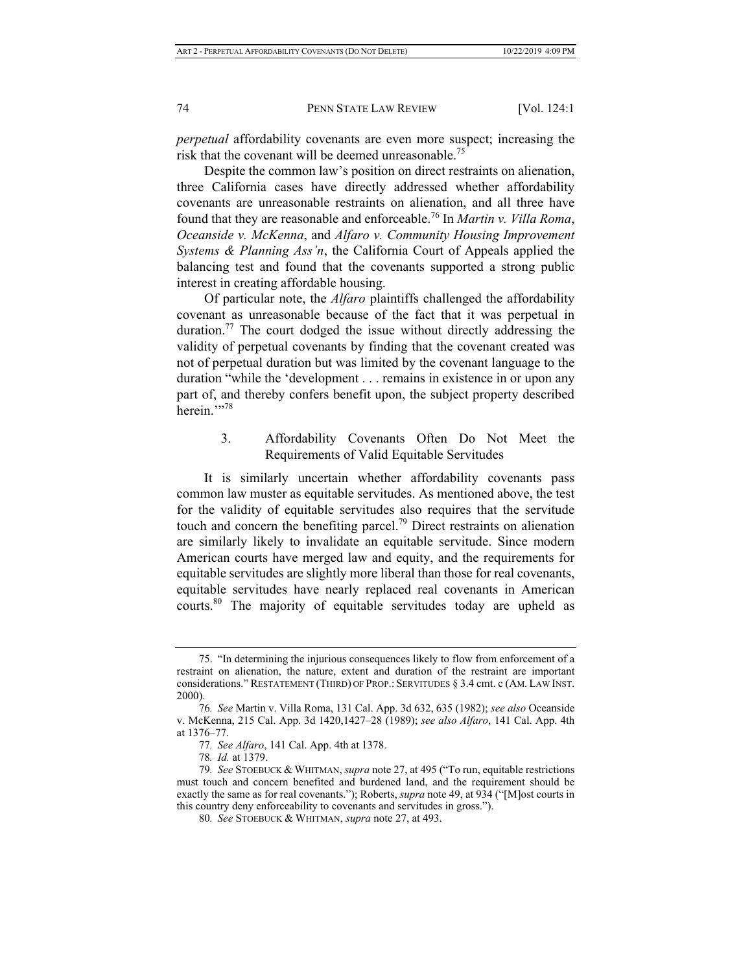*perpetual* affordability covenants are even more suspect; increasing the risk that the covenant will be deemed unreasonable.<sup>75</sup>

Despite the common law's position on direct restraints on alienation, three California cases have directly addressed whether affordability covenants are unreasonable restraints on alienation, and all three have found that they are reasonable and enforceable.76 In *Martin v. Villa Roma*, *Oceanside v. McKenna*, and *Alfaro v. Community Housing Improvement Systems & Planning Ass'n*, the California Court of Appeals applied the balancing test and found that the covenants supported a strong public interest in creating affordable housing.

Of particular note, the *Alfaro* plaintiffs challenged the affordability covenant as unreasonable because of the fact that it was perpetual in duration.<sup>77</sup> The court dodged the issue without directly addressing the validity of perpetual covenants by finding that the covenant created was not of perpetual duration but was limited by the covenant language to the duration "while the 'development . . . remains in existence in or upon any part of, and thereby confers benefit upon, the subject property described herein."<sup>78</sup>

> 3. Affordability Covenants Often Do Not Meet the Requirements of Valid Equitable Servitudes

It is similarly uncertain whether affordability covenants pass common law muster as equitable servitudes. As mentioned above, the test for the validity of equitable servitudes also requires that the servitude touch and concern the benefiting parcel.<sup>79</sup> Direct restraints on alienation are similarly likely to invalidate an equitable servitude. Since modern American courts have merged law and equity, and the requirements for equitable servitudes are slightly more liberal than those for real covenants, equitable servitudes have nearly replaced real covenants in American courts.<sup>80</sup> The majority of equitable servitudes today are upheld as

<sup>75. &</sup>quot;In determining the injurious consequences likely to flow from enforcement of a restraint on alienation, the nature, extent and duration of the restraint are important considerations." RESTATEMENT (THIRD) OF PROP.: SERVITUDES § 3.4 cmt. c (AM. LAW INST. 2000).

<sup>76</sup>*. See* Martin v. Villa Roma, 131 Cal. App. 3d 632, 635 (1982); *see also* Oceanside v. McKenna, 215 Cal. App. 3d 1420,1427–28 (1989); *see also Alfaro*, 141 Cal. App. 4th at 1376–77.

<sup>77</sup>*. See Alfaro*, 141 Cal. App. 4th at 1378.

<sup>78</sup>*. Id.* at 1379.

<sup>79</sup>*. See* STOEBUCK & WHITMAN, *supra* note 27, at 495 ("To run, equitable restrictions must touch and concern benefited and burdened land, and the requirement should be exactly the same as for real covenants."); Roberts, *supra* note 49, at 934 ("[M]ost courts in this country deny enforceability to covenants and servitudes in gross.").

<sup>80</sup>*. See* STOEBUCK & WHITMAN, *supra* note 27, at 493.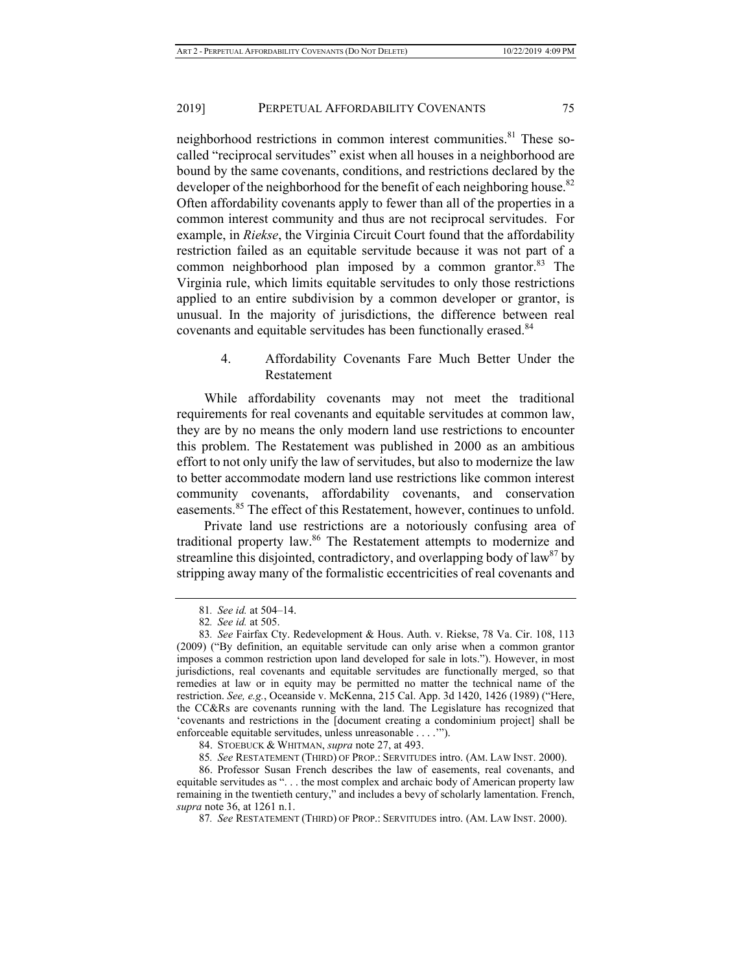neighborhood restrictions in common interest communities.<sup>81</sup> These socalled "reciprocal servitudes" exist when all houses in a neighborhood are bound by the same covenants, conditions, and restrictions declared by the developer of the neighborhood for the benefit of each neighboring house.<sup>82</sup> Often affordability covenants apply to fewer than all of the properties in a common interest community and thus are not reciprocal servitudes. For example, in *Riekse*, the Virginia Circuit Court found that the affordability restriction failed as an equitable servitude because it was not part of a common neighborhood plan imposed by a common grantor. $83$  The Virginia rule, which limits equitable servitudes to only those restrictions applied to an entire subdivision by a common developer or grantor, is unusual. In the majority of jurisdictions, the difference between real covenants and equitable servitudes has been functionally erased.<sup>84</sup>

## 4. Affordability Covenants Fare Much Better Under the Restatement

While affordability covenants may not meet the traditional requirements for real covenants and equitable servitudes at common law, they are by no means the only modern land use restrictions to encounter this problem. The Restatement was published in 2000 as an ambitious effort to not only unify the law of servitudes, but also to modernize the law to better accommodate modern land use restrictions like common interest community covenants, affordability covenants, and conservation easements.<sup>85</sup> The effect of this Restatement, however, continues to unfold.

Private land use restrictions are a notoriously confusing area of traditional property law.<sup>86</sup> The Restatement attempts to modernize and streamline this disjointed, contradictory, and overlapping body of  $law<sup>87</sup>$  by stripping away many of the formalistic eccentricities of real covenants and

<sup>81</sup>*. See id.* at 504–14.

<sup>82</sup>*. See id.* at 505.

<sup>83</sup>*. See* Fairfax Cty. Redevelopment & Hous. Auth. v. Riekse, 78 Va. Cir. 108, 113 (2009) ("By definition, an equitable servitude can only arise when a common grantor imposes a common restriction upon land developed for sale in lots."). However, in most jurisdictions, real covenants and equitable servitudes are functionally merged, so that remedies at law or in equity may be permitted no matter the technical name of the restriction. *See, e.g.*, Oceanside v. McKenna, 215 Cal. App. 3d 1420, 1426 (1989) ("Here, the CC&Rs are covenants running with the land. The Legislature has recognized that 'covenants and restrictions in the [document creating a condominium project] shall be enforceable equitable servitudes, unless unreasonable . . . .'").

<sup>84.</sup> STOEBUCK & WHITMAN, *supra* note 27, at 493.

<sup>85</sup>*. See* RESTATEMENT (THIRD) OF PROP.: SERVITUDES intro. (AM. LAW INST. 2000).

<sup>86.</sup> Professor Susan French describes the law of easements, real covenants, and equitable servitudes as ". . . the most complex and archaic body of American property law remaining in the twentieth century," and includes a bevy of scholarly lamentation. French, *supra* note 36, at 1261 n.1.

<sup>87</sup>*. See* RESTATEMENT (THIRD) OF PROP.: SERVITUDES intro. (AM. LAW INST. 2000).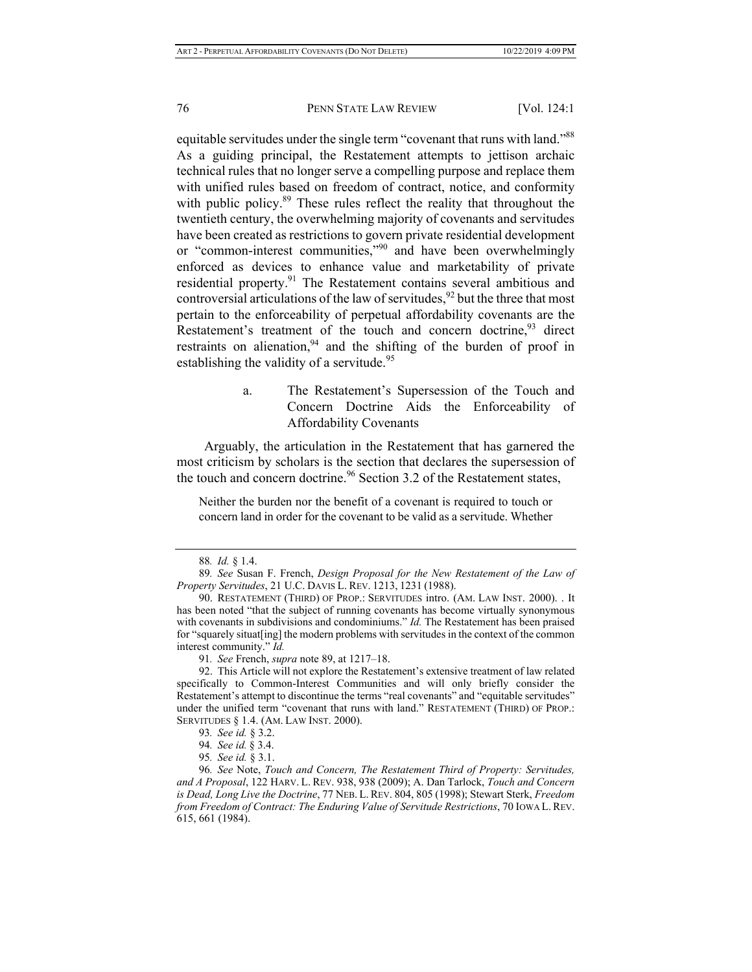equitable servitudes under the single term "covenant that runs with land."<sup>88</sup> As a guiding principal, the Restatement attempts to jettison archaic technical rules that no longer serve a compelling purpose and replace them with unified rules based on freedom of contract, notice, and conformity with public policy.<sup>89</sup> These rules reflect the reality that throughout the twentieth century, the overwhelming majority of covenants and servitudes have been created as restrictions to govern private residential development or "common-interest communities,"90 and have been overwhelmingly enforced as devices to enhance value and marketability of private residential property.<sup>91</sup> The Restatement contains several ambitious and controversial articulations of the law of servitudes,  $92$  but the three that most pertain to the enforceability of perpetual affordability covenants are the Restatement's treatment of the touch and concern doctrine,<sup>93</sup> direct restraints on alienation,  $94$  and the shifting of the burden of proof in establishing the validity of a servitude.<sup>95</sup>

> a. The Restatement's Supersession of the Touch and Concern Doctrine Aids the Enforceability of Affordability Covenants

Arguably, the articulation in the Restatement that has garnered the most criticism by scholars is the section that declares the supersession of the touch and concern doctrine.<sup>96</sup> Section 3.2 of the Restatement states,

Neither the burden nor the benefit of a covenant is required to touch or concern land in order for the covenant to be valid as a servitude. Whether

<sup>88</sup>*. Id.* § 1.4.

<sup>89</sup>*. See* Susan F. French, *Design Proposal for the New Restatement of the Law of Property Servitudes*, 21 U.C. DAVIS L. REV. 1213, 1231 (1988).

<sup>90.</sup> RESTATEMENT (THIRD) OF PROP.: SERVITUDES intro. (AM. LAW INST. 2000). . It has been noted "that the subject of running covenants has become virtually synonymous with covenants in subdivisions and condominiums." *Id.* The Restatement has been praised for "squarely situat[ing] the modern problems with servitudes in the context of the common interest community." *Id.*

<sup>91</sup>*. See* French, *supra* note 89, at 1217–18.

<sup>92.</sup> This Article will not explore the Restatement's extensive treatment of law related specifically to Common-Interest Communities and will only briefly consider the Restatement's attempt to discontinue the terms "real covenants" and "equitable servitudes" under the unified term "covenant that runs with land." RESTATEMENT (THIRD) OF PROP.: SERVITUDES § 1.4. (AM. LAW INST. 2000).

<sup>93</sup>*. See id.* § 3.2.

<sup>94</sup>*. See id.* § 3.4.

<sup>95</sup>*. See id.* § 3.1.

<sup>96</sup>*. See* Note, *Touch and Concern, The Restatement Third of Property: Servitudes, and A Proposal*, 122 HARV. L. REV. 938, 938 (2009); A. Dan Tarlock, *Touch and Concern is Dead, Long Live the Doctrine*, 77 NEB. L. REV. 804, 805 (1998); Stewart Sterk, *Freedom from Freedom of Contract: The Enduring Value of Servitude Restrictions*, 70 IOWA L.REV. 615, 661 (1984).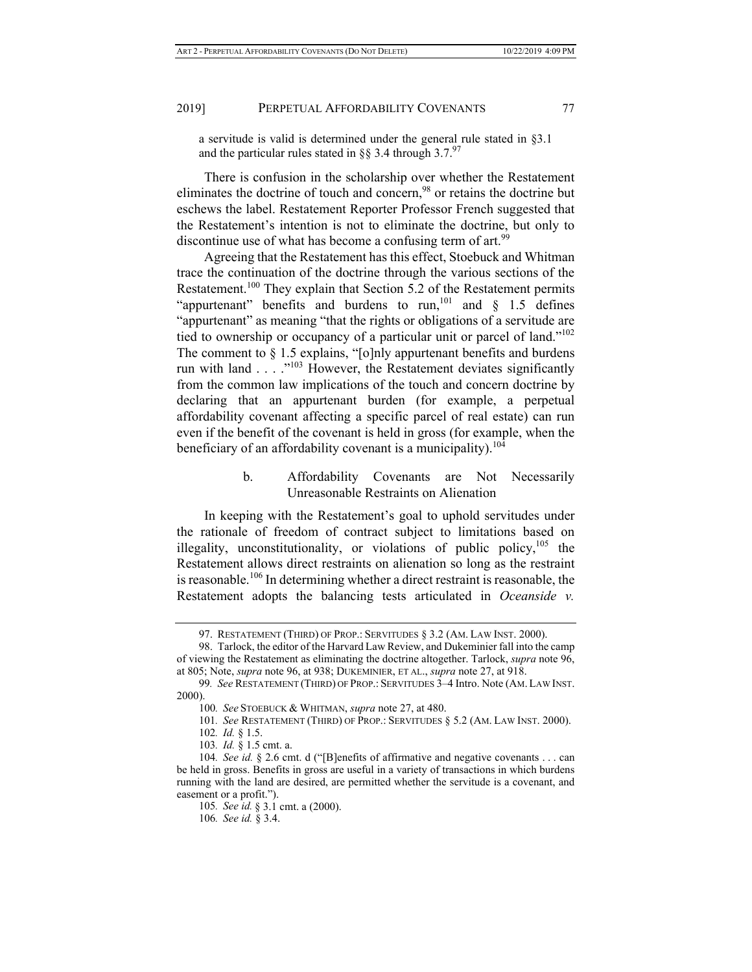a servitude is valid is determined under the general rule stated in §3.1 and the particular rules stated in  $\S$ § 3.4 through 3.7.<sup>97</sup>

There is confusion in the scholarship over whether the Restatement eliminates the doctrine of touch and concern,<sup>98</sup> or retains the doctrine but eschews the label. Restatement Reporter Professor French suggested that the Restatement's intention is not to eliminate the doctrine, but only to discontinue use of what has become a confusing term of art.<sup>99</sup>

Agreeing that the Restatement has this effect, Stoebuck and Whitman trace the continuation of the doctrine through the various sections of the Restatement.<sup>100</sup> They explain that Section 5.2 of the Restatement permits "appurtenant" benefits and burdens to run,<sup>101</sup> and  $\S$  1.5 defines "appurtenant" as meaning "that the rights or obligations of a servitude are tied to ownership or occupancy of a particular unit or parcel of land."102 The comment to § 1.5 explains, "[o]nly appurtenant benefits and burdens run with land  $\ldots$   $\cdot$ <sup>103</sup> However, the Restatement deviates significantly from the common law implications of the touch and concern doctrine by declaring that an appurtenant burden (for example, a perpetual affordability covenant affecting a specific parcel of real estate) can run even if the benefit of the covenant is held in gross (for example, when the beneficiary of an affordability covenant is a municipality).<sup>104</sup>

## b. Affordability Covenants are Not Necessarily Unreasonable Restraints on Alienation

In keeping with the Restatement's goal to uphold servitudes under the rationale of freedom of contract subject to limitations based on illegality, unconstitutionality, or violations of public policy,  $105$  the Restatement allows direct restraints on alienation so long as the restraint is reasonable.<sup>106</sup> In determining whether a direct restraint is reasonable, the Restatement adopts the balancing tests articulated in *Oceanside v.* 

<sup>97.</sup> RESTATEMENT (THIRD) OF PROP.: SERVITUDES § 3.2 (AM. LAW INST. 2000).

<sup>98.</sup> Tarlock, the editor of the Harvard Law Review, and Dukeminier fall into the camp of viewing the Restatement as eliminating the doctrine altogether. Tarlock, *supra* note 96, at 805; Note, *supra* note 96, at 938; DUKEMINIER, ET AL., *supra* note 27, at 918.

<sup>99</sup>*. See* RESTATEMENT (THIRD) OF PROP.: SERVITUDES 3–4 Intro. Note (AM. LAW INST. 2000).

<sup>100</sup>*. See* STOEBUCK & WHITMAN, *supra* note 27, at 480.

<sup>101</sup>*. See* RESTATEMENT (THIRD) OF PROP.: SERVITUDES § 5.2 (AM. LAW INST. 2000).

<sup>102</sup>*. Id.* § 1.5.

<sup>103</sup>*. Id.* § 1.5 cmt. a.

<sup>104</sup>*. See id.* § 2.6 cmt. d ("[B]enefits of affirmative and negative covenants . . . can be held in gross. Benefits in gross are useful in a variety of transactions in which burdens running with the land are desired, are permitted whether the servitude is a covenant, and easement or a profit.").

<sup>105</sup>*. See id.* § 3.1 cmt. a (2000).

<sup>106</sup>*. See id.* § 3.4.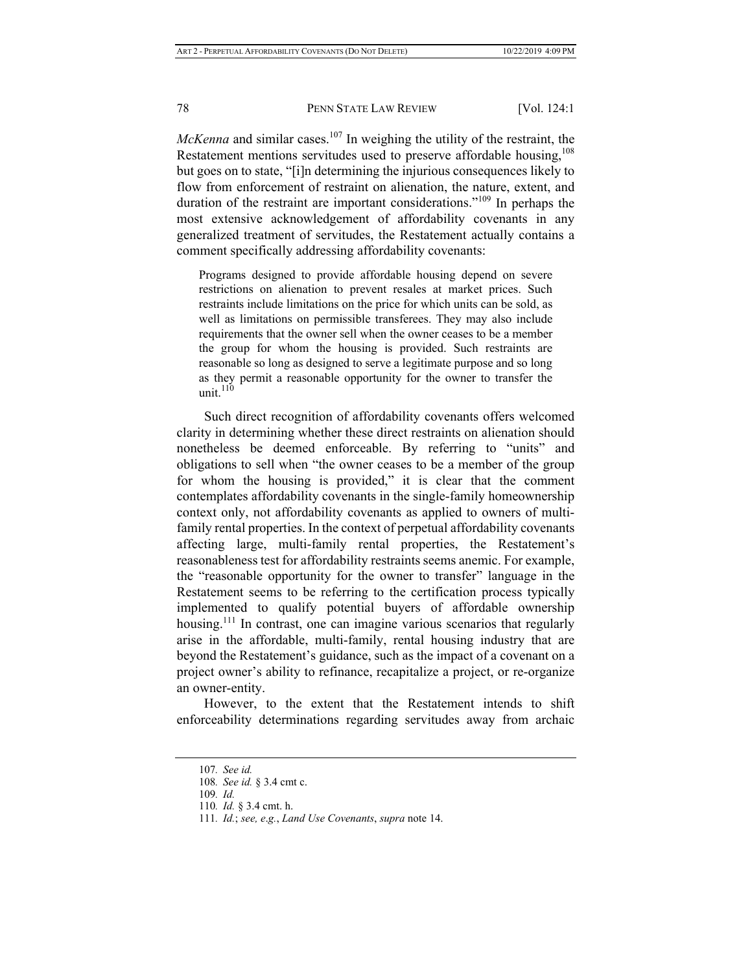*McKenna* and similar cases.<sup>107</sup> In weighing the utility of the restraint, the Restatement mentions servitudes used to preserve affordable housing, $108$ but goes on to state, "[i]n determining the injurious consequences likely to flow from enforcement of restraint on alienation, the nature, extent, and duration of the restraint are important considerations."109 In perhaps the most extensive acknowledgement of affordability covenants in any generalized treatment of servitudes, the Restatement actually contains a comment specifically addressing affordability covenants:

Programs designed to provide affordable housing depend on severe restrictions on alienation to prevent resales at market prices. Such restraints include limitations on the price for which units can be sold, as well as limitations on permissible transferees. They may also include requirements that the owner sell when the owner ceases to be a member the group for whom the housing is provided. Such restraints are reasonable so long as designed to serve a legitimate purpose and so long as they permit a reasonable opportunity for the owner to transfer the unit.<sup>110</sup>

Such direct recognition of affordability covenants offers welcomed clarity in determining whether these direct restraints on alienation should nonetheless be deemed enforceable. By referring to "units" and obligations to sell when "the owner ceases to be a member of the group for whom the housing is provided," it is clear that the comment contemplates affordability covenants in the single-family homeownership context only, not affordability covenants as applied to owners of multifamily rental properties. In the context of perpetual affordability covenants affecting large, multi-family rental properties, the Restatement's reasonableness test for affordability restraints seems anemic. For example, the "reasonable opportunity for the owner to transfer" language in the Restatement seems to be referring to the certification process typically implemented to qualify potential buyers of affordable ownership housing.<sup>111</sup> In contrast, one can imagine various scenarios that regularly arise in the affordable, multi-family, rental housing industry that are beyond the Restatement's guidance, such as the impact of a covenant on a project owner's ability to refinance, recapitalize a project, or re-organize an owner-entity.

However, to the extent that the Restatement intends to shift enforceability determinations regarding servitudes away from archaic

<sup>107</sup>*. See id.*

<sup>108</sup>*. See id.* § 3.4 cmt c.

<sup>109</sup>*. Id.*

<sup>110</sup>*. Id.* § 3.4 cmt. h.

<sup>111</sup>*. Id.*; *see, e*.*g.*, *Land Use Covenants*, *supra* note 14.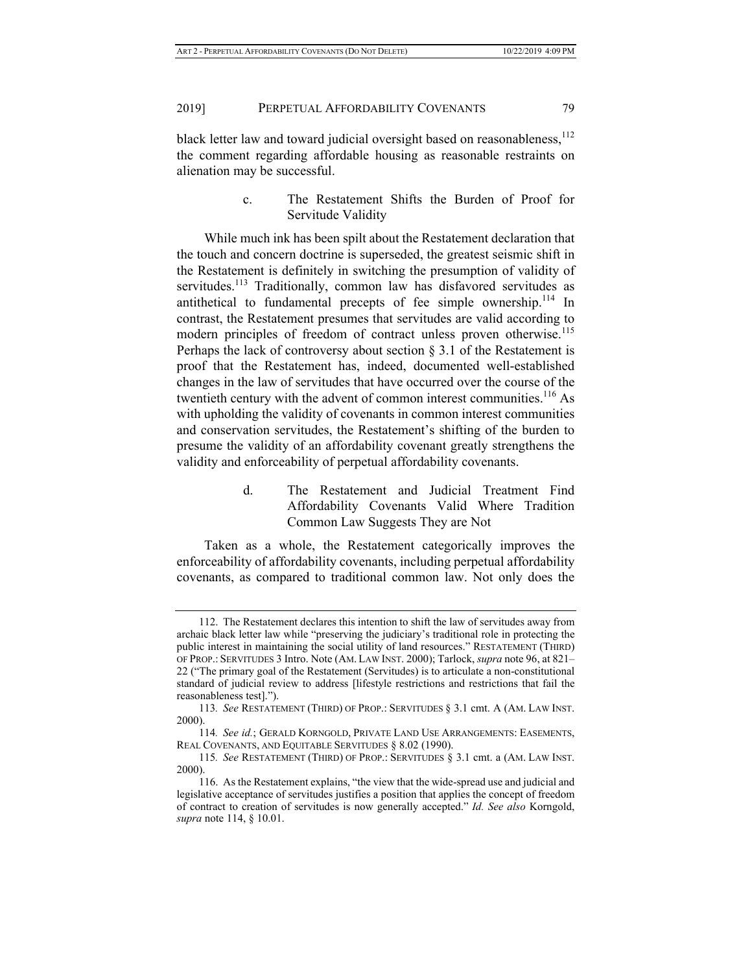black letter law and toward judicial oversight based on reasonableness, 112 the comment regarding affordable housing as reasonable restraints on alienation may be successful.

> c. The Restatement Shifts the Burden of Proof for Servitude Validity

While much ink has been spilt about the Restatement declaration that the touch and concern doctrine is superseded, the greatest seismic shift in the Restatement is definitely in switching the presumption of validity of servitudes.<sup>113</sup> Traditionally, common law has disfavored servitudes as antithetical to fundamental precepts of fee simple ownership.<sup>114</sup> In contrast, the Restatement presumes that servitudes are valid according to modern principles of freedom of contract unless proven otherwise.<sup>115</sup> Perhaps the lack of controversy about section § 3.1 of the Restatement is proof that the Restatement has, indeed, documented well-established changes in the law of servitudes that have occurred over the course of the twentieth century with the advent of common interest communities.<sup>116</sup> As with upholding the validity of covenants in common interest communities and conservation servitudes, the Restatement's shifting of the burden to presume the validity of an affordability covenant greatly strengthens the validity and enforceability of perpetual affordability covenants.

> d. The Restatement and Judicial Treatment Find Affordability Covenants Valid Where Tradition Common Law Suggests They are Not

Taken as a whole, the Restatement categorically improves the enforceability of affordability covenants, including perpetual affordability covenants, as compared to traditional common law. Not only does the

<sup>112.</sup> The Restatement declares this intention to shift the law of servitudes away from archaic black letter law while "preserving the judiciary's traditional role in protecting the public interest in maintaining the social utility of land resources." RESTATEMENT (THIRD) OF PROP.: SERVITUDES 3 Intro. Note (AM. LAW INST. 2000); Tarlock, *supra* note 96, at 821– 22 ("The primary goal of the Restatement (Servitudes) is to articulate a non-constitutional standard of judicial review to address [lifestyle restrictions and restrictions that fail the reasonableness test].").

<sup>113</sup>*. See* RESTATEMENT (THIRD) OF PROP.: SERVITUDES § 3.1 cmt. A (AM. LAW INST. 2000).

<sup>114</sup>*. See id.*; GERALD KORNGOLD, PRIVATE LAND USE ARRANGEMENTS: EASEMENTS, REAL COVENANTS, AND EQUITABLE SERVITUDES § 8.02 (1990).

<sup>115</sup>*. See* RESTATEMENT (THIRD) OF PROP.: SERVITUDES § 3.1 cmt. a (AM. LAW INST. 2000).

<sup>116.</sup> As the Restatement explains, "the view that the wide-spread use and judicial and legislative acceptance of servitudes justifies a position that applies the concept of freedom of contract to creation of servitudes is now generally accepted." *Id. See also* Korngold, *supra* note 114, § 10.01.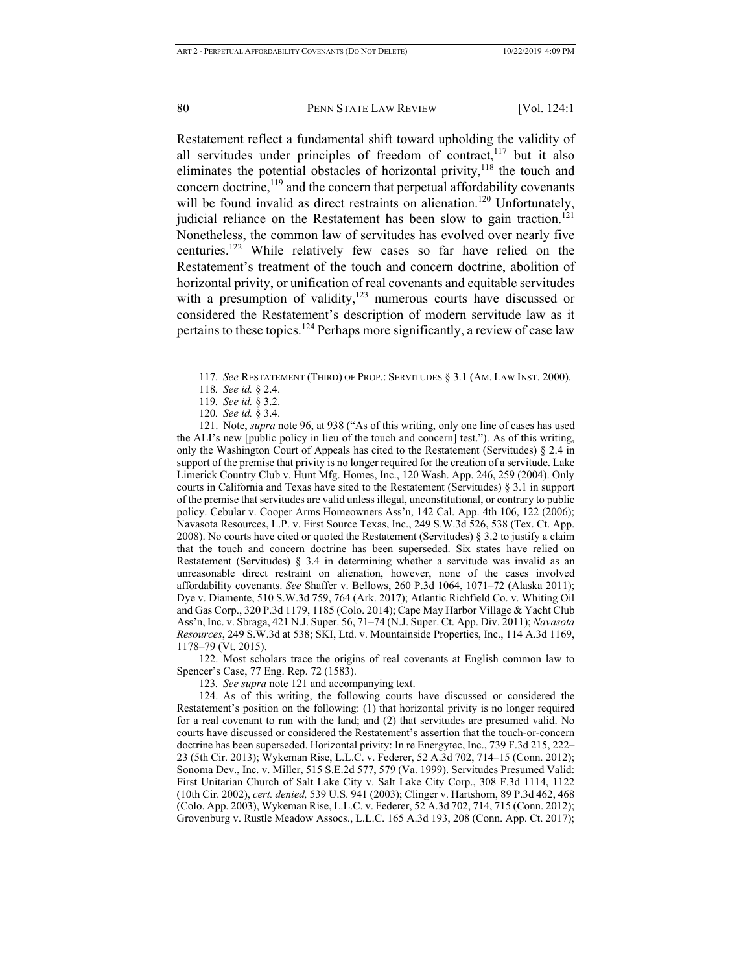Restatement reflect a fundamental shift toward upholding the validity of all servitudes under principles of freedom of contract, $117$  but it also eliminates the potential obstacles of horizontal privity, $118$  the touch and concern doctrine, $119$  and the concern that perpetual affordability covenants will be found invalid as direct restraints on alienation.<sup>120</sup> Unfortunately, judicial reliance on the Restatement has been slow to gain traction.<sup>121</sup> Nonetheless, the common law of servitudes has evolved over nearly five centuries.122 While relatively few cases so far have relied on the Restatement's treatment of the touch and concern doctrine, abolition of horizontal privity, or unification of real covenants and equitable servitudes with a presumption of validity, $123$  numerous courts have discussed or considered the Restatement's description of modern servitude law as it pertains to these topics.<sup>124</sup> Perhaps more significantly, a review of case law

121. Note, *supra* note 96, at 938 ("As of this writing, only one line of cases has used the ALI's new [public policy in lieu of the touch and concern] test."). As of this writing, only the Washington Court of Appeals has cited to the Restatement (Servitudes) § 2.4 in support of the premise that privity is no longer required for the creation of a servitude. Lake Limerick Country Club v. Hunt Mfg. Homes, Inc., 120 Wash. App. 246, 259 (2004). Only courts in California and Texas have sited to the Restatement (Servitudes) § 3.1 in support of the premise that servitudes are valid unless illegal, unconstitutional, or contrary to public policy. Cebular v. Cooper Arms Homeowners Ass'n, 142 Cal. App. 4th 106, 122 (2006); Navasota Resources, L.P. v. First Source Texas, Inc., 249 S.W.3d 526, 538 (Tex. Ct. App. 2008). No courts have cited or quoted the Restatement (Servitudes) § 3.2 to justify a claim that the touch and concern doctrine has been superseded. Six states have relied on Restatement (Servitudes) § 3.4 in determining whether a servitude was invalid as an unreasonable direct restraint on alienation, however, none of the cases involved affordability covenants. *See* Shaffer v. Bellows, 260 P.3d 1064, 1071–72 (Alaska 2011); Dye v. Diamente, 510 S.W.3d 759, 764 (Ark. 2017); Atlantic Richfield Co. v. Whiting Oil and Gas Corp., 320 P.3d 1179, 1185 (Colo. 2014); Cape May Harbor Village & Yacht Club Ass'n, Inc. v. Sbraga, 421 N.J. Super. 56, 71–74 (N.J. Super. Ct. App. Div. 2011); *Navasota Resources*, 249 S.W.3d at 538; SKI, Ltd. v. Mountainside Properties, Inc., 114 A.3d 1169, 1178–79 (Vt. 2015).

122. Most scholars trace the origins of real covenants at English common law to Spencer's Case, 77 Eng. Rep. 72 (1583).

123*. See supra* note 121 and accompanying text.

124. As of this writing, the following courts have discussed or considered the Restatement's position on the following: (1) that horizontal privity is no longer required for a real covenant to run with the land; and (2) that servitudes are presumed valid. No courts have discussed or considered the Restatement's assertion that the touch-or-concern doctrine has been superseded. Horizontal privity: In re Energytec, Inc., 739 F.3d 215, 222– 23 (5th Cir. 2013); Wykeman Rise, L.L.C. v. Federer, 52 A.3d 702, 714–15 (Conn. 2012); Sonoma Dev., Inc. v. Miller, 515 S.E.2d 577, 579 (Va. 1999). Servitudes Presumed Valid: First Unitarian Church of Salt Lake City v. Salt Lake City Corp., 308 F.3d 1114, 1122 (10th Cir. 2002), *cert. denied,* 539 U.S. 941 (2003); Clinger v. Hartshorn, 89 P.3d 462, 468 (Colo. App. 2003), Wykeman Rise, L.L.C. v. Federer, 52 A.3d 702, 714, 715 (Conn. 2012); Grovenburg v. Rustle Meadow Assocs., L.L.C. 165 A.3d 193, 208 (Conn. App. Ct. 2017);

<sup>117</sup>*. See* RESTATEMENT (THIRD) OF PROP.: SERVITUDES § 3.1 (AM. LAW INST. 2000).

<sup>118</sup>*. See id.* § 2.4.

<sup>119</sup>*. See id.* § 3.2.

<sup>120</sup>*. See id.* § 3.4.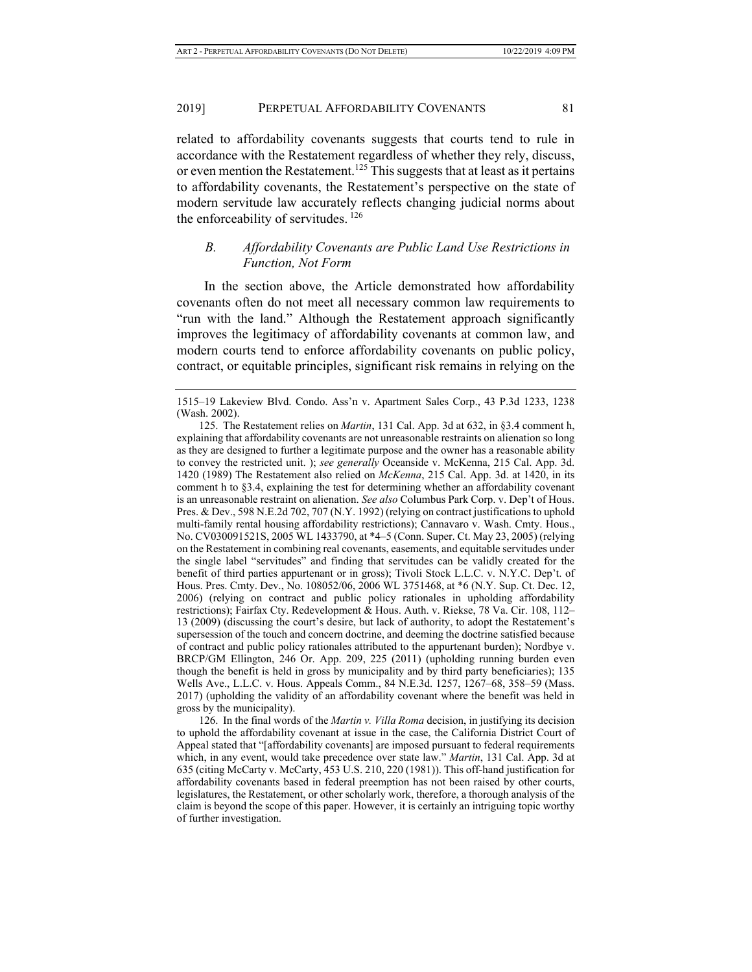related to affordability covenants suggests that courts tend to rule in accordance with the Restatement regardless of whether they rely, discuss, or even mention the Restatement.<sup>125</sup> This suggests that at least as it pertains to affordability covenants, the Restatement's perspective on the state of modern servitude law accurately reflects changing judicial norms about the enforceability of servitudes.  $126$ 

## *B. Affordability Covenants are Public Land Use Restrictions in Function, Not Form*

In the section above, the Article demonstrated how affordability covenants often do not meet all necessary common law requirements to "run with the land." Although the Restatement approach significantly improves the legitimacy of affordability covenants at common law, and modern courts tend to enforce affordability covenants on public policy, contract, or equitable principles, significant risk remains in relying on the

126. In the final words of the *Martin v. Villa Roma* decision, in justifying its decision to uphold the affordability covenant at issue in the case, the California District Court of Appeal stated that "[affordability covenants] are imposed pursuant to federal requirements which, in any event, would take precedence over state law." *Martin*, 131 Cal. App. 3d at 635 (citing McCarty v. McCarty, 453 U.S. 210, 220 (1981)). This off-hand justification for affordability covenants based in federal preemption has not been raised by other courts, legislatures, the Restatement, or other scholarly work, therefore, a thorough analysis of the claim is beyond the scope of this paper. However, it is certainly an intriguing topic worthy of further investigation.

<sup>1515–19</sup> Lakeview Blvd. Condo. Ass'n v. Apartment Sales Corp., 43 P.3d 1233, 1238 (Wash. 2002).

<sup>125.</sup> The Restatement relies on *Martin*, 131 Cal. App. 3d at 632, in §3.4 comment h, explaining that affordability covenants are not unreasonable restraints on alienation so long as they are designed to further a legitimate purpose and the owner has a reasonable ability to convey the restricted unit. ); *see generally* Oceanside v. McKenna, 215 Cal. App. 3d. 1420 (1989) The Restatement also relied on *McKenna*, 215 Cal. App. 3d. at 1420, in its comment h to §3.4, explaining the test for determining whether an affordability covenant is an unreasonable restraint on alienation. *See also* Columbus Park Corp. v. Dep't of Hous. Pres. & Dev., 598 N.E.2d 702, 707 (N.Y. 1992) (relying on contract justifications to uphold multi-family rental housing affordability restrictions); Cannavaro v. Wash. Cmty. Hous., No. CV030091521S, 2005 WL 1433790, at \*4–5 (Conn. Super. Ct. May 23, 2005) (relying on the Restatement in combining real covenants, easements, and equitable servitudes under the single label "servitudes" and finding that servitudes can be validly created for the benefit of third parties appurtenant or in gross); Tivoli Stock L.L.C. v. N.Y.C. Dep't. of Hous. Pres. Cmty. Dev., No. 108052/06, 2006 WL 3751468, at \*6 (N.Y. Sup. Ct. Dec. 12, 2006) (relying on contract and public policy rationales in upholding affordability restrictions); Fairfax Cty. Redevelopment & Hous. Auth. v. Riekse, 78 Va. Cir. 108, 112– 13 (2009) (discussing the court's desire, but lack of authority, to adopt the Restatement's supersession of the touch and concern doctrine, and deeming the doctrine satisfied because of contract and public policy rationales attributed to the appurtenant burden); Nordbye v. BRCP/GM Ellington, 246 Or. App. 209, 225 (2011) (upholding running burden even though the benefit is held in gross by municipality and by third party beneficiaries); 135 Wells Ave., L.L.C. v. Hous. Appeals Comm., 84 N.E.3d. 1257, 1267–68, 358–59 (Mass. 2017) (upholding the validity of an affordability covenant where the benefit was held in gross by the municipality).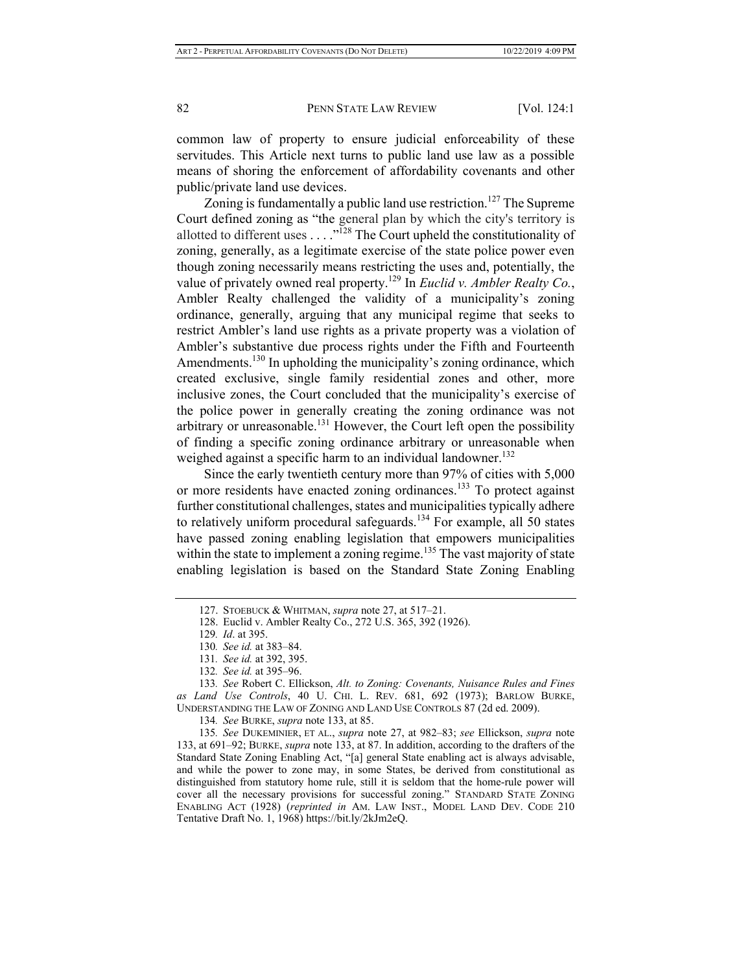common law of property to ensure judicial enforceability of these servitudes. This Article next turns to public land use law as a possible means of shoring the enforcement of affordability covenants and other public/private land use devices.

Zoning is fundamentally a public land use restriction.<sup>127</sup> The Supreme Court defined zoning as "the general plan by which the city's territory is allotted to different uses . . . .<sup>"128</sup> The Court upheld the constitutionality of zoning, generally, as a legitimate exercise of the state police power even though zoning necessarily means restricting the uses and, potentially, the value of privately owned real property.129 In *Euclid v. Ambler Realty Co.*, Ambler Realty challenged the validity of a municipality's zoning ordinance, generally, arguing that any municipal regime that seeks to restrict Ambler's land use rights as a private property was a violation of Ambler's substantive due process rights under the Fifth and Fourteenth Amendments.<sup>130</sup> In upholding the municipality's zoning ordinance, which created exclusive, single family residential zones and other, more inclusive zones, the Court concluded that the municipality's exercise of the police power in generally creating the zoning ordinance was not arbitrary or unreasonable.<sup>131</sup> However, the Court left open the possibility of finding a specific zoning ordinance arbitrary or unreasonable when weighed against a specific harm to an individual landowner.<sup>132</sup>

Since the early twentieth century more than 97% of cities with 5,000 or more residents have enacted zoning ordinances.<sup>133</sup> To protect against further constitutional challenges, states and municipalities typically adhere to relatively uniform procedural safeguards.<sup>134</sup> For example, all 50 states have passed zoning enabling legislation that empowers municipalities within the state to implement a zoning regime.<sup>135</sup> The vast majority of state enabling legislation is based on the Standard State Zoning Enabling

<sup>127.</sup> STOEBUCK & WHITMAN, *supra* note 27, at 517–21.

<sup>128.</sup> Euclid v. Ambler Realty Co., 272 U.S. 365, 392 (1926).

<sup>129</sup>*. Id*. at 395.

<sup>130</sup>*. See id.* at 383–84.

<sup>131</sup>*. See id.* at 392, 395.

<sup>132</sup>*. See id.* at 395–96.

<sup>133</sup>*. See* Robert C. Ellickson, *Alt. to Zoning: Covenants, Nuisance Rules and Fines as Land Use Controls*, 40 U. CHI. L. REV. 681, 692 (1973); BARLOW BURKE, UNDERSTANDING THE LAW OF ZONING AND LAND USE CONTROLS 87 (2d ed. 2009).

<sup>134</sup>*. See* BURKE, *supra* note 133, at 85.

<sup>135</sup>*. See* DUKEMINIER, ET AL., *supra* note 27, at 982–83; *see* Ellickson, *supra* note 133, at 691–92; BURKE, *supra* note 133, at 87. In addition, according to the drafters of the Standard State Zoning Enabling Act, "[a] general State enabling act is always advisable, and while the power to zone may, in some States, be derived from constitutional as distinguished from statutory home rule, still it is seldom that the home-rule power will cover all the necessary provisions for successful zoning." STANDARD STATE ZONING ENABLING ACT (1928) (*reprinted in* AM. LAW INST., MODEL LAND DEV. CODE 210 Tentative Draft No. 1, 1968) https://bit.ly/2kJm2eQ.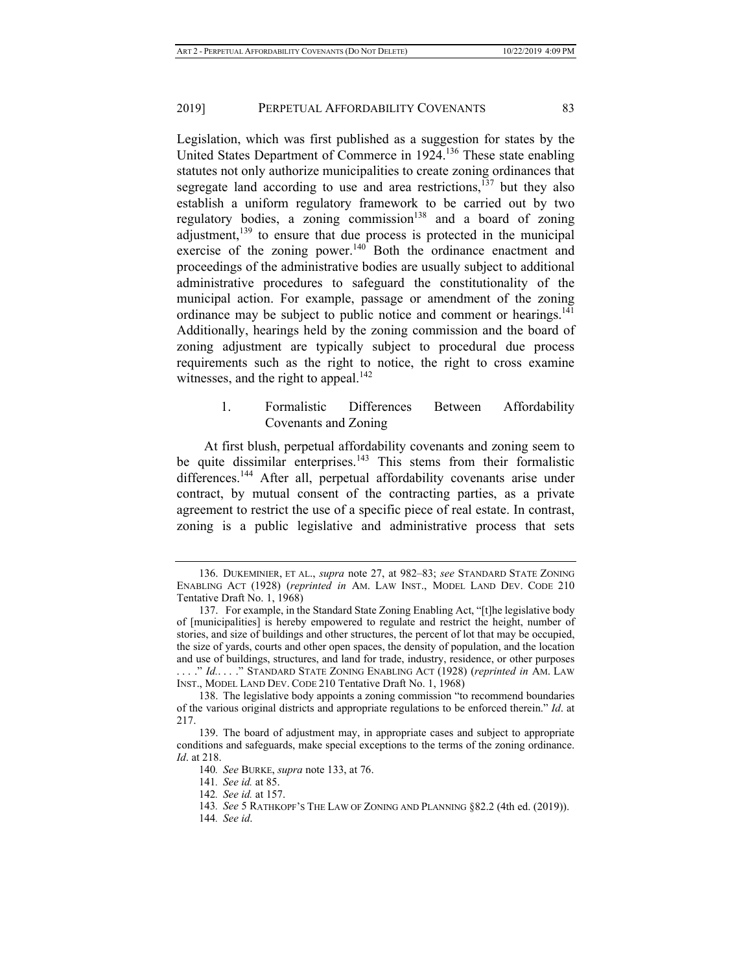Legislation, which was first published as a suggestion for states by the United States Department of Commerce in 1924.136 These state enabling statutes not only authorize municipalities to create zoning ordinances that segregate land according to use and area restrictions,  $137$  but they also establish a uniform regulatory framework to be carried out by two regulatory bodies, a zoning commission<sup>138</sup> and a board of zoning adjustment, $139$  to ensure that due process is protected in the municipal exercise of the zoning power. $140$  Both the ordinance enactment and proceedings of the administrative bodies are usually subject to additional administrative procedures to safeguard the constitutionality of the municipal action. For example, passage or amendment of the zoning ordinance may be subject to public notice and comment or hearings.<sup>141</sup> Additionally, hearings held by the zoning commission and the board of zoning adjustment are typically subject to procedural due process requirements such as the right to notice, the right to cross examine witnesses, and the right to appeal.<sup>142</sup>

## 1. Formalistic Differences Between Affordability Covenants and Zoning

At first blush, perpetual affordability covenants and zoning seem to be quite dissimilar enterprises.<sup>143</sup> This stems from their formalistic differences.<sup>144</sup> After all, perpetual affordability covenants arise under contract, by mutual consent of the contracting parties, as a private agreement to restrict the use of a specific piece of real estate. In contrast, zoning is a public legislative and administrative process that sets

144*. See id*.

<sup>136.</sup> DUKEMINIER, ET AL., *supra* note 27, at 982–83; *see* STANDARD STATE ZONING ENABLING ACT (1928) (*reprinted in* AM. LAW INST., MODEL LAND DEV. CODE 210 Tentative Draft No. 1, 1968)

<sup>137.</sup> For example, in the Standard State Zoning Enabling Act, "[t]he legislative body of [municipalities] is hereby empowered to regulate and restrict the height, number of stories, and size of buildings and other structures, the percent of lot that may be occupied, the size of yards, courts and other open spaces, the density of population, and the location and use of buildings, structures, and land for trade, industry, residence, or other purposes . . . ." *Id.*. . . ." STANDARD STATE ZONING ENABLING ACT (1928) (*reprinted in* AM. LAW INST., MODEL LAND DEV. CODE 210 Tentative Draft No. 1, 1968)

<sup>138.</sup> The legislative body appoints a zoning commission "to recommend boundaries of the various original districts and appropriate regulations to be enforced therein." *Id*. at 217.

<sup>139.</sup> The board of adjustment may, in appropriate cases and subject to appropriate conditions and safeguards, make special exceptions to the terms of the zoning ordinance. *Id*. at 218.

<sup>140</sup>*. See* BURKE, *supra* note 133, at 76.

<sup>141</sup>*. See id.* at 85.

<sup>142</sup>*. See id.* at 157.

<sup>143</sup>*. See* 5 RATHKOPF'S THE LAW OF ZONING AND PLANNING §82.2 (4th ed. (2019)).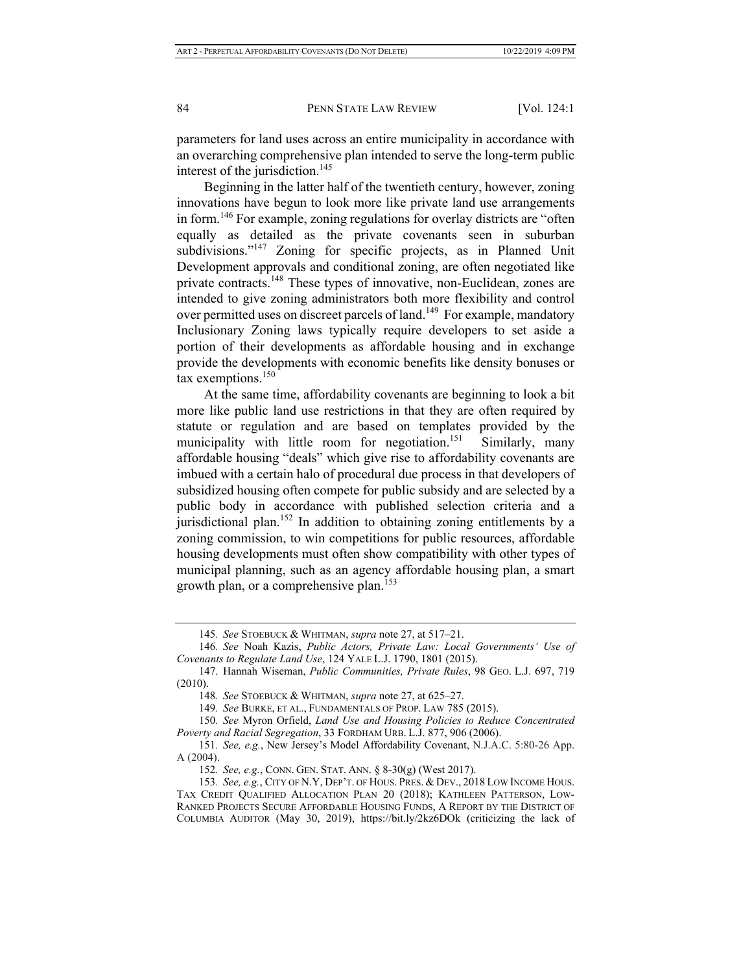parameters for land uses across an entire municipality in accordance with an overarching comprehensive plan intended to serve the long-term public interest of the jurisdiction.<sup>145</sup>

Beginning in the latter half of the twentieth century, however, zoning innovations have begun to look more like private land use arrangements in form.146 For example, zoning regulations for overlay districts are "often equally as detailed as the private covenants seen in suburban subdivisions."<sup>147</sup> Zoning for specific projects, as in Planned Unit Development approvals and conditional zoning, are often negotiated like private contracts.<sup>148</sup> These types of innovative, non-Euclidean, zones are intended to give zoning administrators both more flexibility and control over permitted uses on discreet parcels of land.<sup>149</sup> For example, mandatory Inclusionary Zoning laws typically require developers to set aside a portion of their developments as affordable housing and in exchange provide the developments with economic benefits like density bonuses or tax exemptions.<sup>150</sup>

At the same time, affordability covenants are beginning to look a bit more like public land use restrictions in that they are often required by statute or regulation and are based on templates provided by the municipality with little room for negotiation.<sup>151</sup> Similarly, many affordable housing "deals" which give rise to affordability covenants are imbued with a certain halo of procedural due process in that developers of subsidized housing often compete for public subsidy and are selected by a public body in accordance with published selection criteria and a jurisdictional plan.<sup>152</sup> In addition to obtaining zoning entitlements by a zoning commission, to win competitions for public resources, affordable housing developments must often show compatibility with other types of municipal planning, such as an agency affordable housing plan, a smart growth plan, or a comprehensive plan.<sup>153</sup>

<sup>145</sup>*. See* STOEBUCK & WHITMAN, *supra* note 27, at 517–21.

<sup>146</sup>*. See* Noah Kazis, *Public Actors, Private Law: Local Governments' Use of Covenants to Regulate Land Use*, 124 YALE L.J. 1790, 1801 (2015).

<sup>147.</sup> Hannah Wiseman, *Public Communities, Private Rules*, 98 GEO. L.J. 697, 719 (2010).

<sup>148</sup>*. See* STOEBUCK & WHITMAN, *supra* note 27, at 625–27.

<sup>149</sup>*. See* BURKE, ET AL., FUNDAMENTALS OF PROP. LAW 785 (2015).

<sup>150</sup>*. See* Myron Orfield, *Land Use and Housing Policies to Reduce Concentrated Poverty and Racial Segregation*, 33 FORDHAM URB. L.J. 877, 906 (2006).

<sup>151</sup>*. See, e.g.*, New Jersey's Model Affordability Covenant, N.J.A.C. 5:80-26 App. A (2004).

<sup>152</sup>*. See, e.g.*, CONN. GEN. STAT. ANN. § 8-30(g) (West 2017).

<sup>153</sup>*. See, e.g.*, CITY OF N.Y, DEP'T. OF HOUS. PRES. & DEV., 2018 LOW INCOME HOUS. TAX CREDIT QUALIFIED ALLOCATION PLAN 20 (2018); KATHLEEN PATTERSON, LOW-RANKED PROJECTS SECURE AFFORDABLE HOUSING FUNDS, A REPORT BY THE DISTRICT OF COLUMBIA AUDITOR (May 30, 2019), https://bit.ly/2kz6DOk (criticizing the lack of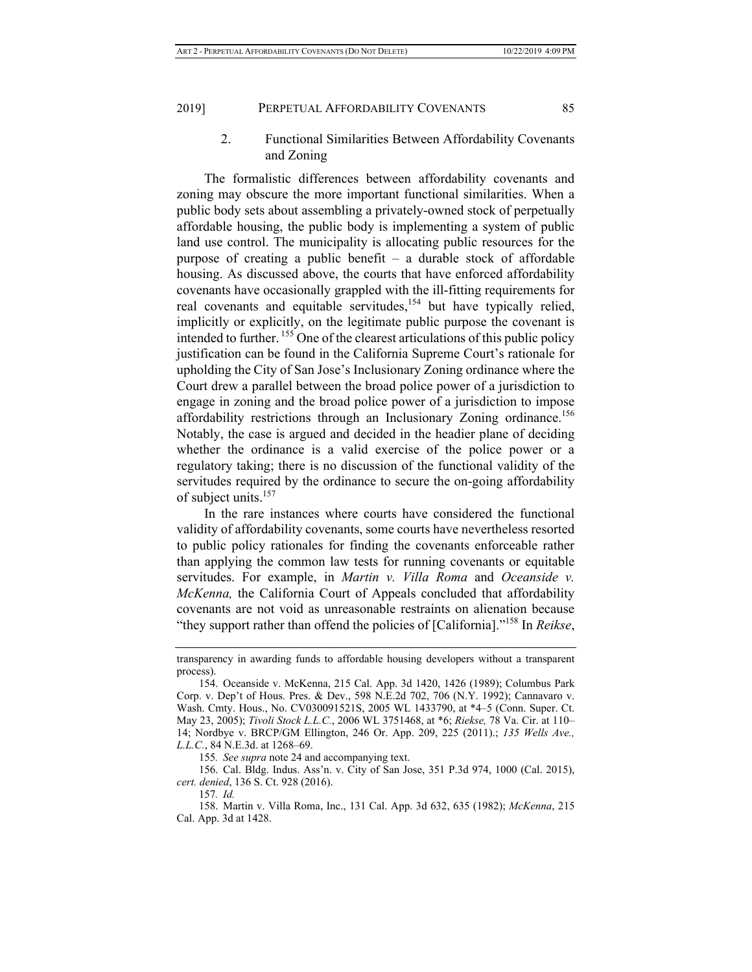2. Functional Similarities Between Affordability Covenants and Zoning

The formalistic differences between affordability covenants and zoning may obscure the more important functional similarities. When a public body sets about assembling a privately-owned stock of perpetually affordable housing, the public body is implementing a system of public land use control. The municipality is allocating public resources for the purpose of creating a public benefit – a durable stock of affordable housing. As discussed above, the courts that have enforced affordability covenants have occasionally grappled with the ill-fitting requirements for real covenants and equitable servitudes, $154$  but have typically relied, implicitly or explicitly, on the legitimate public purpose the covenant is intended to further. 155 One of the clearest articulations of this public policy justification can be found in the California Supreme Court's rationale for upholding the City of San Jose's Inclusionary Zoning ordinance where the Court drew a parallel between the broad police power of a jurisdiction to engage in zoning and the broad police power of a jurisdiction to impose affordability restrictions through an Inclusionary Zoning ordinance.<sup>156</sup> Notably, the case is argued and decided in the headier plane of deciding whether the ordinance is a valid exercise of the police power or a regulatory taking; there is no discussion of the functional validity of the servitudes required by the ordinance to secure the on-going affordability of subject units.157

In the rare instances where courts have considered the functional validity of affordability covenants, some courts have nevertheless resorted to public policy rationales for finding the covenants enforceable rather than applying the common law tests for running covenants or equitable servitudes. For example, in *Martin v. Villa Roma* and *Oceanside v. McKenna,* the California Court of Appeals concluded that affordability covenants are not void as unreasonable restraints on alienation because "they support rather than offend the policies of [California]."158 In *Reikse*,

155*. See supra* note 24 and accompanying text.

156. Cal. Bldg. Indus. Ass'n. v. City of San Jose, 351 P.3d 974, 1000 (Cal. 2015), *cert. denied*, 136 S. Ct. 928 (2016).

157*. Id.* 

transparency in awarding funds to affordable housing developers without a transparent process).

<sup>154.</sup> Oceanside v. McKenna, 215 Cal. App. 3d 1420, 1426 (1989); Columbus Park Corp. v. Dep't of Hous. Pres. & Dev., 598 N.E.2d 702, 706 (N.Y. 1992); Cannavaro v. Wash. Cmty. Hous., No. CV030091521S, 2005 WL 1433790, at \*4–5 (Conn. Super. Ct. May 23, 2005); *Tivoli Stock L.L.C.*, 2006 WL 3751468, at \*6; *Riekse,* 78 Va. Cir. at 110– 14; Nordbye v. BRCP/GM Ellington, 246 Or. App. 209, 225 (2011).; *135 Wells Ave., L.L.C.*, 84 N.E.3d. at 1268–69.

<sup>158.</sup> Martin v. Villa Roma, Inc., 131 Cal. App. 3d 632, 635 (1982); *McKenna*, 215 Cal. App. 3d at 1428.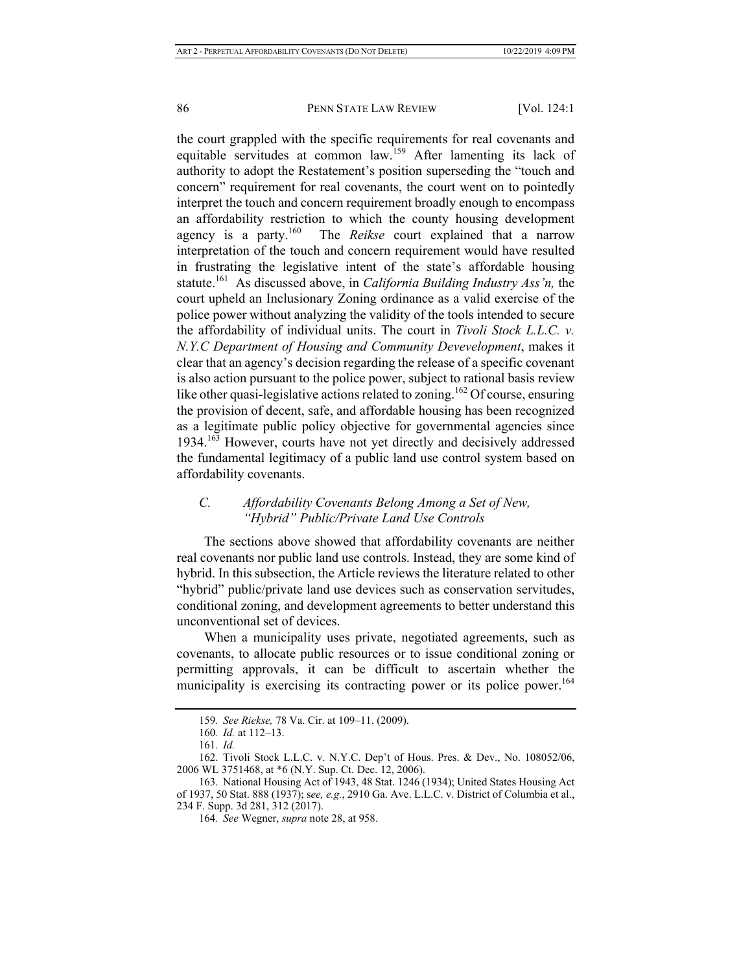the court grappled with the specific requirements for real covenants and equitable servitudes at common law.159 After lamenting its lack of authority to adopt the Restatement's position superseding the "touch and concern" requirement for real covenants, the court went on to pointedly interpret the touch and concern requirement broadly enough to encompass an affordability restriction to which the county housing development agency is a party.160 The *Reikse* court explained that a narrow interpretation of the touch and concern requirement would have resulted in frustrating the legislative intent of the state's affordable housing statute.161 As discussed above, in *California Building Industry Ass'n,* the court upheld an Inclusionary Zoning ordinance as a valid exercise of the police power without analyzing the validity of the tools intended to secure the affordability of individual units. The court in *Tivoli Stock L.L.C. v. N.Y.C Department of Housing and Community Devevelopment*, makes it clear that an agency's decision regarding the release of a specific covenant is also action pursuant to the police power, subject to rational basis review like other quasi-legislative actions related to zoning.<sup>162</sup> Of course, ensuring the provision of decent, safe, and affordable housing has been recognized as a legitimate public policy objective for governmental agencies since 1934.163 However, courts have not yet directly and decisively addressed the fundamental legitimacy of a public land use control system based on affordability covenants.

## *C. Affordability Covenants Belong Among a Set of New, "Hybrid" Public/Private Land Use Controls*

The sections above showed that affordability covenants are neither real covenants nor public land use controls. Instead, they are some kind of hybrid. In this subsection, the Article reviews the literature related to other "hybrid" public/private land use devices such as conservation servitudes, conditional zoning, and development agreements to better understand this unconventional set of devices.

When a municipality uses private, negotiated agreements, such as covenants, to allocate public resources or to issue conditional zoning or permitting approvals, it can be difficult to ascertain whether the municipality is exercising its contracting power or its police power.<sup>164</sup>

<sup>159</sup>*. See Riekse,* 78 Va. Cir. at 109–11. (2009).

<sup>160</sup>*. Id.* at 112–13.

<sup>161</sup>*. Id.* 

<sup>162.</sup> Tivoli Stock L.L.C. v. N.Y.C. Dep't of Hous. Pres. & Dev., No. 108052/06, 2006 WL 3751468, at \*6 (N.Y. Sup. Ct. Dec. 12, 2006).

<sup>163.</sup> National Housing Act of 1943, 48 Stat. 1246 (1934); United States Housing Act of 1937, 50 Stat. 888 (1937); s*ee, e.g.*, 2910 Ga. Ave. L.L.C. v. District of Columbia et al., 234 F. Supp. 3d 281, 312 (2017).

<sup>164</sup>*. See* Wegner, *supra* note 28, at 958.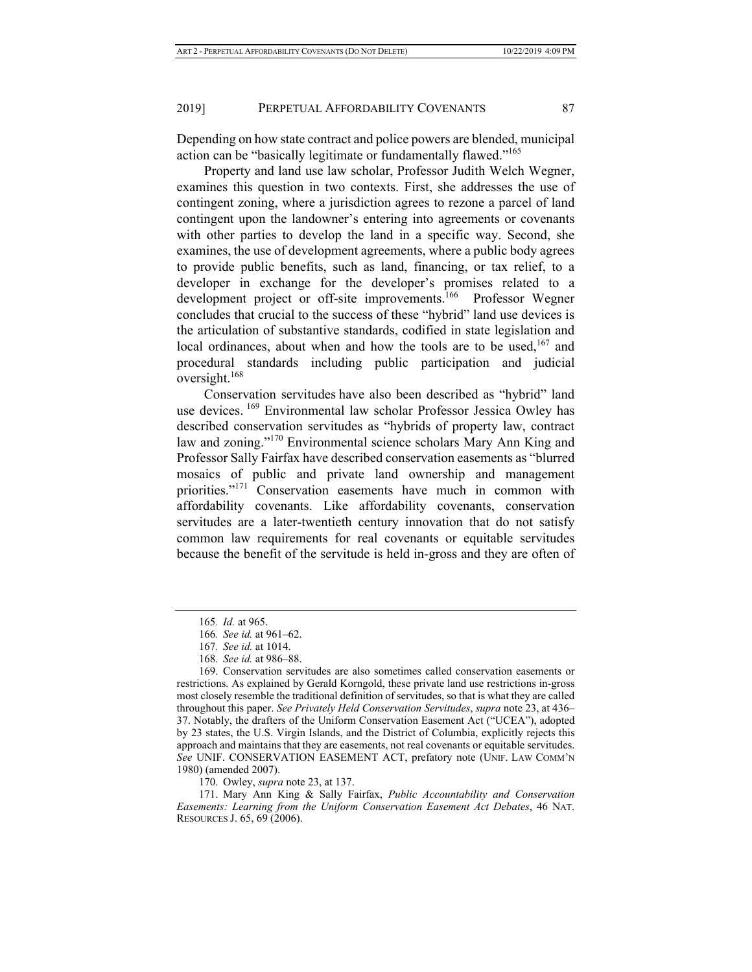Depending on how state contract and police powers are blended, municipal action can be "basically legitimate or fundamentally flawed."<sup>165</sup>

Property and land use law scholar, Professor Judith Welch Wegner, examines this question in two contexts. First, she addresses the use of contingent zoning, where a jurisdiction agrees to rezone a parcel of land contingent upon the landowner's entering into agreements or covenants with other parties to develop the land in a specific way. Second, she examines, the use of development agreements, where a public body agrees to provide public benefits, such as land, financing, or tax relief, to a developer in exchange for the developer's promises related to a development project or off-site improvements.<sup>166</sup> Professor Wegner concludes that crucial to the success of these "hybrid" land use devices is the articulation of substantive standards, codified in state legislation and local ordinances, about when and how the tools are to be used,<sup>167</sup> and procedural standards including public participation and judicial oversight.<sup>168</sup>

Conservation servitudes have also been described as "hybrid" land use devices. <sup>169</sup> Environmental law scholar Professor Jessica Owley has described conservation servitudes as "hybrids of property law, contract law and zoning."<sup>170</sup> Environmental science scholars Mary Ann King and Professor Sally Fairfax have described conservation easements as "blurred mosaics of public and private land ownership and management priorities."<sup>171</sup> Conservation easements have much in common with affordability covenants. Like affordability covenants, conservation servitudes are a later-twentieth century innovation that do not satisfy common law requirements for real covenants or equitable servitudes because the benefit of the servitude is held in-gross and they are often of

<sup>165</sup>*. Id.* at 965.

<sup>166</sup>*. See id.* at 961–62.

<sup>167</sup>*. See id.* at 1014.

<sup>168</sup>*. See id.* at 986–88.

<sup>169.</sup> Conservation servitudes are also sometimes called conservation easements or restrictions. As explained by Gerald Korngold, these private land use restrictions in-gross most closely resemble the traditional definition of servitudes, so that is what they are called throughout this paper. *See Privately Held Conservation Servitudes*, *supra* note 23, at 436– 37. Notably, the drafters of the Uniform Conservation Easement Act ("UCEA"), adopted by 23 states, the U.S. Virgin Islands, and the District of Columbia, explicitly rejects this approach and maintains that they are easements, not real covenants or equitable servitudes. *See* UNIF. CONSERVATION EASEMENT ACT, prefatory note (UNIF. LAW COMM'N 1980) (amended 2007).

<sup>170.</sup> Owley, *supra* note 23, at 137.

<sup>171.</sup> Mary Ann King & Sally Fairfax, *Public Accountability and Conservation Easements: Learning from the Uniform Conservation Easement Act Debates*, 46 NAT. RESOURCES J. 65, 69 (2006).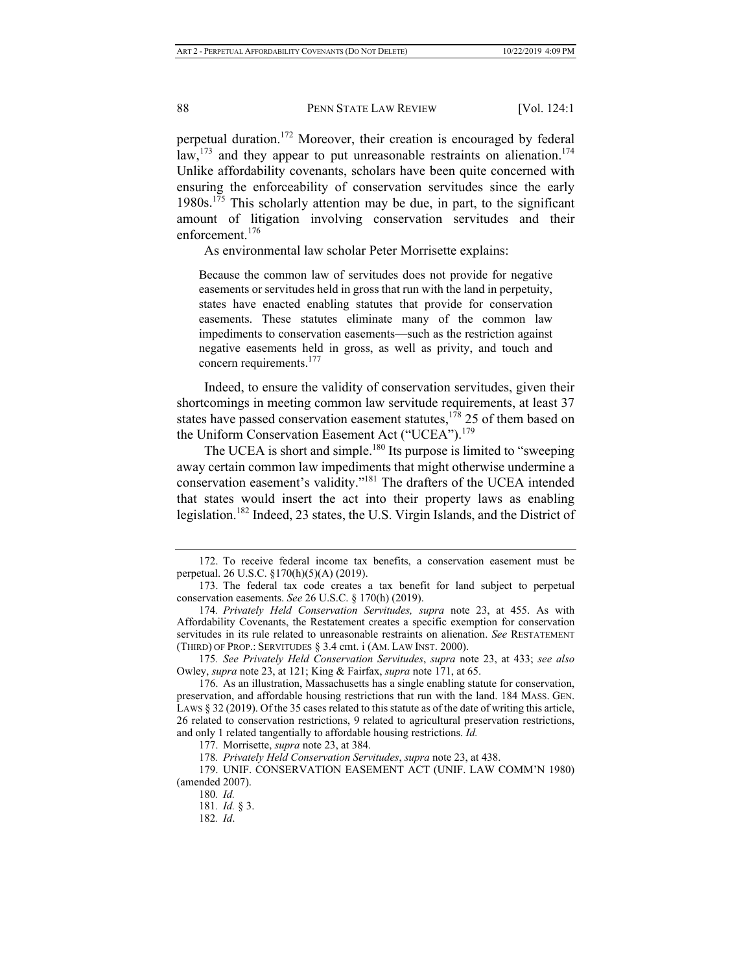perpetual duration.<sup>172</sup> Moreover, their creation is encouraged by federal law,  $173$  and they appear to put unreasonable restraints on alienation.<sup>174</sup> Unlike affordability covenants, scholars have been quite concerned with ensuring the enforceability of conservation servitudes since the early 1980s.<sup>175</sup> This scholarly attention may be due, in part, to the significant amount of litigation involving conservation servitudes and their enforcement.<sup>176</sup>

As environmental law scholar Peter Morrisette explains:

Because the common law of servitudes does not provide for negative easements or servitudes held in gross that run with the land in perpetuity, states have enacted enabling statutes that provide for conservation easements. These statutes eliminate many of the common law impediments to conservation easements—such as the restriction against negative easements held in gross, as well as privity, and touch and concern requirements.<sup>177</sup>

Indeed, to ensure the validity of conservation servitudes, given their shortcomings in meeting common law servitude requirements, at least 37 states have passed conservation easement statutes, $178$  25 of them based on the Uniform Conservation Easement Act ("UCEA").<sup>179</sup>

The UCEA is short and simple.<sup>180</sup> Its purpose is limited to "sweeping away certain common law impediments that might otherwise undermine a conservation easement's validity."181 The drafters of the UCEA intended that states would insert the act into their property laws as enabling legislation.<sup>182</sup> Indeed, 23 states, the U.S. Virgin Islands, and the District of

175*. See Privately Held Conservation Servitudes*, *supra* note 23, at 433; *see also* Owley, *supra* note 23, at 121; King & Fairfax, *supra* note 171, at 65.

<sup>172.</sup> To receive federal income tax benefits, a conservation easement must be perpetual. 26 U.S.C. §170(h)(5)(A) (2019).

<sup>173.</sup> The federal tax code creates a tax benefit for land subject to perpetual conservation easements. *See* 26 U.S.C. § 170(h) (2019).

<sup>174</sup>*. Privately Held Conservation Servitudes, supra* note 23, at 455. As with Affordability Covenants, the Restatement creates a specific exemption for conservation servitudes in its rule related to unreasonable restraints on alienation. *See* RESTATEMENT (THIRD) OF PROP.: SERVITUDES § 3.4 cmt. i (AM. LAW INST. 2000).

<sup>176.</sup> As an illustration, Massachusetts has a single enabling statute for conservation, preservation, and affordable housing restrictions that run with the land. 184 MASS. GEN. LAWS § 32 (2019). Of the 35 cases related to this statute as of the date of writing this article, 26 related to conservation restrictions, 9 related to agricultural preservation restrictions, and only 1 related tangentially to affordable housing restrictions. *Id.*

<sup>177.</sup> Morrisette, *supra* note 23, at 384.

<sup>178</sup>*. Privately Held Conservation Servitudes*, *supra* note 23, at 438.

<sup>179.</sup> UNIF. CONSERVATION EASEMENT ACT (UNIF. LAW COMM'N 1980) (amended 2007).

<sup>180</sup>*. Id.*

<sup>181</sup>*. Id.* § 3.

<sup>182</sup>*. Id*.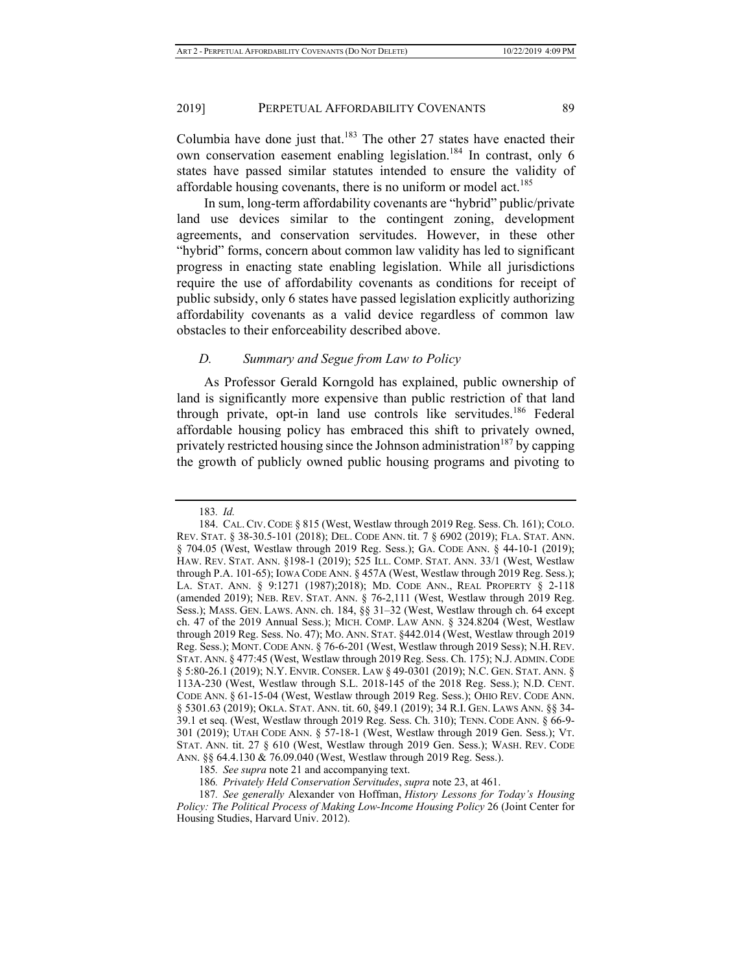Columbia have done just that.<sup>183</sup> The other 27 states have enacted their own conservation easement enabling legislation.<sup>184</sup> In contrast, only 6 states have passed similar statutes intended to ensure the validity of affordable housing covenants, there is no uniform or model act.<sup>185</sup>

In sum, long-term affordability covenants are "hybrid" public/private land use devices similar to the contingent zoning, development agreements, and conservation servitudes. However, in these other "hybrid" forms, concern about common law validity has led to significant progress in enacting state enabling legislation. While all jurisdictions require the use of affordability covenants as conditions for receipt of public subsidy, only 6 states have passed legislation explicitly authorizing affordability covenants as a valid device regardless of common law obstacles to their enforceability described above.

#### *D. Summary and Segue from Law to Policy*

As Professor Gerald Korngold has explained, public ownership of land is significantly more expensive than public restriction of that land through private, opt-in land use controls like servitudes.<sup>186</sup> Federal affordable housing policy has embraced this shift to privately owned, privately restricted housing since the Johnson administration<sup>187</sup> by capping the growth of publicly owned public housing programs and pivoting to

<sup>183</sup>*. Id.* 

<sup>184.</sup> CAL.CIV. CODE § 815 (West, Westlaw through 2019 Reg. Sess. Ch. 161); COLO. REV. STAT. § 38-30.5-101 (2018); DEL. CODE ANN. tit. 7 § 6902 (2019); FLA. STAT. ANN. § 704.05 (West, Westlaw through 2019 Reg. Sess.); GA. CODE ANN. § 44-10-1 (2019); HAW. REV. STAT. ANN. §198-1 (2019); 525 ILL. COMP. STAT. ANN. 33/1 (West, Westlaw through P.A. 101-65); IOWA CODE ANN. § 457A (West, Westlaw through 2019 Reg. Sess.); LA. STAT. ANN. § 9:1271 (1987);2018); MD. CODE ANN., REAL PROPERTY § 2-118 (amended 2019); NEB. REV. STAT. ANN. § 76-2,111 (West, Westlaw through 2019 Reg. Sess.); MASS. GEN. LAWS. ANN. ch. 184, §§ 31–32 (West, Westlaw through ch. 64 except ch. 47 of the 2019 Annual Sess.); MICH. COMP. LAW ANN. § 324.8204 (West, Westlaw through 2019 Reg. Sess. No. 47); MO. ANN. STAT. §442.014 (West, Westlaw through 2019 Reg. Sess.); MONT. CODE ANN. § 76-6-201 (West, Westlaw through 2019 Sess); N.H.REV. STAT. ANN. § 477:45 (West, Westlaw through 2019 Reg. Sess. Ch. 175); N.J. ADMIN.CODE § 5:80-26.1 (2019); N.Y. ENVIR. CONSER. LAW § 49-0301 (2019); N.C. GEN. STAT. ANN. § 113A-230 (West, Westlaw through S.L. 2018-145 of the 2018 Reg. Sess.); N.D. CENT. CODE ANN. § 61-15-04 (West, Westlaw through 2019 Reg. Sess.); OHIO REV. CODE ANN. § 5301.63 (2019); OKLA. STAT. ANN. tit. 60, §49.1 (2019); 34 R.I. GEN. LAWS ANN. §§ 34- 39.1 et seq. (West, Westlaw through 2019 Reg. Sess. Ch. 310); TENN. CODE ANN. § 66-9- 301 (2019); UTAH CODE ANN. § 57-18-1 (West, Westlaw through 2019 Gen. Sess.); VT. STAT. ANN. tit. 27 § 610 (West, Westlaw through 2019 Gen. Sess.); WASH. REV. CODE ANN. §§ 64.4.130 & 76.09.040 (West, Westlaw through 2019 Reg. Sess.).

<sup>185</sup>*. See supra* note 21 and accompanying text.

<sup>186</sup>*. Privately Held Conservation Servitudes*, *supra* note 23, at 461.

<sup>187</sup>*. See generally* Alexander von Hoffman, *History Lessons for Today's Housing Policy: The Political Process of Making Low-Income Housing Policy* 26 (Joint Center for Housing Studies, Harvard Univ. 2012).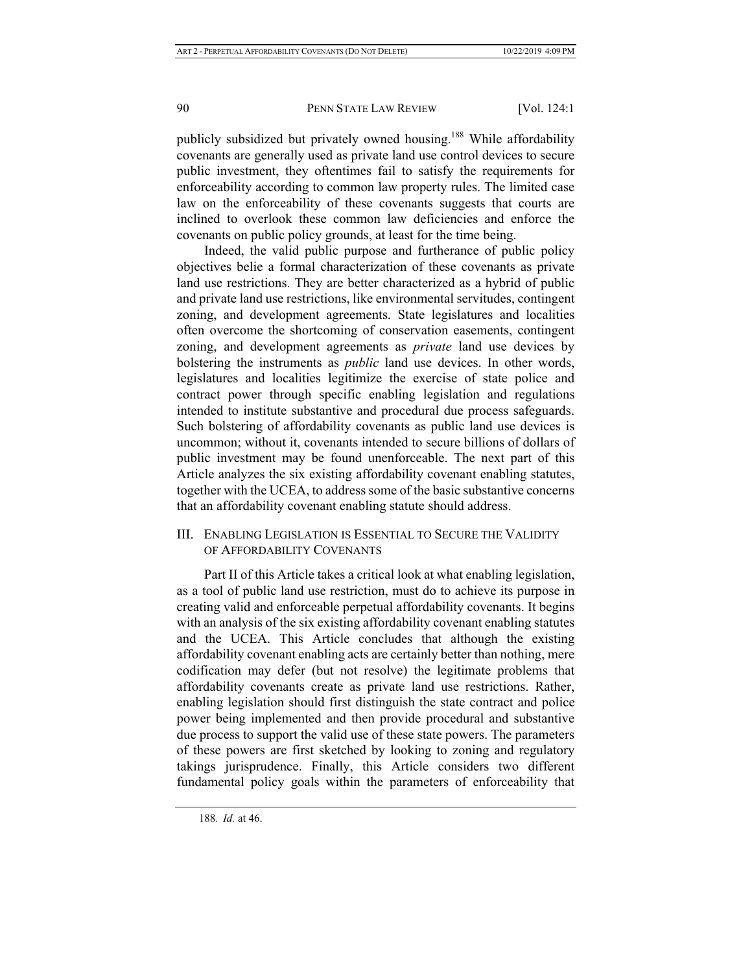publicly subsidized but privately owned housing.<sup>188</sup> While affordability covenants are generally used as private land use control devices to secure public investment, they oftentimes fail to satisfy the requirements for enforceability according to common law property rules. The limited case law on the enforceability of these covenants suggests that courts are inclined to overlook these common law deficiencies and enforce the covenants on public policy grounds, at least for the time being.

Indeed, the valid public purpose and furtherance of public policy objectives belie a formal characterization of these covenants as private land use restrictions. They are better characterized as a hybrid of public and private land use restrictions, like environmental servitudes, contingent zoning, and development agreements. State legislatures and localities often overcome the shortcoming of conservation easements, contingent zoning, and development agreements as *private* land use devices by bolstering the instruments as *public* land use devices. In other words, legislatures and localities legitimize the exercise of state police and contract power through specific enabling legislation and regulations intended to institute substantive and procedural due process safeguards. Such bolstering of affordability covenants as public land use devices is uncommon; without it, covenants intended to secure billions of dollars of public investment may be found unenforceable. The next part of this Article analyzes the six existing affordability covenant enabling statutes, together with the UCEA, to address some of the basic substantive concerns that an affordability covenant enabling statute should address.

III. ENABLING LEGISLATION IS ESSENTIAL TO SECURE THE VALIDITY OF AFFORDABILITY COVENANTS

Part II of this Article takes a critical look at what enabling legislation, as a tool of public land use restriction, must do to achieve its purpose in creating valid and enforceable perpetual affordability covenants. It begins with an analysis of the six existing affordability covenant enabling statutes and the UCEA. This Article concludes that although the existing affordability covenant enabling acts are certainly better than nothing, mere codification may defer (but not resolve) the legitimate problems that affordability covenants create as private land use restrictions. Rather, enabling legislation should first distinguish the state contract and police power being implemented and then provide procedural and substantive due process to support the valid use of these state powers. The parameters of these powers are first sketched by looking to zoning and regulatory takings jurisprudence. Finally, this Article considers two different fundamental policy goals within the parameters of enforceability that

<sup>188</sup>*. Id.* at 46.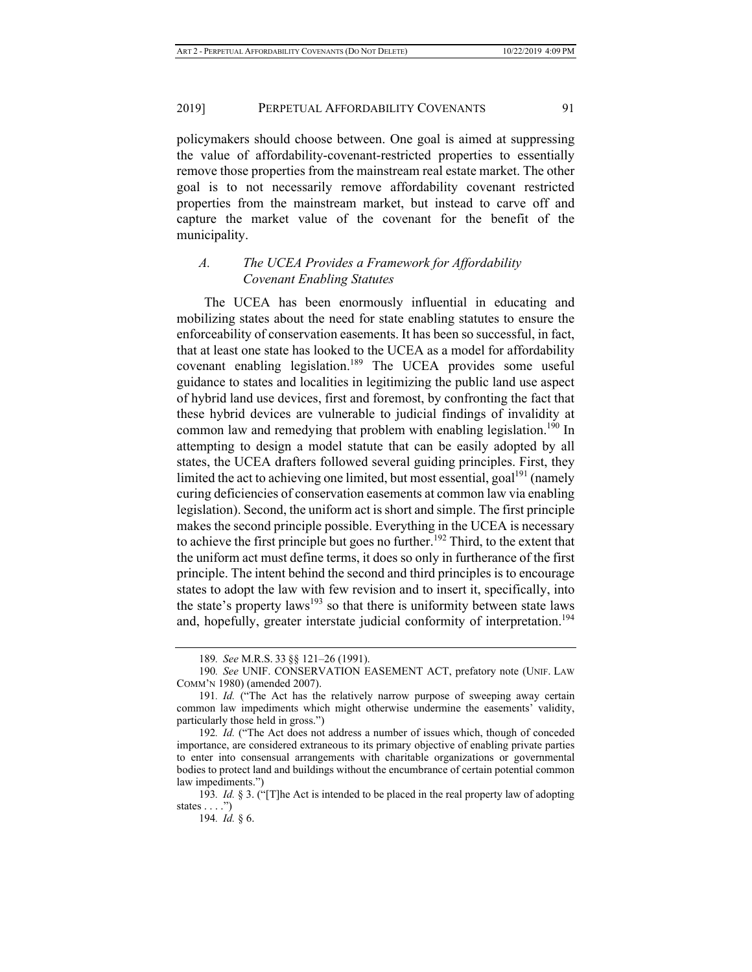policymakers should choose between. One goal is aimed at suppressing the value of affordability-covenant-restricted properties to essentially remove those properties from the mainstream real estate market. The other goal is to not necessarily remove affordability covenant restricted properties from the mainstream market, but instead to carve off and capture the market value of the covenant for the benefit of the municipality.

## *A. The UCEA Provides a Framework for Affordability Covenant Enabling Statutes*

The UCEA has been enormously influential in educating and mobilizing states about the need for state enabling statutes to ensure the enforceability of conservation easements. It has been so successful, in fact, that at least one state has looked to the UCEA as a model for affordability covenant enabling legislation.<sup>189</sup> The UCEA provides some useful guidance to states and localities in legitimizing the public land use aspect of hybrid land use devices, first and foremost, by confronting the fact that these hybrid devices are vulnerable to judicial findings of invalidity at common law and remedying that problem with enabling legislation.<sup>190</sup> In attempting to design a model statute that can be easily adopted by all states, the UCEA drafters followed several guiding principles. First, they limited the act to achieving one limited, but most essential,  $\text{goal}^{191}$  (namely curing deficiencies of conservation easements at common law via enabling legislation). Second, the uniform act is short and simple. The first principle makes the second principle possible. Everything in the UCEA is necessary to achieve the first principle but goes no further.<sup>192</sup> Third, to the extent that the uniform act must define terms, it does so only in furtherance of the first principle. The intent behind the second and third principles is to encourage states to adopt the law with few revision and to insert it, specifically, into the state's property laws<sup>193</sup> so that there is uniformity between state laws and, hopefully, greater interstate judicial conformity of interpretation.<sup>194</sup>

<sup>189</sup>*. See* M.R.S. 33 §§ 121–26 (1991).

<sup>190</sup>*. See* UNIF. CONSERVATION EASEMENT ACT, prefatory note (UNIF. LAW COMM'N 1980) (amended 2007).

<sup>191</sup>*. Id.* ("The Act has the relatively narrow purpose of sweeping away certain common law impediments which might otherwise undermine the easements' validity, particularly those held in gross.")

<sup>192</sup>*. Id.* ("The Act does not address a number of issues which, though of conceded importance, are considered extraneous to its primary objective of enabling private parties to enter into consensual arrangements with charitable organizations or governmental bodies to protect land and buildings without the encumbrance of certain potential common law impediments.")

<sup>193</sup>*. Id.* § 3. ("[T]he Act is intended to be placed in the real property law of adopting states  $\dots$ .")

<sup>194</sup>*. Id.* § 6.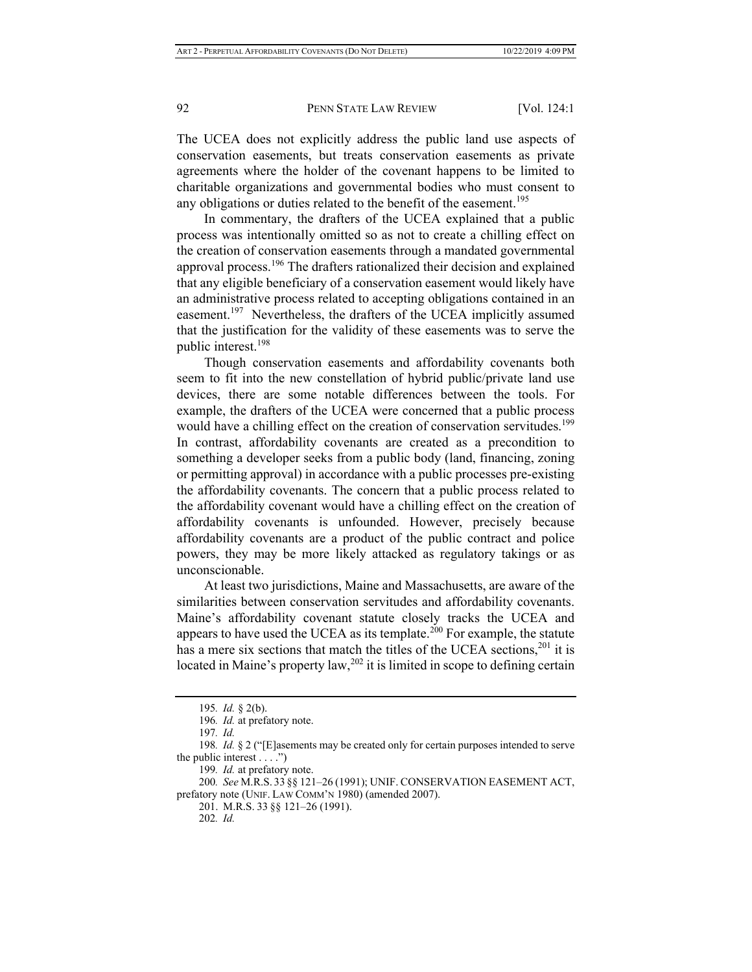The UCEA does not explicitly address the public land use aspects of conservation easements, but treats conservation easements as private agreements where the holder of the covenant happens to be limited to charitable organizations and governmental bodies who must consent to any obligations or duties related to the benefit of the easement.<sup>195</sup>

In commentary, the drafters of the UCEA explained that a public process was intentionally omitted so as not to create a chilling effect on the creation of conservation easements through a mandated governmental approval process.<sup>196</sup> The drafters rationalized their decision and explained that any eligible beneficiary of a conservation easement would likely have an administrative process related to accepting obligations contained in an easement.<sup>197</sup> Nevertheless, the drafters of the UCEA implicitly assumed that the justification for the validity of these easements was to serve the public interest.198

Though conservation easements and affordability covenants both seem to fit into the new constellation of hybrid public/private land use devices, there are some notable differences between the tools. For example, the drafters of the UCEA were concerned that a public process would have a chilling effect on the creation of conservation servitudes.<sup>199</sup> In contrast, affordability covenants are created as a precondition to something a developer seeks from a public body (land, financing, zoning or permitting approval) in accordance with a public processes pre-existing the affordability covenants. The concern that a public process related to the affordability covenant would have a chilling effect on the creation of affordability covenants is unfounded. However, precisely because affordability covenants are a product of the public contract and police powers, they may be more likely attacked as regulatory takings or as unconscionable.

At least two jurisdictions, Maine and Massachusetts, are aware of the similarities between conservation servitudes and affordability covenants. Maine's affordability covenant statute closely tracks the UCEA and appears to have used the UCEA as its template.<sup>200</sup> For example, the statute has a mere six sections that match the titles of the UCEA sections,  $201$  it is located in Maine's property law,  $202$  it is limited in scope to defining certain

<sup>195</sup>*. Id.* § 2(b).

<sup>196</sup>*. Id.* at prefatory note.

<sup>197</sup>*. Id.*

<sup>198</sup>*. Id.* § 2 ("[E]asements may be created only for certain purposes intended to serve the public interest  $\dots$ .")

<sup>199</sup>*. Id.* at prefatory note.

<sup>200</sup>*. See* M.R.S. 33 §§ 121–26 (1991); UNIF. CONSERVATION EASEMENT ACT, prefatory note (UNIF. LAW COMM'N 1980) (amended 2007).

<sup>201.</sup> M.R.S. 33 §§ 121–26 (1991).

<sup>202</sup>*. Id.*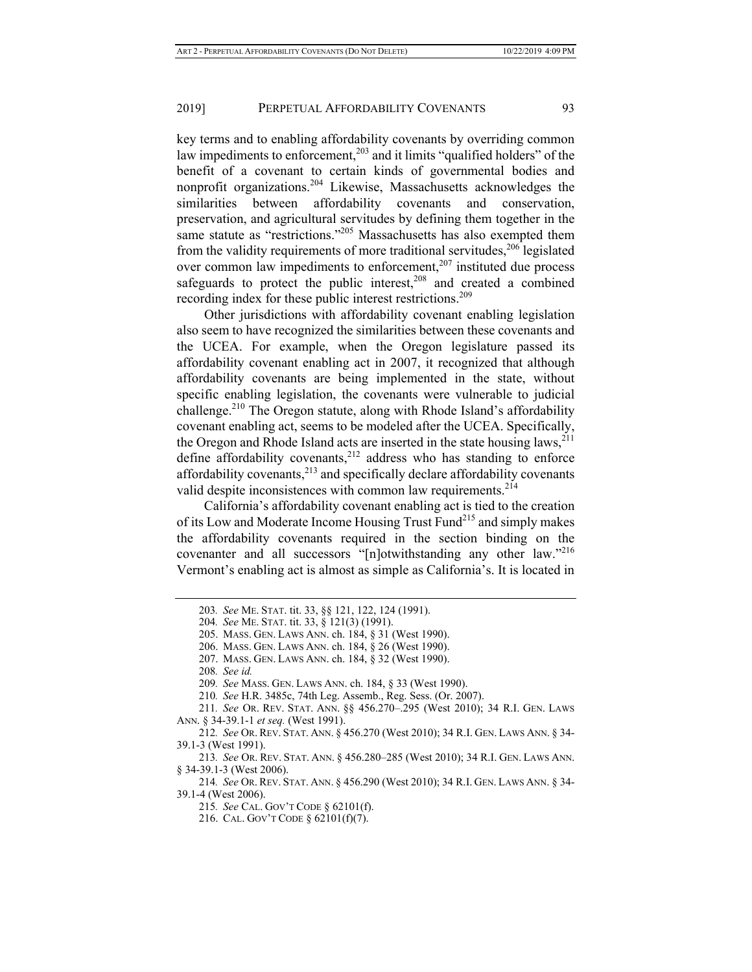key terms and to enabling affordability covenants by overriding common law impediments to enforcement,<sup>203</sup> and it limits "qualified holders" of the benefit of a covenant to certain kinds of governmental bodies and nonprofit organizations.204 Likewise, Massachusetts acknowledges the similarities between affordability covenants and conservation, preservation, and agricultural servitudes by defining them together in the same statute as "restrictions."<sup>205</sup> Massachusetts has also exempted them from the validity requirements of more traditional servitudes,  $206$  legislated over common law impediments to enforcement, $207$  instituted due process safeguards to protect the public interest, $208$  and created a combined recording index for these public interest restrictions.<sup>209</sup>

Other jurisdictions with affordability covenant enabling legislation also seem to have recognized the similarities between these covenants and the UCEA. For example, when the Oregon legislature passed its affordability covenant enabling act in 2007, it recognized that although affordability covenants are being implemented in the state, without specific enabling legislation, the covenants were vulnerable to judicial challenge.<sup>210</sup> The Oregon statute, along with Rhode Island's affordability covenant enabling act, seems to be modeled after the UCEA. Specifically, the Oregon and Rhode Island acts are inserted in the state housing laws,<sup>211</sup> define affordability covenants,<sup>212</sup> address who has standing to enforce affordability covenants, $2^{13}$  and specifically declare affordability covenants valid despite inconsistences with common law requirements.<sup>214</sup>

California's affordability covenant enabling act is tied to the creation of its Low and Moderate Income Housing Trust Fund<sup>215</sup> and simply makes the affordability covenants required in the section binding on the covenanter and all successors "[n]otwithstanding any other law."<sup>216</sup> Vermont's enabling act is almost as simple as California's. It is located in

<sup>203</sup>*. See* ME. STAT. tit. 33, §§ 121, 122, 124 (1991).

<sup>204</sup>*. See* ME. STAT. tit. 33, § 121(3) (1991).

<sup>205.</sup> MASS. GEN. LAWS ANN. ch. 184, § 31 (West 1990).

<sup>206.</sup> MASS. GEN. LAWS ANN. ch. 184, § 26 (West 1990).

<sup>207.</sup> MASS. GEN. LAWS ANN. ch. 184, § 32 (West 1990).

<sup>208</sup>*. See id.*

<sup>209</sup>*. See* MASS. GEN. LAWS ANN. ch. 184, § 33 (West 1990).

<sup>210</sup>*. See* H.R. 3485c, 74th Leg. Assemb., Reg. Sess. (Or. 2007).

<sup>211</sup>*. See* OR. REV. STAT. ANN. §§ 456.270–.295 (West 2010); 34 R.I. GEN. LAWS ANN. § 34-39.1-1 *et seq.* (West 1991).

<sup>212</sup>*. See* OR. REV. STAT. ANN. § 456.270 (West 2010); 34 R.I. GEN. LAWS ANN. § 34- 39.1-3 (West 1991).

<sup>213</sup>*. See* OR. REV. STAT. ANN. § 456.280–285 (West 2010); 34 R.I. GEN. LAWS ANN. § 34-39.1-3 (West 2006).

<sup>214</sup>*. See* OR. REV. STAT. ANN. § 456.290 (West 2010); 34 R.I. GEN. LAWS ANN. § 34- 39.1-4 (West 2006).

<sup>215</sup>*. See* CAL. GOV'T CODE § 62101(f).

<sup>216.</sup> CAL. GOV'T CODE § 62101(f)(7).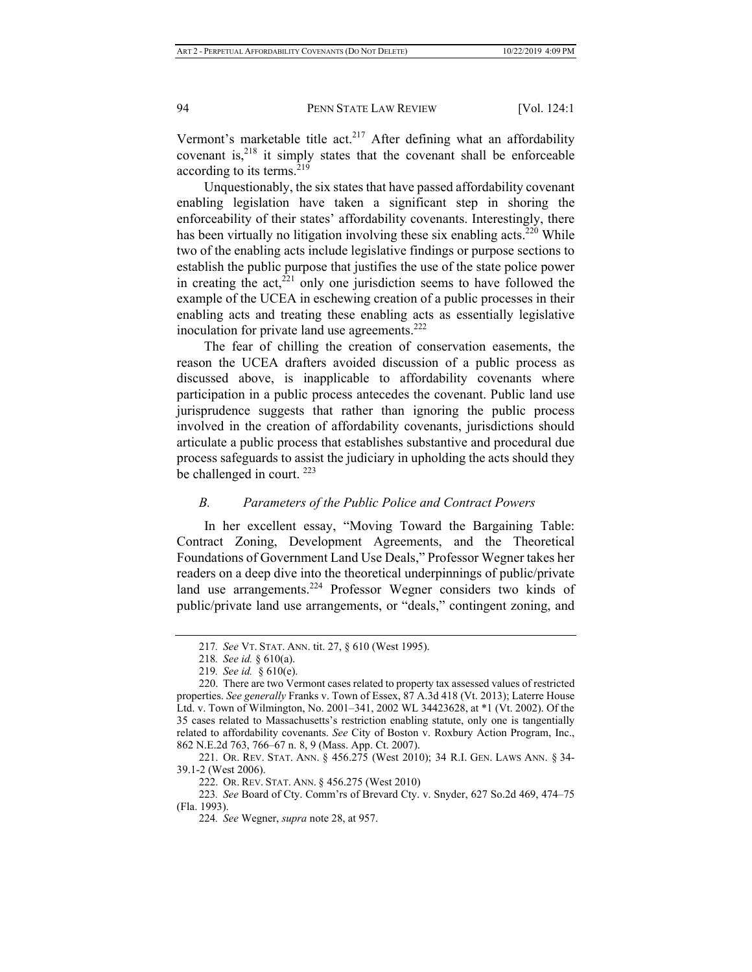Vermont's marketable title act.<sup>217</sup> After defining what an affordability covenant is, $2^{18}$  it simply states that the covenant shall be enforceable according to its terms.<sup>219</sup>

Unquestionably, the six states that have passed affordability covenant enabling legislation have taken a significant step in shoring the enforceability of their states' affordability covenants. Interestingly, there has been virtually no litigation involving these six enabling acts.<sup>220</sup> While two of the enabling acts include legislative findings or purpose sections to establish the public purpose that justifies the use of the state police power in creating the  $act<sub>221</sub>$  only one jurisdiction seems to have followed the example of the UCEA in eschewing creation of a public processes in their enabling acts and treating these enabling acts as essentially legislative inoculation for private land use agreements.<sup>222</sup>

The fear of chilling the creation of conservation easements, the reason the UCEA drafters avoided discussion of a public process as discussed above, is inapplicable to affordability covenants where participation in a public process antecedes the covenant. Public land use jurisprudence suggests that rather than ignoring the public process involved in the creation of affordability covenants, jurisdictions should articulate a public process that establishes substantive and procedural due process safeguards to assist the judiciary in upholding the acts should they be challenged in court.  $223$ 

#### *B. Parameters of the Public Police and Contract Powers*

In her excellent essay, "Moving Toward the Bargaining Table: Contract Zoning, Development Agreements, and the Theoretical Foundations of Government Land Use Deals," Professor Wegner takes her readers on a deep dive into the theoretical underpinnings of public/private land use arrangements.<sup>224</sup> Professor Wegner considers two kinds of public/private land use arrangements, or "deals," contingent zoning, and

223*. See* Board of Cty. Comm'rs of Brevard Cty. v. Snyder, 627 So.2d 469, 474–75 (Fla. 1993).

<sup>217</sup>*. See* VT. STAT. ANN. tit. 27, § 610 (West 1995).

<sup>218</sup>*. See id.* § 610(a).

<sup>219</sup>*. See id.* § 610(e).

<sup>220.</sup> There are two Vermont cases related to property tax assessed values of restricted properties. *See generally* Franks v. Town of Essex, 87 A.3d 418 (Vt. 2013); Laterre House Ltd. v. Town of Wilmington, No. 2001–341, 2002 WL 34423628, at \*1 (Vt. 2002). Of the 35 cases related to Massachusetts's restriction enabling statute, only one is tangentially related to affordability covenants. *See* City of Boston v. Roxbury Action Program, Inc., 862 N.E.2d 763, 766–67 n. 8, 9 (Mass. App. Ct. 2007).

<sup>221.</sup> OR. REV. STAT. ANN. § 456.275 (West 2010); 34 R.I. GEN. LAWS ANN. § 34- 39.1-2 (West 2006).

<sup>222.</sup> OR. REV. STAT. ANN. § 456.275 (West 2010)

<sup>224</sup>*. See* Wegner, *supra* note 28, at 957.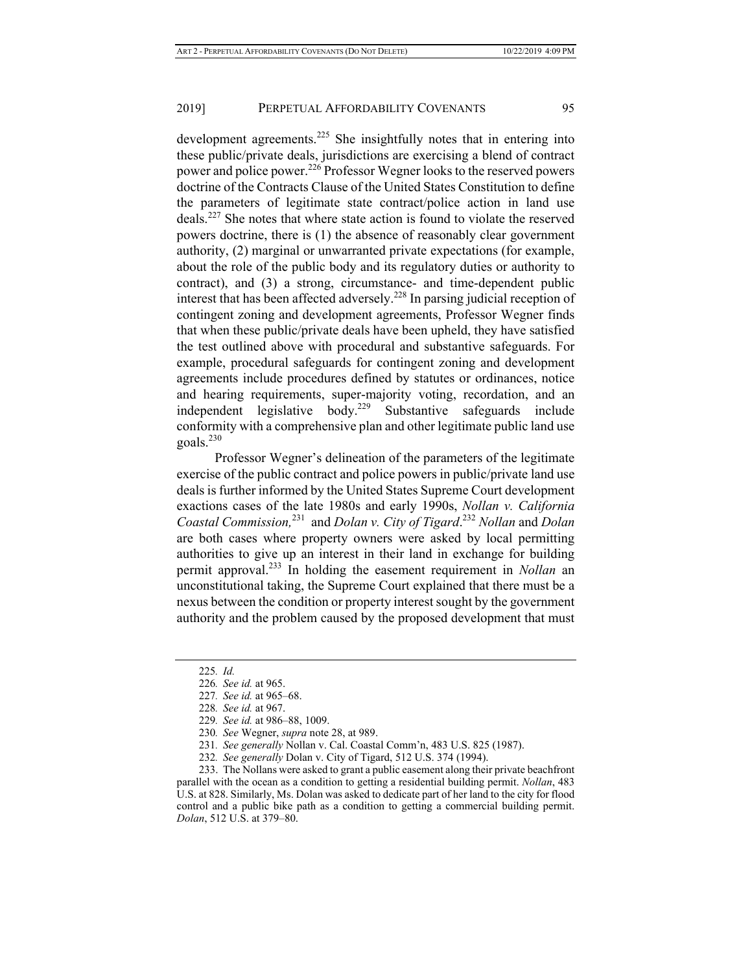development agreements.<sup>225</sup> She insightfully notes that in entering into these public/private deals, jurisdictions are exercising a blend of contract power and police power.<sup>226</sup> Professor Wegner looks to the reserved powers doctrine of the Contracts Clause of the United States Constitution to define the parameters of legitimate state contract/police action in land use deals.227 She notes that where state action is found to violate the reserved powers doctrine, there is (1) the absence of reasonably clear government authority, (2) marginal or unwarranted private expectations (for example, about the role of the public body and its regulatory duties or authority to contract), and (3) a strong, circumstance- and time-dependent public interest that has been affected adversely.228 In parsing judicial reception of contingent zoning and development agreements, Professor Wegner finds that when these public/private deals have been upheld, they have satisfied the test outlined above with procedural and substantive safeguards. For example, procedural safeguards for contingent zoning and development agreements include procedures defined by statutes or ordinances, notice and hearing requirements, super-majority voting, recordation, and an independent legislative body.<sup>229</sup> Substantive safeguards include conformity with a comprehensive plan and other legitimate public land use goals.<sup>230</sup>

 Professor Wegner's delineation of the parameters of the legitimate exercise of the public contract and police powers in public/private land use deals is further informed by the United States Supreme Court development exactions cases of the late 1980s and early 1990s, *Nollan v. California Coastal Commission,*231 and *Dolan v. City of Tigard*. <sup>232</sup> *Nollan* and *Dolan* are both cases where property owners were asked by local permitting authorities to give up an interest in their land in exchange for building permit approval.233 In holding the easement requirement in *Nollan* an unconstitutional taking, the Supreme Court explained that there must be a nexus between the condition or property interest sought by the government authority and the problem caused by the proposed development that must

233. The Nollans were asked to grant a public easement along their private beachfront parallel with the ocean as a condition to getting a residential building permit. *Nollan*, 483 U.S. at 828. Similarly, Ms. Dolan was asked to dedicate part of her land to the city for flood control and a public bike path as a condition to getting a commercial building permit. *Dolan*, 512 U.S. at 379–80.

<sup>225</sup>*. Id.* 

<sup>226</sup>*. See id.* at 965.

<sup>227</sup>*. See id.* at 965–68.

<sup>228</sup>*. See id.* at 967.

<sup>229</sup>*. See id.* at 986–88, 1009.

<sup>230</sup>*. See* Wegner, *supra* note 28, at 989.

<sup>231</sup>*. See generally* Nollan v. Cal. Coastal Comm'n, 483 U.S. 825 (1987).

<sup>232</sup>*. See generally* Dolan v. City of Tigard, 512 U.S. 374 (1994).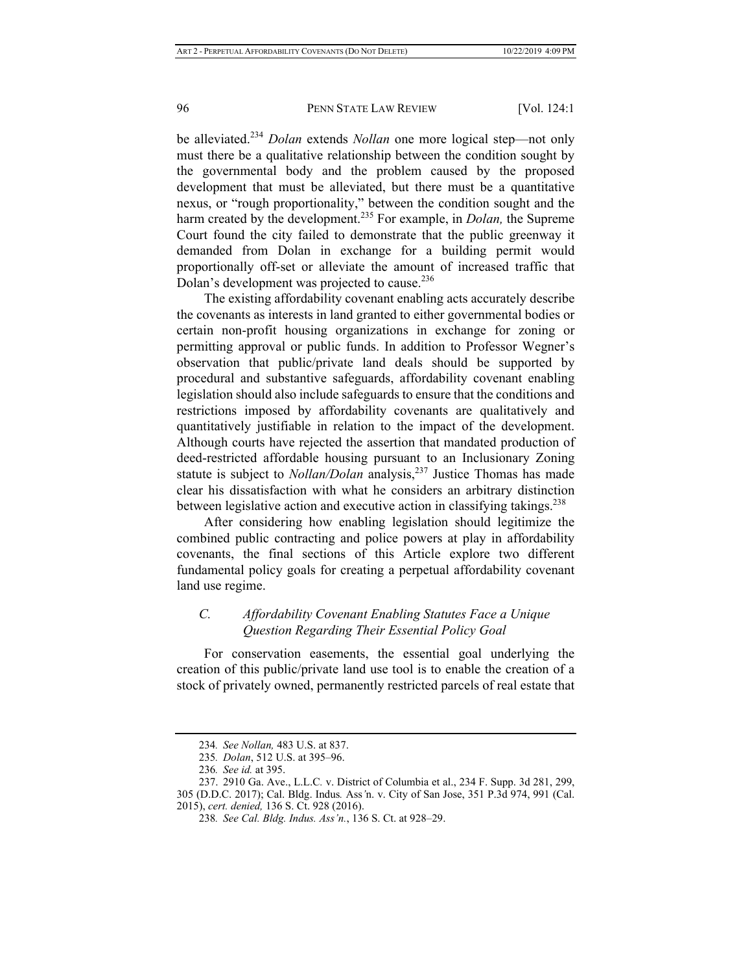be alleviated.<sup>234</sup> *Dolan* extends *Nollan* one more logical step—not only must there be a qualitative relationship between the condition sought by the governmental body and the problem caused by the proposed development that must be alleviated, but there must be a quantitative nexus, or "rough proportionality," between the condition sought and the harm created by the development.235 For example, in *Dolan,* the Supreme Court found the city failed to demonstrate that the public greenway it demanded from Dolan in exchange for a building permit would proportionally off-set or alleviate the amount of increased traffic that Dolan's development was projected to cause.<sup>236</sup>

The existing affordability covenant enabling acts accurately describe the covenants as interests in land granted to either governmental bodies or certain non-profit housing organizations in exchange for zoning or permitting approval or public funds. In addition to Professor Wegner's observation that public/private land deals should be supported by procedural and substantive safeguards, affordability covenant enabling legislation should also include safeguards to ensure that the conditions and restrictions imposed by affordability covenants are qualitatively and quantitatively justifiable in relation to the impact of the development. Although courts have rejected the assertion that mandated production of deed-restricted affordable housing pursuant to an Inclusionary Zoning statute is subject to *Nollan/Dolan* analysis,<sup>237</sup> Justice Thomas has made clear his dissatisfaction with what he considers an arbitrary distinction between legislative action and executive action in classifying takings.<sup>238</sup>

After considering how enabling legislation should legitimize the combined public contracting and police powers at play in affordability covenants, the final sections of this Article explore two different fundamental policy goals for creating a perpetual affordability covenant land use regime.

## *C. Affordability Covenant Enabling Statutes Face a Unique Question Regarding Their Essential Policy Goal*

For conservation easements, the essential goal underlying the creation of this public/private land use tool is to enable the creation of a stock of privately owned, permanently restricted parcels of real estate that

<sup>234</sup>*. See Nollan,* 483 U.S. at 837.

<sup>235</sup>*. Dolan*, 512 U.S. at 395–96.

<sup>236</sup>*. See id.* at 395.

<sup>237. 2910</sup> Ga. Ave., L.L.C*.* v. District of Columbia et al., 234 F. Supp. 3d 281, 299, 305 (D.D.C. 2017); Cal. Bldg. Indus*.* Ass*'*n. v. City of San Jose, 351 P.3d 974, 991 (Cal. 2015), *cert. denied,* 136 S. Ct. 928 (2016).

<sup>238</sup>*. See Cal. Bldg. Indus. Ass'n.*, 136 S. Ct. at 928–29.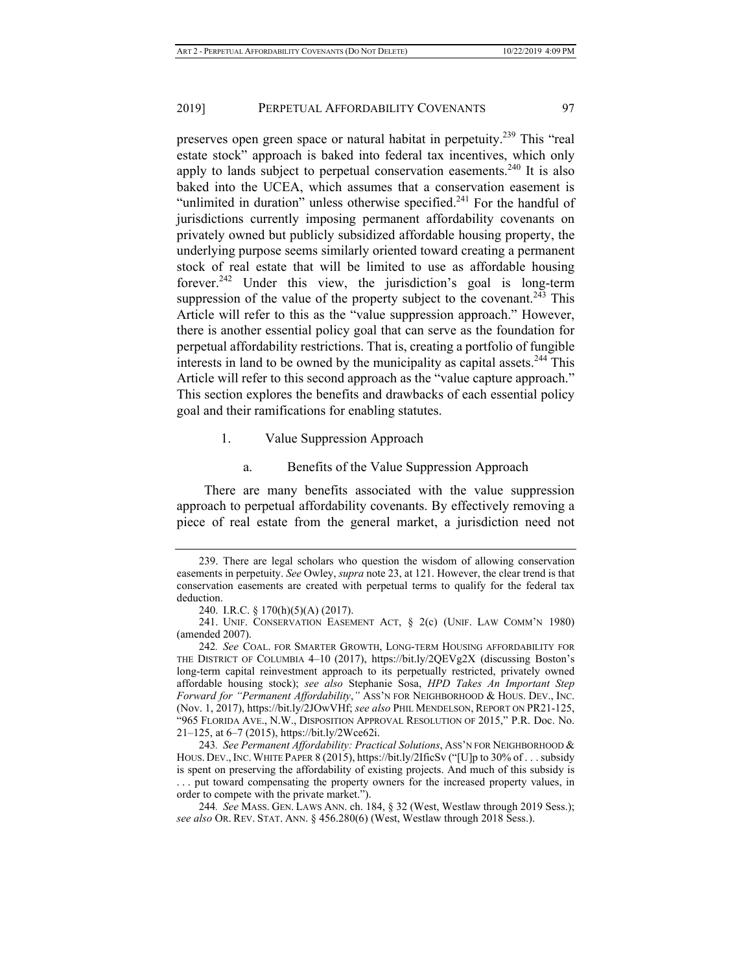preserves open green space or natural habitat in perpetuity.239 This "real estate stock" approach is baked into federal tax incentives, which only apply to lands subject to perpetual conservation easements.<sup>240</sup> It is also baked into the UCEA, which assumes that a conservation easement is "unlimited in duration" unless otherwise specified.<sup>241</sup> For the handful of jurisdictions currently imposing permanent affordability covenants on privately owned but publicly subsidized affordable housing property, the underlying purpose seems similarly oriented toward creating a permanent stock of real estate that will be limited to use as affordable housing forever.<sup>242</sup> Under this view, the jurisdiction's goal is long-term suppression of the value of the property subject to the covenant.<sup>243</sup> This Article will refer to this as the "value suppression approach." However, there is another essential policy goal that can serve as the foundation for perpetual affordability restrictions. That is, creating a portfolio of fungible interests in land to be owned by the municipality as capital assets.<sup>244</sup> This Article will refer to this second approach as the "value capture approach." This section explores the benefits and drawbacks of each essential policy goal and their ramifications for enabling statutes.

1. Value Suppression Approach

#### a. Benefits of the Value Suppression Approach

There are many benefits associated with the value suppression approach to perpetual affordability covenants. By effectively removing a piece of real estate from the general market, a jurisdiction need not

<sup>239.</sup> There are legal scholars who question the wisdom of allowing conservation easements in perpetuity. *See* Owley, *supra* note 23, at 121. However, the clear trend is that conservation easements are created with perpetual terms to qualify for the federal tax deduction.

<sup>240.</sup> I.R.C. § 170(h)(5)(A) (2017).

<sup>241.</sup> UNIF. CONSERVATION EASEMENT ACT, § 2(c) (UNIF. LAW COMM'N 1980) (amended 2007).

<sup>242</sup>*. See* COAL. FOR SMARTER GROWTH, LONG-TERM HOUSING AFFORDABILITY FOR THE DISTRICT OF COLUMBIA 4–10 (2017), https://bit.ly/2QEVg2X (discussing Boston's long-term capital reinvestment approach to its perpetually restricted, privately owned affordable housing stock); *see also* Stephanie Sosa, *HPD Takes An Important Step Forward for "Permanent Affordability*,*"* ASS'N FOR NEIGHBORHOOD & HOUS. DEV., INC. (Nov. 1, 2017), https://bit.ly/2JOwVHf; *see also* PHIL MENDELSON, REPORT ON PR21-125, "965 FLORIDA AVE., N.W., DISPOSITION APPROVAL RESOLUTION OF 2015," P.R. Doc. No. 21–125, at 6–7 (2015), https://bit.ly/2Wce62i.

<sup>243</sup>*. See Permanent Affordability: Practical Solutions*, ASS'N FOR NEIGHBORHOOD & HOUS. DEV., INC. WHITE PAPER 8 (2015), https://bit.ly/2IficSv ("[U]p to 30% of . . . subsidy is spent on preserving the affordability of existing projects. And much of this subsidy is ... put toward compensating the property owners for the increased property values, in order to compete with the private market.").

<sup>244</sup>*. See* MASS. GEN. LAWS ANN. ch. 184, § 32 (West, Westlaw through 2019 Sess.); *see also* OR. REV. STAT. ANN. § 456.280(6) (West, Westlaw through 2018 Sess.).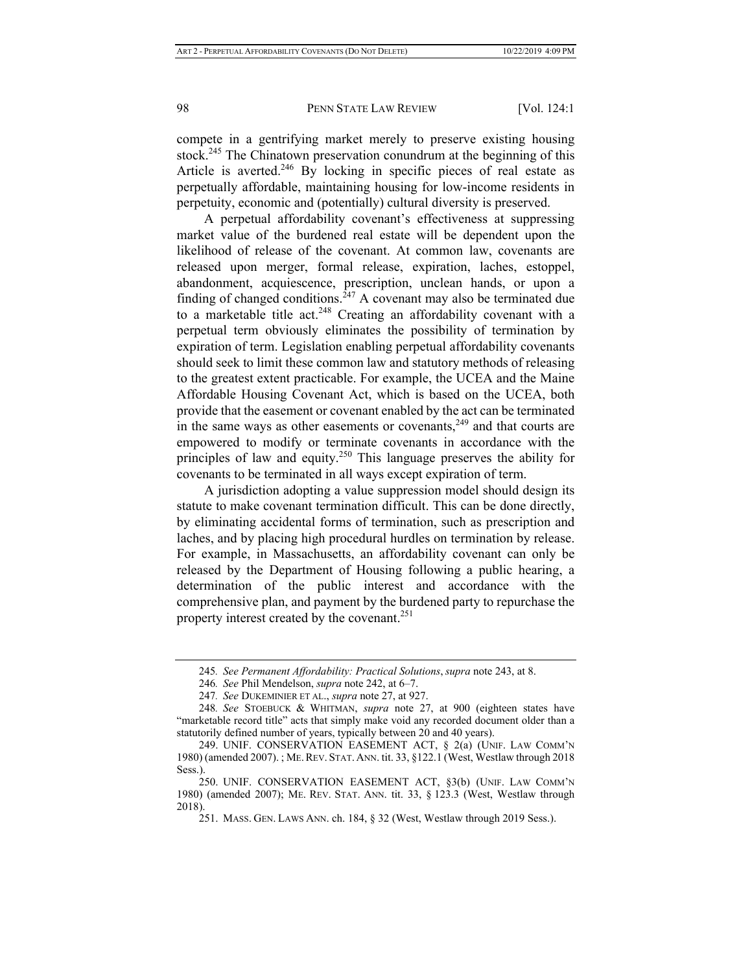compete in a gentrifying market merely to preserve existing housing stock.<sup>245</sup> The Chinatown preservation conundrum at the beginning of this Article is averted. $246$  By locking in specific pieces of real estate as perpetually affordable, maintaining housing for low-income residents in perpetuity, economic and (potentially) cultural diversity is preserved.

A perpetual affordability covenant's effectiveness at suppressing market value of the burdened real estate will be dependent upon the likelihood of release of the covenant. At common law, covenants are released upon merger, formal release, expiration, laches, estoppel, abandonment, acquiescence, prescription, unclean hands, or upon a finding of changed conditions.<sup>247</sup> A covenant may also be terminated due to a marketable title act.<sup>248</sup> Creating an affordability covenant with a perpetual term obviously eliminates the possibility of termination by expiration of term. Legislation enabling perpetual affordability covenants should seek to limit these common law and statutory methods of releasing to the greatest extent practicable. For example, the UCEA and the Maine Affordable Housing Covenant Act, which is based on the UCEA, both provide that the easement or covenant enabled by the act can be terminated in the same ways as other easements or covenants, $249$  and that courts are empowered to modify or terminate covenants in accordance with the principles of law and equity.<sup>250</sup> This language preserves the ability for covenants to be terminated in all ways except expiration of term.

A jurisdiction adopting a value suppression model should design its statute to make covenant termination difficult. This can be done directly, by eliminating accidental forms of termination, such as prescription and laches, and by placing high procedural hurdles on termination by release. For example, in Massachusetts, an affordability covenant can only be released by the Department of Housing following a public hearing, a determination of the public interest and accordance with the comprehensive plan, and payment by the burdened party to repurchase the property interest created by the covenant.<sup>251</sup>

<sup>245</sup>*. See Permanent Affordability: Practical Solutions*, *supra* note 243, at 8.

<sup>246</sup>*. See* Phil Mendelson, *supra* note 242, at 6–7.

<sup>247</sup>*. See* DUKEMINIER ET AL., *supra* note 27, at 927.

<sup>248</sup>*. See* STOEBUCK & WHITMAN, *supra* note 27, at 900 (eighteen states have "marketable record title" acts that simply make void any recorded document older than a statutorily defined number of years, typically between 20 and 40 years).

<sup>249.</sup> UNIF. CONSERVATION EASEMENT ACT, § 2(a) (UNIF. LAW COMM'N 1980) (amended 2007). ; ME.REV. STAT. ANN. tit. 33, §122.1 (West, Westlaw through 2018 Sess.)

<sup>250.</sup> UNIF. CONSERVATION EASEMENT ACT, §3(b) (UNIF. LAW COMM'N 1980) (amended 2007); ME. REV. STAT. ANN. tit. 33, § 123.3 (West, Westlaw through 2018).

<sup>251.</sup> MASS. GEN. LAWS ANN. ch. 184, § 32 (West, Westlaw through 2019 Sess.).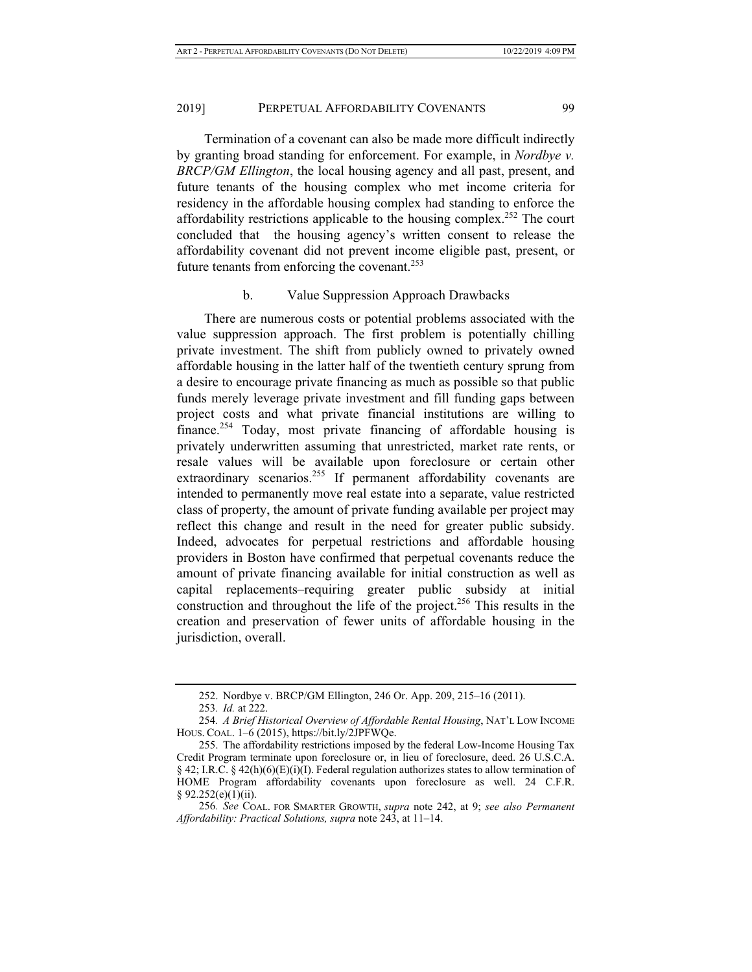Termination of a covenant can also be made more difficult indirectly by granting broad standing for enforcement. For example, in *Nordbye v. BRCP/GM Ellington*, the local housing agency and all past, present, and future tenants of the housing complex who met income criteria for residency in the affordable housing complex had standing to enforce the affordability restrictions applicable to the housing complex.<sup>252</sup> The court concluded that the housing agency's written consent to release the affordability covenant did not prevent income eligible past, present, or future tenants from enforcing the covenant.<sup>253</sup>

#### b. Value Suppression Approach Drawbacks

There are numerous costs or potential problems associated with the value suppression approach. The first problem is potentially chilling private investment. The shift from publicly owned to privately owned affordable housing in the latter half of the twentieth century sprung from a desire to encourage private financing as much as possible so that public funds merely leverage private investment and fill funding gaps between project costs and what private financial institutions are willing to finance.<sup>254</sup> Today, most private financing of affordable housing is privately underwritten assuming that unrestricted, market rate rents, or resale values will be available upon foreclosure or certain other extraordinary scenarios.<sup>255</sup> If permanent affordability covenants are intended to permanently move real estate into a separate, value restricted class of property, the amount of private funding available per project may reflect this change and result in the need for greater public subsidy. Indeed, advocates for perpetual restrictions and affordable housing providers in Boston have confirmed that perpetual covenants reduce the amount of private financing available for initial construction as well as capital replacements–requiring greater public subsidy at initial construction and throughout the life of the project.<sup>256</sup> This results in the creation and preservation of fewer units of affordable housing in the jurisdiction, overall.

<sup>252.</sup> Nordbye v. BRCP/GM Ellington, 246 Or. App. 209, 215–16 (2011).

<sup>253</sup>*. Id.* at 222.

<sup>254</sup>*. A Brief Historical Overview of Affordable Rental Housing*, NAT'L LOW INCOME HOUS. COAL. 1–6 (2015), https://bit.ly/2JPFWQe.

<sup>255.</sup> The affordability restrictions imposed by the federal Low-Income Housing Tax Credit Program terminate upon foreclosure or, in lieu of foreclosure, deed. 26 U.S.C.A.  $\S 42$ ; I.R.C.  $\S 42(h)(6)(E)(i)(I)$ . Federal regulation authorizes states to allow termination of HOME Program affordability covenants upon foreclosure as well. 24 C.F.R.  $§ 92.252(e)(1)(ii).$ 

<sup>256</sup>*. See* COAL. FOR SMARTER GROWTH, *supra* note 242, at 9; *see also Permanent Affordability: Practical Solutions, supra* note 243, at 11–14.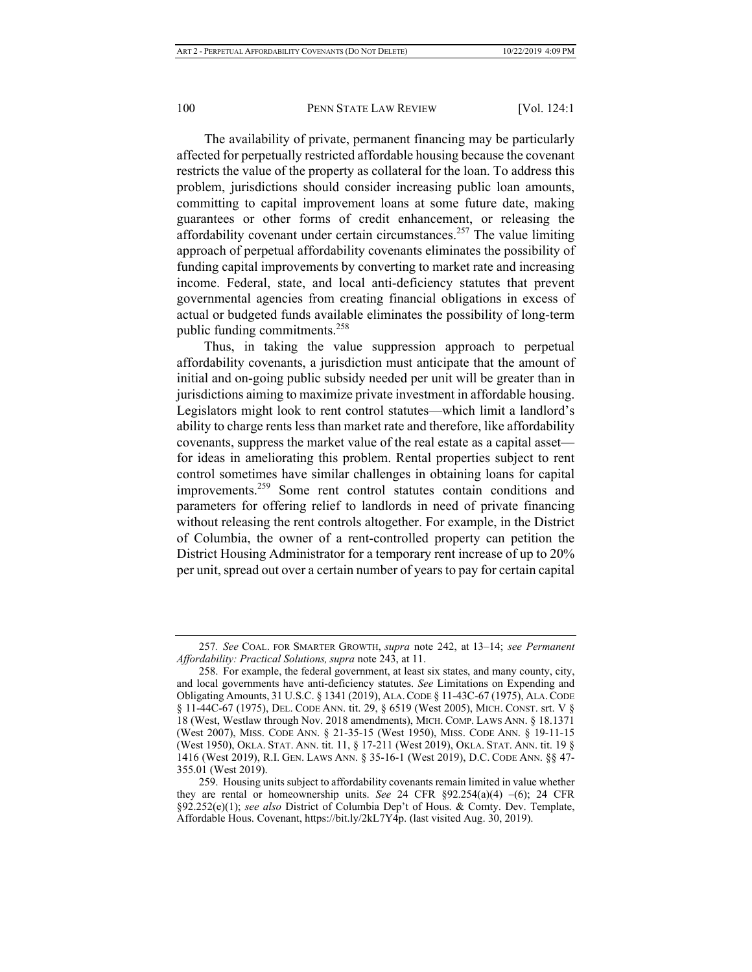The availability of private, permanent financing may be particularly affected for perpetually restricted affordable housing because the covenant restricts the value of the property as collateral for the loan. To address this problem, jurisdictions should consider increasing public loan amounts, committing to capital improvement loans at some future date, making guarantees or other forms of credit enhancement, or releasing the affordability covenant under certain circumstances.<sup>257</sup> The value limiting approach of perpetual affordability covenants eliminates the possibility of funding capital improvements by converting to market rate and increasing income. Federal, state, and local anti-deficiency statutes that prevent governmental agencies from creating financial obligations in excess of actual or budgeted funds available eliminates the possibility of long-term public funding commitments.<sup>258</sup>

Thus, in taking the value suppression approach to perpetual affordability covenants, a jurisdiction must anticipate that the amount of initial and on-going public subsidy needed per unit will be greater than in jurisdictions aiming to maximize private investment in affordable housing. Legislators might look to rent control statutes—which limit a landlord's ability to charge rents less than market rate and therefore, like affordability covenants, suppress the market value of the real estate as a capital asset for ideas in ameliorating this problem. Rental properties subject to rent control sometimes have similar challenges in obtaining loans for capital improvements.259 Some rent control statutes contain conditions and parameters for offering relief to landlords in need of private financing without releasing the rent controls altogether. For example, in the District of Columbia, the owner of a rent-controlled property can petition the District Housing Administrator for a temporary rent increase of up to 20% per unit, spread out over a certain number of years to pay for certain capital

<sup>257</sup>*. See* COAL. FOR SMARTER GROWTH, *supra* note 242, at 13–14; *see Permanent*  Affordability: Practical Solutions, supra note 243, at 11.

<sup>258.</sup> For example, the federal government, at least six states, and many county, city, and local governments have anti-deficiency statutes. *See* Limitations on Expending and Obligating Amounts, 31 U.S.C. § 1341 (2019), ALA.CODE § 11-43C-67 (1975), ALA.CODE § 11-44C-67 (1975), DEL. CODE ANN. tit. 29, § 6519 (West 2005), MICH. CONST. srt. V § 18 (West, Westlaw through Nov. 2018 amendments), MICH. COMP. LAWS ANN. § 18.1371 (West 2007), MISS. CODE ANN. § 21-35-15 (West 1950), MISS. CODE ANN. § 19-11-15 (West 1950), OKLA. STAT. ANN. tit. 11, § 17-211 (West 2019), OKLA. STAT. ANN. tit. 19 § 1416 (West 2019), R.I. GEN. LAWS ANN. § 35-16-1 (West 2019), D.C. CODE ANN. §§ 47- 355.01 (West 2019).

<sup>259.</sup> Housing units subject to affordability covenants remain limited in value whether they are rental or homeownership units. *See* 24 CFR  $\S 92.254(a)(4) - (6)$ ; 24 CFR §92.252(e)(1); *see also* District of Columbia Dep't of Hous. & Comty. Dev. Template, Affordable Hous. Covenant, https://bit.ly/2kL7Y4p. (last visited Aug. 30, 2019).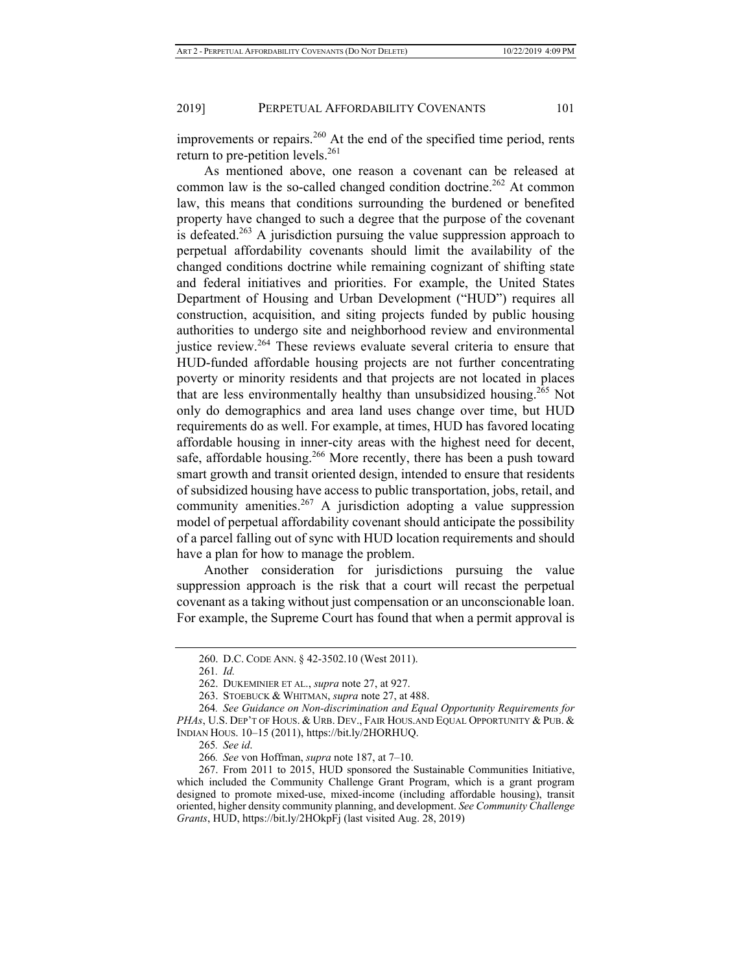improvements or repairs.<sup>260</sup> At the end of the specified time period, rents return to pre-petition levels. $^{261}$ 

As mentioned above, one reason a covenant can be released at common law is the so-called changed condition doctrine.<sup>262</sup> At common law, this means that conditions surrounding the burdened or benefited property have changed to such a degree that the purpose of the covenant is defeated.<sup>263</sup> A jurisdiction pursuing the value suppression approach to perpetual affordability covenants should limit the availability of the changed conditions doctrine while remaining cognizant of shifting state and federal initiatives and priorities. For example, the United States Department of Housing and Urban Development ("HUD") requires all construction, acquisition, and siting projects funded by public housing authorities to undergo site and neighborhood review and environmental iustice review.<sup>264</sup> These reviews evaluate several criteria to ensure that HUD-funded affordable housing projects are not further concentrating poverty or minority residents and that projects are not located in places that are less environmentally healthy than unsubsidized housing.265 Not only do demographics and area land uses change over time, but HUD requirements do as well. For example, at times, HUD has favored locating affordable housing in inner-city areas with the highest need for decent, safe, affordable housing.<sup>266</sup> More recently, there has been a push toward smart growth and transit oriented design, intended to ensure that residents of subsidized housing have access to public transportation, jobs, retail, and community amenities.<sup>267</sup> A jurisdiction adopting a value suppression model of perpetual affordability covenant should anticipate the possibility of a parcel falling out of sync with HUD location requirements and should have a plan for how to manage the problem.

Another consideration for jurisdictions pursuing the value suppression approach is the risk that a court will recast the perpetual covenant as a taking without just compensation or an unconscionable loan. For example, the Supreme Court has found that when a permit approval is

<sup>260.</sup> D.C. CODE ANN. § 42-3502.10 (West 2011).

<sup>261</sup>*. Id.*

<sup>262.</sup> DUKEMINIER ET AL., *supra* note 27, at 927.

<sup>263.</sup> STOEBUCK & WHITMAN, *supra* note 27, at 488.

<sup>264</sup>*. See Guidance on Non-discrimination and Equal Opportunity Requirements for PHAs*, U.S. DEP'T OF HOUS. & URB. DEV., FAIR HOUS.AND EQUAL OPPORTUNITY & PUB. & INDIAN HOUS. 10–15 (2011), https://bit.ly/2HORHUQ.

<sup>265</sup>*. See id*.

<sup>266</sup>*. See* von Hoffman, *supra* note 187, at 7–10.

<sup>267.</sup> From 2011 to 2015, HUD sponsored the Sustainable Communities Initiative, which included the Community Challenge Grant Program, which is a grant program designed to promote mixed-use, mixed-income (including affordable housing), transit oriented, higher density community planning, and development. *See Community Challenge Grants*, HUD, https://bit.ly/2HOkpFj (last visited Aug. 28, 2019)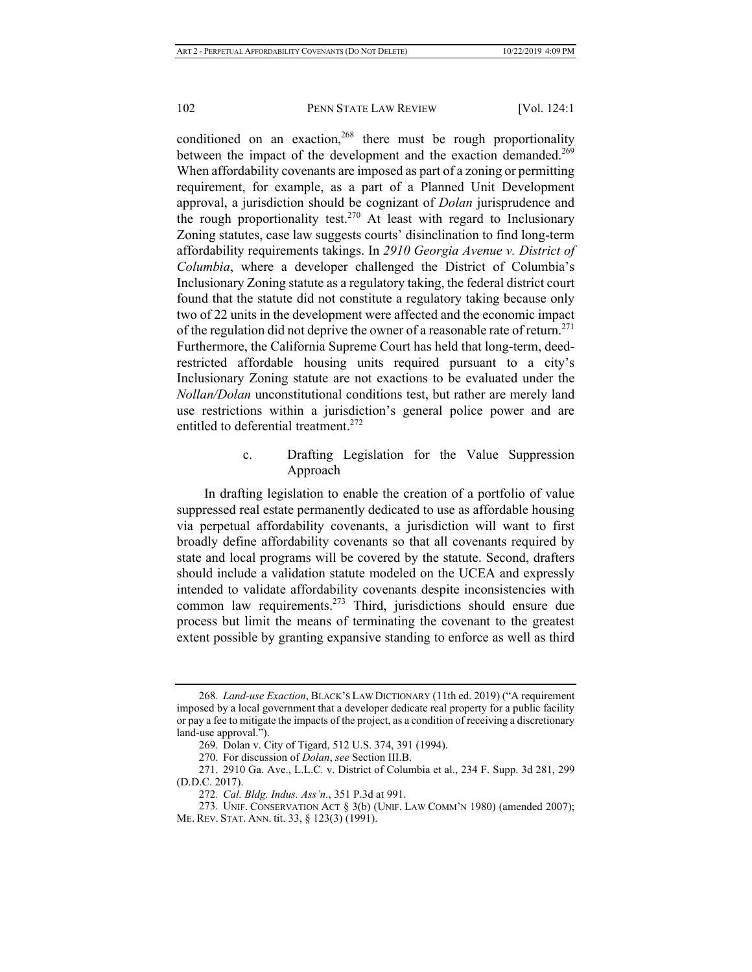conditioned on an exaction,  $268$  there must be rough proportionality between the impact of the development and the exaction demanded.<sup>269</sup> When affordability covenants are imposed as part of a zoning or permitting requirement, for example, as a part of a Planned Unit Development approval, a jurisdiction should be cognizant of *Dolan* jurisprudence and the rough proportionality test.<sup>270</sup> At least with regard to Inclusionary Zoning statutes, case law suggests courts' disinclination to find long-term affordability requirements takings. In *2910 Georgia Avenue v. District of Columbia*, where a developer challenged the District of Columbia's Inclusionary Zoning statute as a regulatory taking, the federal district court found that the statute did not constitute a regulatory taking because only two of 22 units in the development were affected and the economic impact of the regulation did not deprive the owner of a reasonable rate of return.<sup>271</sup> Furthermore, the California Supreme Court has held that long-term, deedrestricted affordable housing units required pursuant to a city's Inclusionary Zoning statute are not exactions to be evaluated under the *Nollan/Dolan* unconstitutional conditions test, but rather are merely land use restrictions within a jurisdiction's general police power and are entitled to deferential treatment.<sup>272</sup>

## c. Drafting Legislation for the Value Suppression Approach

In drafting legislation to enable the creation of a portfolio of value suppressed real estate permanently dedicated to use as affordable housing via perpetual affordability covenants, a jurisdiction will want to first broadly define affordability covenants so that all covenants required by state and local programs will be covered by the statute. Second, drafters should include a validation statute modeled on the UCEA and expressly intended to validate affordability covenants despite inconsistencies with common law requirements.<sup>273</sup> Third, jurisdictions should ensure due process but limit the means of terminating the covenant to the greatest extent possible by granting expansive standing to enforce as well as third

<sup>268</sup>*. Land-use Exaction*, BLACK'S LAW DICTIONARY (11th ed. 2019) ("A requirement imposed by a local government that a developer dedicate real property for a public facility or pay a fee to mitigate the impacts of the project, as a condition of receiving a discretionary land-use approval.").

<sup>269.</sup> Dolan v. City of Tigard, 512 U.S. 374, 391 (1994).

<sup>270.</sup> For discussion of *Dolan*, *see* Section III.B.

<sup>271. 2910</sup> Ga. Ave., L.L.C*.* v. District of Columbia et al., 234 F. Supp. 3d 281, 299 (D.D.C. 2017).

<sup>272</sup>*. Cal. Bldg. Indus. Ass'n.*, 351 P.3d at 991.

<sup>273.</sup> UNIF. CONSERVATION ACT § 3(b) (UNIF. LAW COMM'N 1980) (amended 2007); ME. REV. STAT. ANN. tit. 33, § 123(3) (1991).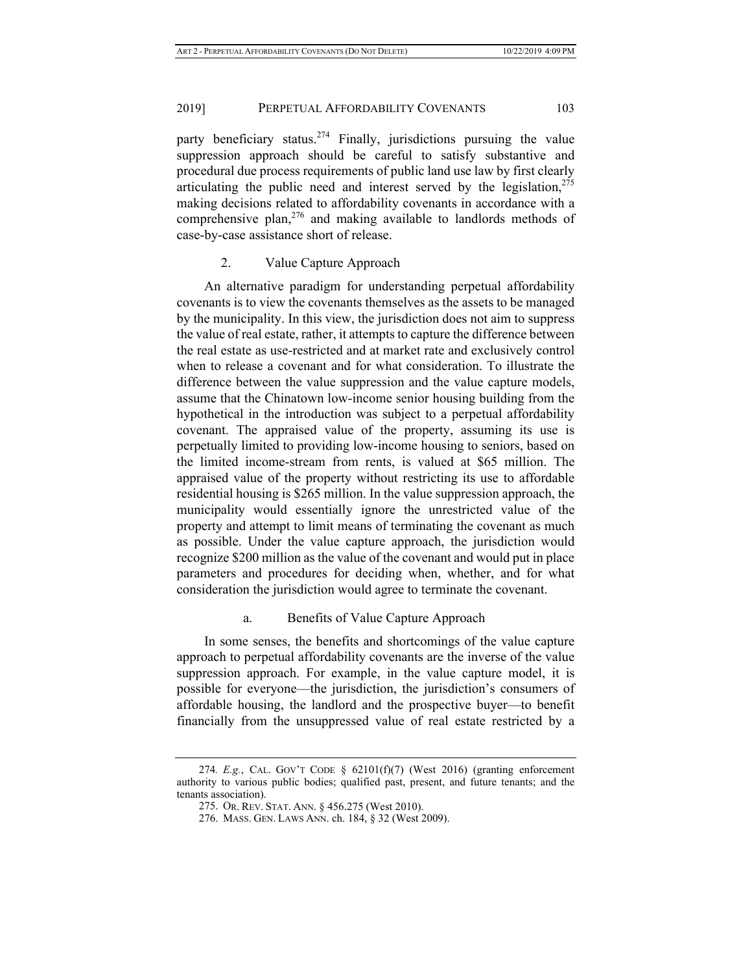party beneficiary status.<sup>274</sup> Finally, jurisdictions pursuing the value suppression approach should be careful to satisfy substantive and procedural due process requirements of public land use law by first clearly articulating the public need and interest served by the legislation,  $275$ making decisions related to affordability covenants in accordance with a comprehensive plan,<sup>276</sup> and making available to landlords methods of case-by-case assistance short of release.

## 2. Value Capture Approach

An alternative paradigm for understanding perpetual affordability covenants is to view the covenants themselves as the assets to be managed by the municipality. In this view, the jurisdiction does not aim to suppress the value of real estate, rather, it attempts to capture the difference between the real estate as use-restricted and at market rate and exclusively control when to release a covenant and for what consideration. To illustrate the difference between the value suppression and the value capture models, assume that the Chinatown low-income senior housing building from the hypothetical in the introduction was subject to a perpetual affordability covenant. The appraised value of the property, assuming its use is perpetually limited to providing low-income housing to seniors, based on the limited income-stream from rents, is valued at \$65 million. The appraised value of the property without restricting its use to affordable residential housing is \$265 million. In the value suppression approach, the municipality would essentially ignore the unrestricted value of the property and attempt to limit means of terminating the covenant as much as possible. Under the value capture approach, the jurisdiction would recognize \$200 million as the value of the covenant and would put in place parameters and procedures for deciding when, whether, and for what consideration the jurisdiction would agree to terminate the covenant.

#### a. Benefits of Value Capture Approach

In some senses, the benefits and shortcomings of the value capture approach to perpetual affordability covenants are the inverse of the value suppression approach. For example, in the value capture model, it is possible for everyone—the jurisdiction, the jurisdiction's consumers of affordable housing, the landlord and the prospective buyer—to benefit financially from the unsuppressed value of real estate restricted by a

<sup>274</sup>*. E.g.*, CAL. GOV'T CODE § 62101(f)(7) (West 2016) (granting enforcement authority to various public bodies; qualified past, present, and future tenants; and the tenants association).

<sup>275.</sup> OR. REV. STAT. ANN. § 456.275 (West 2010).

<sup>276.</sup> MASS. GEN. LAWS ANN. ch. 184, § 32 (West 2009).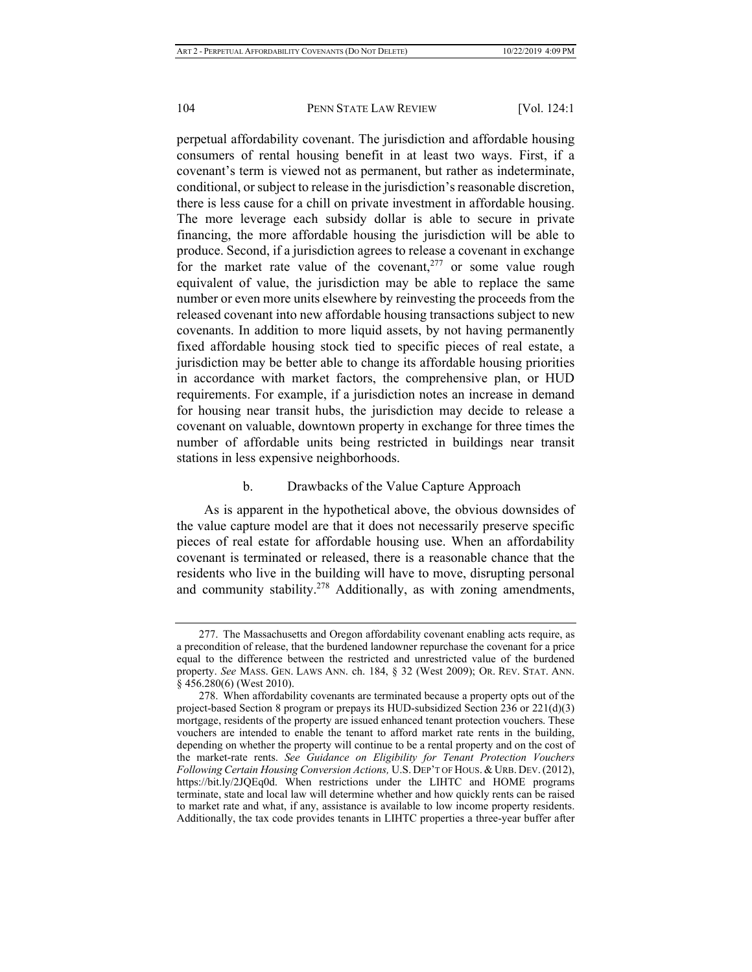perpetual affordability covenant. The jurisdiction and affordable housing consumers of rental housing benefit in at least two ways. First, if a covenant's term is viewed not as permanent, but rather as indeterminate, conditional, or subject to release in the jurisdiction's reasonable discretion, there is less cause for a chill on private investment in affordable housing. The more leverage each subsidy dollar is able to secure in private financing, the more affordable housing the jurisdiction will be able to produce. Second, if a jurisdiction agrees to release a covenant in exchange for the market rate value of the covenant,<sup>277</sup> or some value rough equivalent of value, the jurisdiction may be able to replace the same number or even more units elsewhere by reinvesting the proceeds from the released covenant into new affordable housing transactions subject to new covenants. In addition to more liquid assets, by not having permanently fixed affordable housing stock tied to specific pieces of real estate, a jurisdiction may be better able to change its affordable housing priorities in accordance with market factors, the comprehensive plan, or HUD requirements. For example, if a jurisdiction notes an increase in demand for housing near transit hubs, the jurisdiction may decide to release a covenant on valuable, downtown property in exchange for three times the number of affordable units being restricted in buildings near transit stations in less expensive neighborhoods.

#### b. Drawbacks of the Value Capture Approach

As is apparent in the hypothetical above, the obvious downsides of the value capture model are that it does not necessarily preserve specific pieces of real estate for affordable housing use. When an affordability covenant is terminated or released, there is a reasonable chance that the residents who live in the building will have to move, disrupting personal and community stability.<sup>278</sup> Additionally, as with zoning amendments,

<sup>277.</sup> The Massachusetts and Oregon affordability covenant enabling acts require, as a precondition of release, that the burdened landowner repurchase the covenant for a price equal to the difference between the restricted and unrestricted value of the burdened property. *See* MASS. GEN. LAWS ANN. ch. 184, § 32 (West 2009); OR. REV. STAT. ANN. § 456.280(6) (West 2010).

<sup>278.</sup> When affordability covenants are terminated because a property opts out of the project-based Section 8 program or prepays its HUD-subsidized Section 236 or  $221(d)(3)$ mortgage, residents of the property are issued enhanced tenant protection vouchers. These vouchers are intended to enable the tenant to afford market rate rents in the building, depending on whether the property will continue to be a rental property and on the cost of the market-rate rents. *See Guidance on Eligibility for Tenant Protection Vouchers Following Certain Housing Conversion Actions,* U.S. DEP'T OF HOUS. & URB. DEV.(2012), https://bit.ly/2JQEq0d. When restrictions under the LIHTC and HOME programs terminate, state and local law will determine whether and how quickly rents can be raised to market rate and what, if any, assistance is available to low income property residents. Additionally, the tax code provides tenants in LIHTC properties a three-year buffer after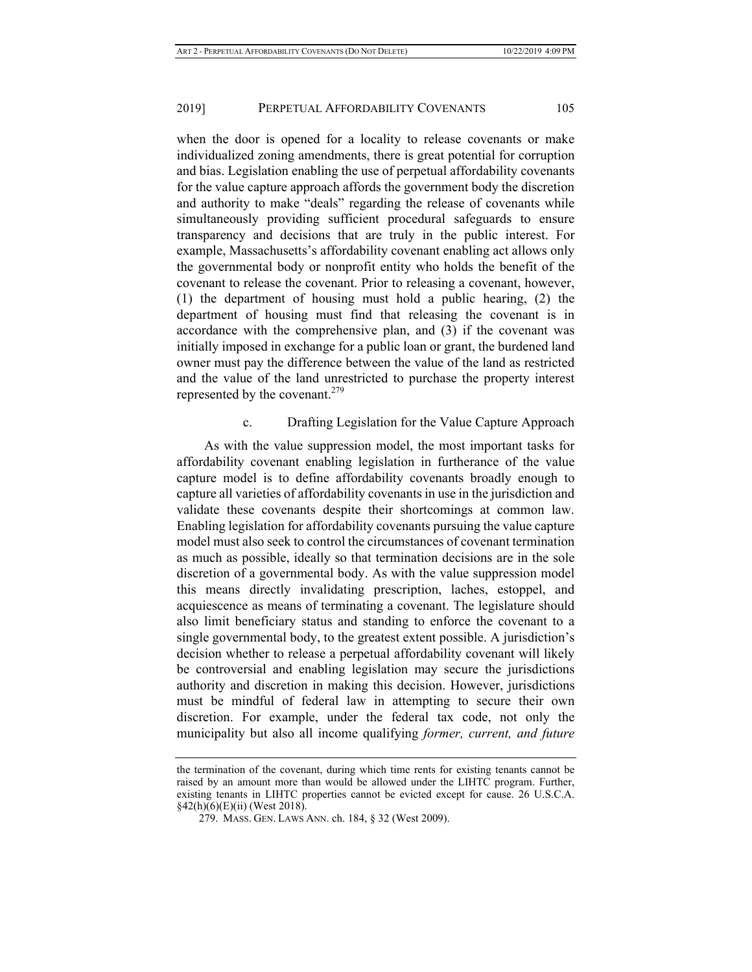when the door is opened for a locality to release covenants or make individualized zoning amendments, there is great potential for corruption and bias. Legislation enabling the use of perpetual affordability covenants for the value capture approach affords the government body the discretion and authority to make "deals" regarding the release of covenants while simultaneously providing sufficient procedural safeguards to ensure transparency and decisions that are truly in the public interest. For example, Massachusetts's affordability covenant enabling act allows only the governmental body or nonprofit entity who holds the benefit of the covenant to release the covenant. Prior to releasing a covenant, however, (1) the department of housing must hold a public hearing, (2) the department of housing must find that releasing the covenant is in accordance with the comprehensive plan, and (3) if the covenant was initially imposed in exchange for a public loan or grant, the burdened land owner must pay the difference between the value of the land as restricted and the value of the land unrestricted to purchase the property interest represented by the covenant.279

#### c. Drafting Legislation for the Value Capture Approach

As with the value suppression model, the most important tasks for affordability covenant enabling legislation in furtherance of the value capture model is to define affordability covenants broadly enough to capture all varieties of affordability covenants in use in the jurisdiction and validate these covenants despite their shortcomings at common law. Enabling legislation for affordability covenants pursuing the value capture model must also seek to control the circumstances of covenant termination as much as possible, ideally so that termination decisions are in the sole discretion of a governmental body. As with the value suppression model this means directly invalidating prescription, laches, estoppel, and acquiescence as means of terminating a covenant. The legislature should also limit beneficiary status and standing to enforce the covenant to a single governmental body, to the greatest extent possible. A jurisdiction's decision whether to release a perpetual affordability covenant will likely be controversial and enabling legislation may secure the jurisdictions authority and discretion in making this decision. However, jurisdictions must be mindful of federal law in attempting to secure their own discretion. For example, under the federal tax code, not only the municipality but also all income qualifying *former, current, and future* 

the termination of the covenant, during which time rents for existing tenants cannot be raised by an amount more than would be allowed under the LIHTC program. Further, existing tenants in LIHTC properties cannot be evicted except for cause. 26 U.S.C.A.  $§42(h)(6)(E)(ii)$  (West 2018).

<sup>279.</sup> MASS. GEN. LAWS ANN. ch. 184, § 32 (West 2009).